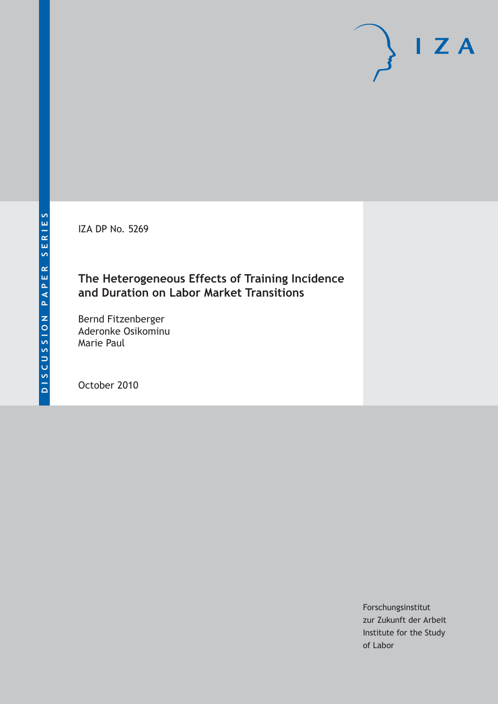IZA DP No. 5269

# **The Heterogeneous Effects of Training Incidence and Duration on Labor Market Transitions**

Bernd Fitzenberger Aderonke Osikominu Marie Paul

October 2010

Forschungsinstitut zur Zukunft der Arbeit Institute for the Study of Labor

 $I Z A$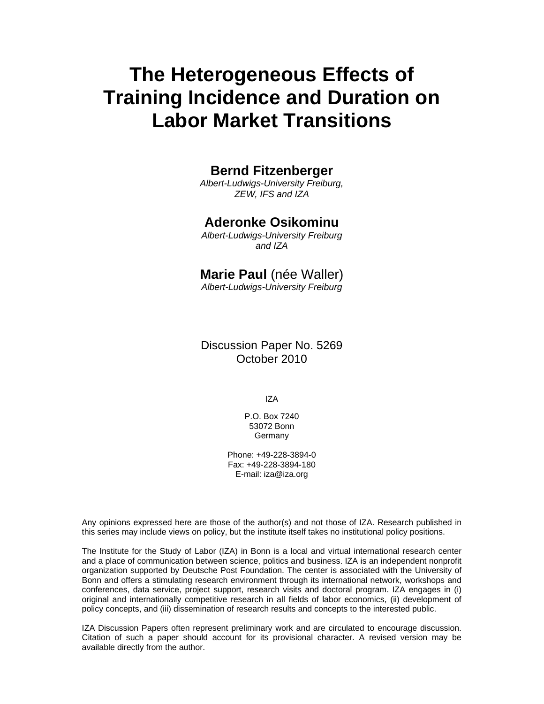# **The Heterogeneous Effects of Training Incidence and Duration on Labor Market Transitions**

#### **Bernd Fitzenberger**

*Albert-Ludwigs-University Freiburg, ZEW, IFS and IZA* 

#### **Aderonke Osikominu**

*Albert-Ludwigs-University Freiburg and IZA* 

#### **Marie Paul** (née Waller)

*Albert-Ludwigs-University Freiburg* 

Discussion Paper No. 5269 October 2010

IZA

P.O. Box 7240 53072 Bonn Germany

Phone: +49-228-3894-0 Fax: +49-228-3894-180 E-mail: iza@iza.org

Any opinions expressed here are those of the author(s) and not those of IZA. Research published in this series may include views on policy, but the institute itself takes no institutional policy positions.

The Institute for the Study of Labor (IZA) in Bonn is a local and virtual international research center and a place of communication between science, politics and business. IZA is an independent nonprofit organization supported by Deutsche Post Foundation. The center is associated with the University of Bonn and offers a stimulating research environment through its international network, workshops and conferences, data service, project support, research visits and doctoral program. IZA engages in (i) original and internationally competitive research in all fields of labor economics, (ii) development of policy concepts, and (iii) dissemination of research results and concepts to the interested public.

IZA Discussion Papers often represent preliminary work and are circulated to encourage discussion. Citation of such a paper should account for its provisional character. A revised version may be available directly from the author.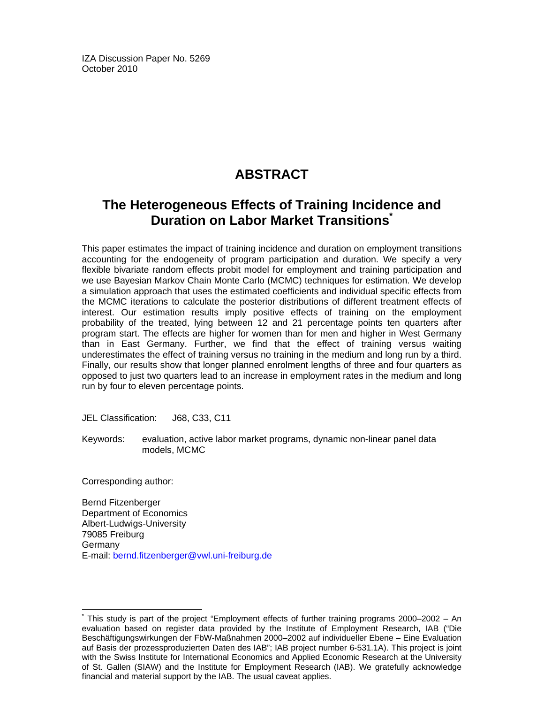IZA Discussion Paper No. 5269 October 2010

# **ABSTRACT**

# **The Heterogeneous Effects of Training Incidence and Duration on Labor Market Transitions**

This paper estimates the impact of training incidence and duration on employment transitions accounting for the endogeneity of program participation and duration. We specify a very flexible bivariate random effects probit model for employment and training participation and we use Bayesian Markov Chain Monte Carlo (MCMC) techniques for estimation. We develop a simulation approach that uses the estimated coefficients and individual specific effects from the MCMC iterations to calculate the posterior distributions of different treatment effects of interest. Our estimation results imply positive effects of training on the employment probability of the treated, lying between 12 and 21 percentage points ten quarters after program start. The effects are higher for women than for men and higher in West Germany than in East Germany. Further, we find that the effect of training versus waiting underestimates the effect of training versus no training in the medium and long run by a third. Finally, our results show that longer planned enrolment lengths of three and four quarters as opposed to just two quarters lead to an increase in employment rates in the medium and long run by four to eleven percentage points.

JEL Classification: J68, C33, C11

Keywords: evaluation, active labor market programs, dynamic non-linear panel data models, MCMC

Corresponding author:

-

Bernd Fitzenberger Department of Economics Albert-Ludwigs-University 79085 Freiburg Germany E-mail: bernd.fitzenberger@vwl.uni-freiburg.de

<sup>\*</sup> This study is part of the project "Employment effects of further training programs 2000–2002 – An evaluation based on register data provided by the Institute of Employment Research, IAB ("Die Beschäftigungswirkungen der FbW-Maßnahmen 2000–2002 auf individueller Ebene – Eine Evaluation auf Basis der prozessproduzierten Daten des IAB"; IAB project number 6-531.1A). This project is joint with the Swiss Institute for International Economics and Applied Economic Research at the University of St. Gallen (SIAW) and the Institute for Employment Research (IAB). We gratefully acknowledge financial and material support by the IAB. The usual caveat applies.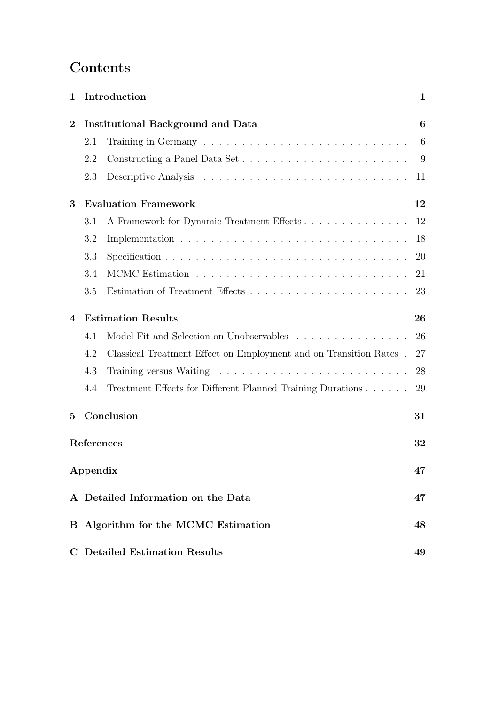# **Contents**

| 1                |          | Introduction                                                      | $\mathbf 1$ |
|------------------|----------|-------------------------------------------------------------------|-------------|
| $\boldsymbol{2}$ |          | <b>Institutional Background and Data</b>                          | 6           |
|                  | 2.1      |                                                                   | 6           |
|                  | 2.2      | Constructing a Panel Data Set                                     | 9           |
|                  | 2.3      |                                                                   | 11          |
| 3                |          | <b>Evaluation Framework</b>                                       | 12          |
|                  | 3.1      | A Framework for Dynamic Treatment Effects                         | 12          |
|                  | 3.2      |                                                                   | 18          |
|                  | 3.3      |                                                                   | 20          |
|                  | 3.4      |                                                                   | 21          |
|                  | 3.5      |                                                                   | 23          |
| 4                |          | <b>Estimation Results</b>                                         | 26          |
|                  | 4.1      | Model Fit and Selection on Unobservables                          | 26          |
|                  | 4.2      | Classical Treatment Effect on Employment and on Transition Rates. | 27          |
|                  | 4.3      |                                                                   | 28          |
|                  | 4.4      | Treatment Effects for Different Planned Training Durations        | 29          |
| 5                |          | Conclusion                                                        | 31          |
|                  |          | References                                                        | 32          |
|                  | Appendix |                                                                   | 47          |
|                  |          | A Detailed Information on the Data                                | 47          |
|                  |          | B Algorithm for the MCMC Estimation                               | 48          |
|                  |          | <b>C</b> Detailed Estimation Results                              | 49          |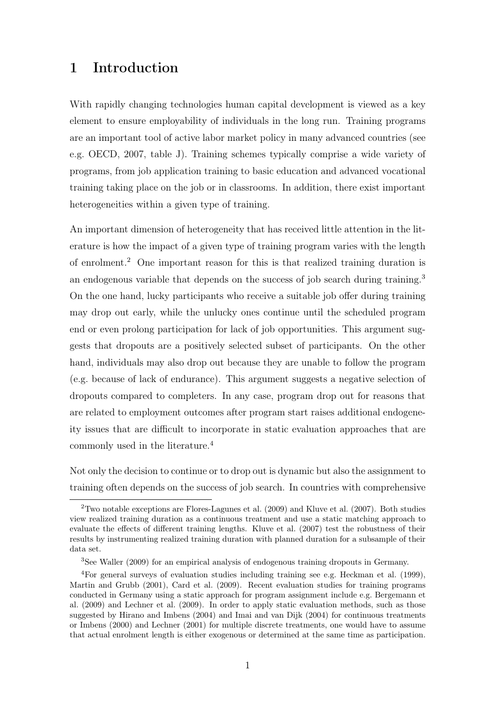### 1 Introduction

With rapidly changing technologies human capital development is viewed as a key element to ensure employability of individuals in the long run. Training programs are an important tool of active labor market policy in many advanced countries (see e.g. OECD, 2007, table J). Training schemes typically comprise a wide variety of programs, from job application training to basic education and advanced vocational training taking place on the job or in classrooms. In addition, there exist important heterogeneities within a given type of training.

An important dimension of heterogeneity that has received little attention in the literature is how the impact of a given type of training program varies with the length of enrolment.<sup>2</sup> One important reason for this is that realized training duration is an endogenous variable that depends on the success of job search during training.<sup>3</sup> On the one hand, lucky participants who receive a suitable job offer during training may drop out early, while the unlucky ones continue until the scheduled program end or even prolong participation for lack of job opportunities. This argument suggests that dropouts are a positively selected subset of participants. On the other hand, individuals may also drop out because they are unable to follow the program (e.g. because of lack of endurance). This argument suggests a negative selection of dropouts compared to completers. In any case, program drop out for reasons that are related to employment outcomes after program start raises additional endogeneity issues that are difficult to incorporate in static evaluation approaches that are commonly used in the literature.<sup>4</sup>

Not only the decision to continue or to drop out is dynamic but also the assignment to training often depends on the success of job search. In countries with comprehensive

<sup>2</sup>Two notable exceptions are Flores-Lagunes et al. (2009) and Kluve et al. (2007). Both studies view realized training duration as a continuous treatment and use a static matching approach to evaluate the effects of different training lengths. Kluve et al. (2007) test the robustness of their results by instrumenting realized training duration with planned duration for a subsample of their data set.

<sup>3</sup>See Waller (2009) for an empirical analysis of endogenous training dropouts in Germany.

<sup>4</sup>For general surveys of evaluation studies including training see e.g. Heckman et al. (1999), Martin and Grubb (2001), Card et al. (2009). Recent evaluation studies for training programs conducted in Germany using a static approach for program assignment include e.g. Bergemann et al. (2009) and Lechner et al. (2009). In order to apply static evaluation methods, such as those suggested by Hirano and Imbens (2004) and Imai and van Dijk (2004) for continuous treatments or Imbens (2000) and Lechner (2001) for multiple discrete treatments, one would have to assume that actual enrolment length is either exogenous or determined at the same time as participation.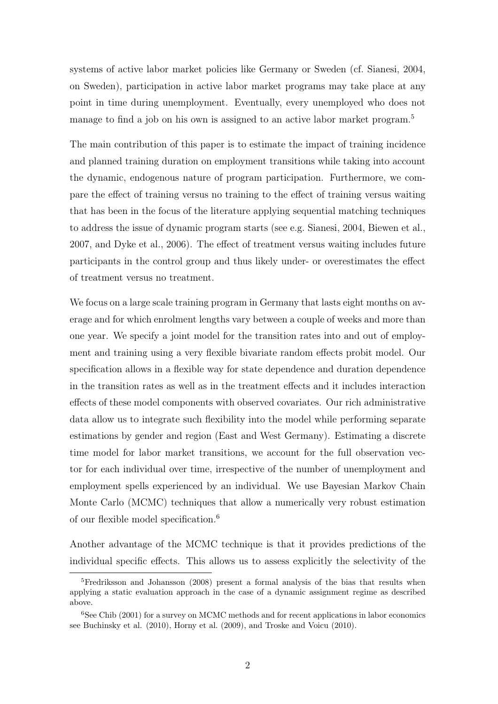systems of active labor market policies like Germany or Sweden (cf. Sianesi, 2004, on Sweden), participation in active labor market programs may take place at any point in time during unemployment. Eventually, every unemployed who does not manage to find a job on his own is assigned to an active labor market program.<sup>5</sup>

The main contribution of this paper is to estimate the impact of training incidence and planned training duration on employment transitions while taking into account the dynamic, endogenous nature of program participation. Furthermore, we compare the effect of training versus no training to the effect of training versus waiting that has been in the focus of the literature applying sequential matching techniques to address the issue of dynamic program starts (see e.g. Sianesi, 2004, Biewen et al., 2007, and Dyke et al., 2006). The effect of treatment versus waiting includes future participants in the control group and thus likely under- or overestimates the effect of treatment versus no treatment.

We focus on a large scale training program in Germany that lasts eight months on average and for which enrolment lengths vary between a couple of weeks and more than one year. We specify a joint model for the transition rates into and out of employment and training using a very flexible bivariate random effects probit model. Our specification allows in a flexible way for state dependence and duration dependence in the transition rates as well as in the treatment effects and it includes interaction effects of these model components with observed covariates. Our rich administrative data allow us to integrate such flexibility into the model while performing separate estimations by gender and region (East and West Germany). Estimating a discrete time model for labor market transitions, we account for the full observation vector for each individual over time, irrespective of the number of unemployment and employment spells experienced by an individual. We use Bayesian Markov Chain Monte Carlo (MCMC) techniques that allow a numerically very robust estimation of our flexible model specification.<sup>6</sup>

Another advantage of the MCMC technique is that it provides predictions of the individual specific effects. This allows us to assess explicitly the selectivity of the

 $5$ Fredriksson and Johansson (2008) present a formal analysis of the bias that results when applying a static evaluation approach in the case of a dynamic assignment regime as described above.

 $6$ See Chib (2001) for a survey on MCMC methods and for recent applications in labor economics see Buchinsky et al. (2010), Horny et al. (2009), and Troske and Voicu (2010).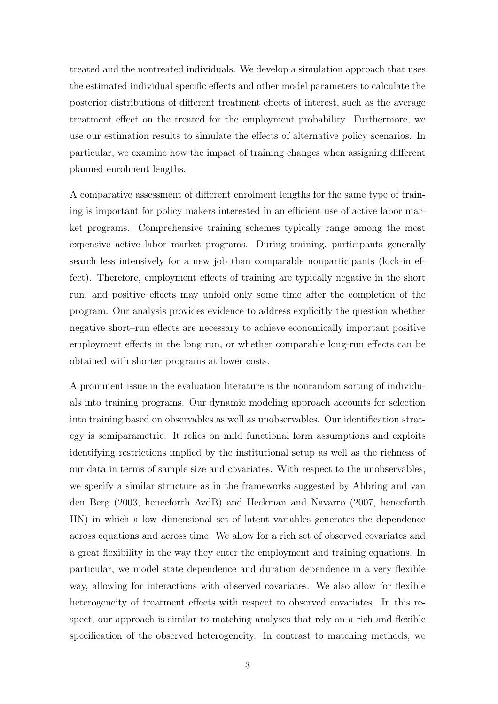treated and the nontreated individuals. We develop a simulation approach that uses the estimated individual specific effects and other model parameters to calculate the posterior distributions of different treatment effects of interest, such as the average treatment effect on the treated for the employment probability. Furthermore, we use our estimation results to simulate the effects of alternative policy scenarios. In particular, we examine how the impact of training changes when assigning different planned enrolment lengths.

A comparative assessment of different enrolment lengths for the same type of training is important for policy makers interested in an efficient use of active labor market programs. Comprehensive training schemes typically range among the most expensive active labor market programs. During training, participants generally search less intensively for a new job than comparable nonparticipants (lock-in effect). Therefore, employment effects of training are typically negative in the short run, and positive effects may unfold only some time after the completion of the program. Our analysis provides evidence to address explicitly the question whether negative short–run effects are necessary to achieve economically important positive employment effects in the long run, or whether comparable long-run effects can be obtained with shorter programs at lower costs.

A prominent issue in the evaluation literature is the nonrandom sorting of individuals into training programs. Our dynamic modeling approach accounts for selection into training based on observables as well as unobservables. Our identification strategy is semiparametric. It relies on mild functional form assumptions and exploits identifying restrictions implied by the institutional setup as well as the richness of our data in terms of sample size and covariates. With respect to the unobservables, we specify a similar structure as in the frameworks suggested by Abbring and van den Berg (2003, henceforth AvdB) and Heckman and Navarro (2007, henceforth HN) in which a low–dimensional set of latent variables generates the dependence across equations and across time. We allow for a rich set of observed covariates and a great flexibility in the way they enter the employment and training equations. In particular, we model state dependence and duration dependence in a very flexible way, allowing for interactions with observed covariates. We also allow for flexible heterogeneity of treatment effects with respect to observed covariates. In this respect, our approach is similar to matching analyses that rely on a rich and flexible specification of the observed heterogeneity. In contrast to matching methods, we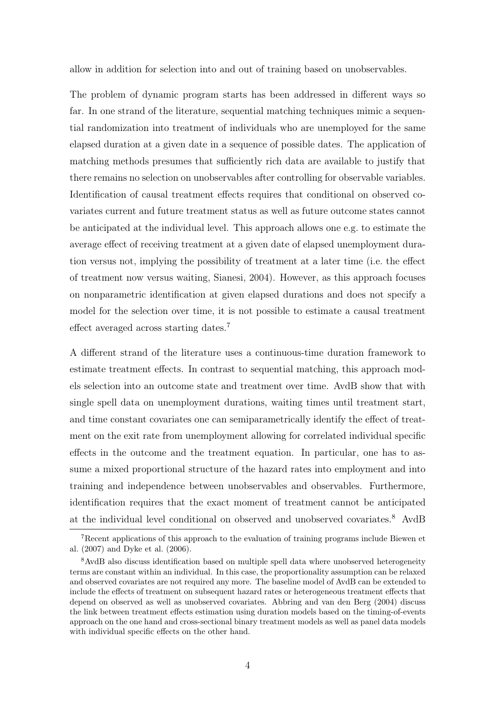allow in addition for selection into and out of training based on unobservables.

The problem of dynamic program starts has been addressed in different ways so far. In one strand of the literature, sequential matching techniques mimic a sequential randomization into treatment of individuals who are unemployed for the same elapsed duration at a given date in a sequence of possible dates. The application of matching methods presumes that sufficiently rich data are available to justify that there remains no selection on unobservables after controlling for observable variables. Identification of causal treatment effects requires that conditional on observed covariates current and future treatment status as well as future outcome states cannot be anticipated at the individual level. This approach allows one e.g. to estimate the average effect of receiving treatment at a given date of elapsed unemployment duration versus not, implying the possibility of treatment at a later time (i.e. the effect of treatment now versus waiting, Sianesi, 2004). However, as this approach focuses on nonparametric identification at given elapsed durations and does not specify a model for the selection over time, it is not possible to estimate a causal treatment effect averaged across starting dates.<sup>7</sup>

A different strand of the literature uses a continuous-time duration framework to estimate treatment effects. In contrast to sequential matching, this approach models selection into an outcome state and treatment over time. AvdB show that with single spell data on unemployment durations, waiting times until treatment start, and time constant covariates one can semiparametrically identify the effect of treatment on the exit rate from unemployment allowing for correlated individual specific effects in the outcome and the treatment equation. In particular, one has to assume a mixed proportional structure of the hazard rates into employment and into training and independence between unobservables and observables. Furthermore, identification requires that the exact moment of treatment cannot be anticipated at the individual level conditional on observed and unobserved covariates.<sup>8</sup> AvdB

<sup>7</sup>Recent applications of this approach to the evaluation of training programs include Biewen et al. (2007) and Dyke et al. (2006).

<sup>8</sup>AvdB also discuss identification based on multiple spell data where unobserved heterogeneity terms are constant within an individual. In this case, the proportionality assumption can be relaxed and observed covariates are not required any more. The baseline model of AvdB can be extended to include the effects of treatment on subsequent hazard rates or heterogeneous treatment effects that depend on observed as well as unobserved covariates. Abbring and van den Berg (2004) discuss the link between treatment effects estimation using duration models based on the timing-of-events approach on the one hand and cross-sectional binary treatment models as well as panel data models with individual specific effects on the other hand.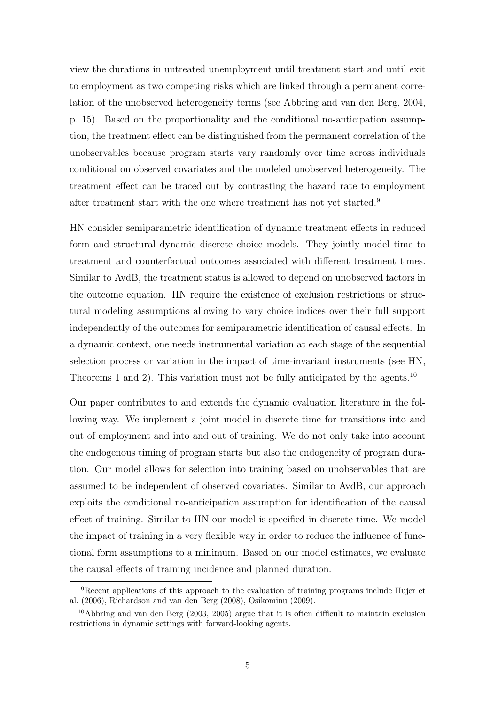view the durations in untreated unemployment until treatment start and until exit to employment as two competing risks which are linked through a permanent correlation of the unobserved heterogeneity terms (see Abbring and van den Berg, 2004, p. 15). Based on the proportionality and the conditional no-anticipation assumption, the treatment effect can be distinguished from the permanent correlation of the unobservables because program starts vary randomly over time across individuals conditional on observed covariates and the modeled unobserved heterogeneity. The treatment effect can be traced out by contrasting the hazard rate to employment after treatment start with the one where treatment has not yet started.<sup>9</sup>

HN consider semiparametric identification of dynamic treatment effects in reduced form and structural dynamic discrete choice models. They jointly model time to treatment and counterfactual outcomes associated with different treatment times. Similar to AvdB, the treatment status is allowed to depend on unobserved factors in the outcome equation. HN require the existence of exclusion restrictions or structural modeling assumptions allowing to vary choice indices over their full support independently of the outcomes for semiparametric identification of causal effects. In a dynamic context, one needs instrumental variation at each stage of the sequential selection process or variation in the impact of time-invariant instruments (see HN, Theorems 1 and 2). This variation must not be fully anticipated by the agents.<sup>10</sup>

Our paper contributes to and extends the dynamic evaluation literature in the following way. We implement a joint model in discrete time for transitions into and out of employment and into and out of training. We do not only take into account the endogenous timing of program starts but also the endogeneity of program duration. Our model allows for selection into training based on unobservables that are assumed to be independent of observed covariates. Similar to AvdB, our approach exploits the conditional no-anticipation assumption for identification of the causal effect of training. Similar to HN our model is specified in discrete time. We model the impact of training in a very flexible way in order to reduce the influence of functional form assumptions to a minimum. Based on our model estimates, we evaluate the causal effects of training incidence and planned duration.

<sup>9</sup>Recent applications of this approach to the evaluation of training programs include Hujer et al. (2006), Richardson and van den Berg (2008), Osikominu (2009).

<sup>&</sup>lt;sup>10</sup>Abbring and van den Berg (2003, 2005) argue that it is often difficult to maintain exclusion restrictions in dynamic settings with forward-looking agents.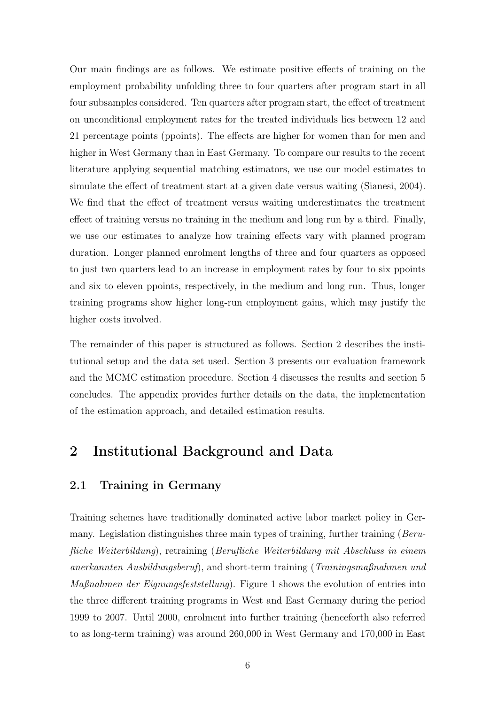Our main findings are as follows. We estimate positive effects of training on the employment probability unfolding three to four quarters after program start in all four subsamples considered. Ten quarters after program start, the effect of treatment on unconditional employment rates for the treated individuals lies between 12 and 21 percentage points (ppoints). The effects are higher for women than for men and higher in West Germany than in East Germany. To compare our results to the recent literature applying sequential matching estimators, we use our model estimates to simulate the effect of treatment start at a given date versus waiting (Sianesi, 2004). We find that the effect of treatment versus waiting underestimates the treatment effect of training versus no training in the medium and long run by a third. Finally, we use our estimates to analyze how training effects vary with planned program duration. Longer planned enrolment lengths of three and four quarters as opposed to just two quarters lead to an increase in employment rates by four to six ppoints and six to eleven ppoints, respectively, in the medium and long run. Thus, longer training programs show higher long-run employment gains, which may justify the higher costs involved.

The remainder of this paper is structured as follows. Section 2 describes the institutional setup and the data set used. Section 3 presents our evaluation framework and the MCMC estimation procedure. Section 4 discusses the results and section 5 concludes. The appendix provides further details on the data, the implementation of the estimation approach, and detailed estimation results.

## 2 Institutional Background and Data

#### 2.1 Training in Germany

Training schemes have traditionally dominated active labor market policy in Germany. Legislation distinguishes three main types of training, further training (Berufliche Weiterbildung), retraining (Berufliche Weiterbildung mit Abschluss in einem anerkannten Ausbildungsberuf), and short-term training (Trainingsmaßnahmen und Maßnahmen der Eignungsfeststellung). Figure 1 shows the evolution of entries into the three different training programs in West and East Germany during the period 1999 to 2007. Until 2000, enrolment into further training (henceforth also referred to as long-term training) was around 260,000 in West Germany and 170,000 in East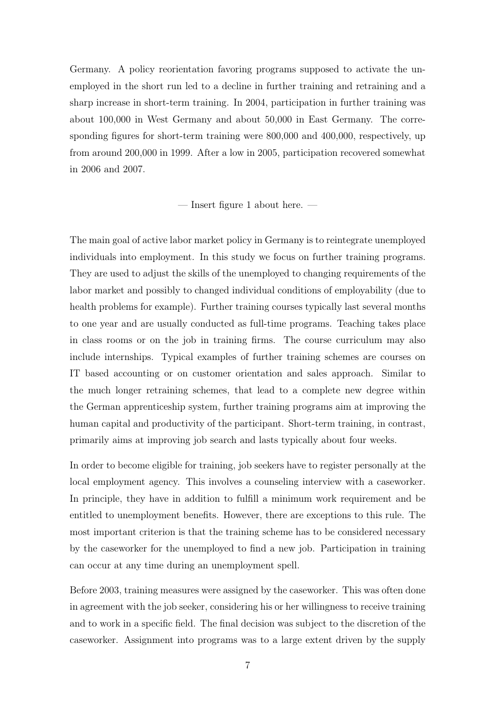Germany. A policy reorientation favoring programs supposed to activate the unemployed in the short run led to a decline in further training and retraining and a sharp increase in short-term training. In 2004, participation in further training was about 100,000 in West Germany and about 50,000 in East Germany. The corresponding figures for short-term training were 800,000 and 400,000, respectively, up from around 200,000 in 1999. After a low in 2005, participation recovered somewhat in 2006 and 2007.

— Insert figure 1 about here. —

The main goal of active labor market policy in Germany is to reintegrate unemployed individuals into employment. In this study we focus on further training programs. They are used to adjust the skills of the unemployed to changing requirements of the labor market and possibly to changed individual conditions of employability (due to health problems for example). Further training courses typically last several months to one year and are usually conducted as full-time programs. Teaching takes place in class rooms or on the job in training firms. The course curriculum may also include internships. Typical examples of further training schemes are courses on IT based accounting or on customer orientation and sales approach. Similar to the much longer retraining schemes, that lead to a complete new degree within the German apprenticeship system, further training programs aim at improving the human capital and productivity of the participant. Short-term training, in contrast, primarily aims at improving job search and lasts typically about four weeks.

In order to become eligible for training, job seekers have to register personally at the local employment agency. This involves a counseling interview with a caseworker. In principle, they have in addition to fulfill a minimum work requirement and be entitled to unemployment benefits. However, there are exceptions to this rule. The most important criterion is that the training scheme has to be considered necessary by the caseworker for the unemployed to find a new job. Participation in training can occur at any time during an unemployment spell.

Before 2003, training measures were assigned by the caseworker. This was often done in agreement with the job seeker, considering his or her willingness to receive training and to work in a specific field. The final decision was subject to the discretion of the caseworker. Assignment into programs was to a large extent driven by the supply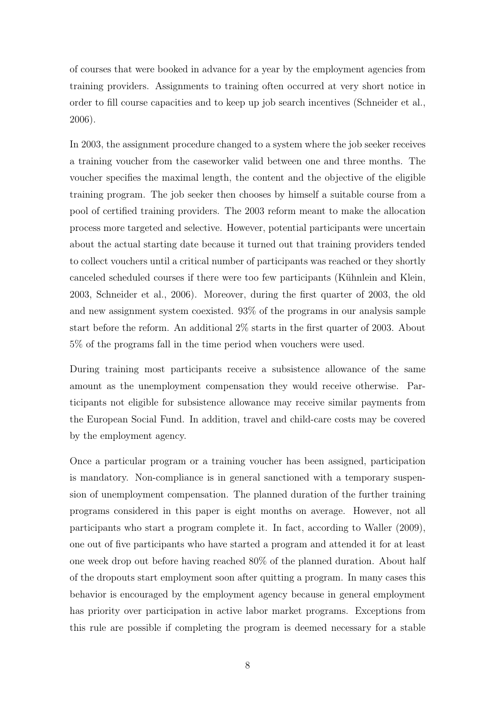of courses that were booked in advance for a year by the employment agencies from training providers. Assignments to training often occurred at very short notice in order to fill course capacities and to keep up job search incentives (Schneider et al., 2006).

In 2003, the assignment procedure changed to a system where the job seeker receives a training voucher from the caseworker valid between one and three months. The voucher specifies the maximal length, the content and the objective of the eligible training program. The job seeker then chooses by himself a suitable course from a pool of certified training providers. The 2003 reform meant to make the allocation process more targeted and selective. However, potential participants were uncertain about the actual starting date because it turned out that training providers tended to collect vouchers until a critical number of participants was reached or they shortly canceled scheduled courses if there were too few participants (Kühnlein and Klein, 2003, Schneider et al., 2006). Moreover, during the first quarter of 2003, the old and new assignment system coexisted. 93% of the programs in our analysis sample start before the reform. An additional 2% starts in the first quarter of 2003. About 5% of the programs fall in the time period when vouchers were used.

During training most participants receive a subsistence allowance of the same amount as the unemployment compensation they would receive otherwise. Participants not eligible for subsistence allowance may receive similar payments from the European Social Fund. In addition, travel and child-care costs may be covered by the employment agency.

Once a particular program or a training voucher has been assigned, participation is mandatory. Non-compliance is in general sanctioned with a temporary suspension of unemployment compensation. The planned duration of the further training programs considered in this paper is eight months on average. However, not all participants who start a program complete it. In fact, according to Waller (2009), one out of five participants who have started a program and attended it for at least one week drop out before having reached 80% of the planned duration. About half of the dropouts start employment soon after quitting a program. In many cases this behavior is encouraged by the employment agency because in general employment has priority over participation in active labor market programs. Exceptions from this rule are possible if completing the program is deemed necessary for a stable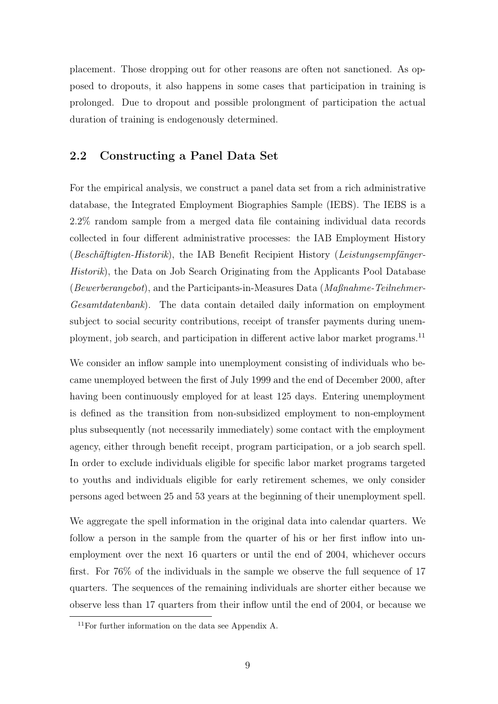placement. Those dropping out for other reasons are often not sanctioned. As opposed to dropouts, it also happens in some cases that participation in training is prolonged. Due to dropout and possible prolongment of participation the actual duration of training is endogenously determined.

#### 2.2 Constructing a Panel Data Set

For the empirical analysis, we construct a panel data set from a rich administrative database, the Integrated Employment Biographies Sample (IEBS). The IEBS is a 2.2% random sample from a merged data file containing individual data records collected in four different administrative processes: the IAB Employment History (Beschäftigten-Historik), the IAB Benefit Recipient History (Leistungsempfänger-Historik), the Data on Job Search Originating from the Applicants Pool Database (Bewerberangebot), and the Participants-in-Measures Data ( $Ma\beta nahme-Teilnehmer-$ Gesamtdatenbank). The data contain detailed daily information on employment subject to social security contributions, receipt of transfer payments during unemployment, job search, and participation in different active labor market programs.<sup>11</sup>

We consider an inflow sample into unemployment consisting of individuals who became unemployed between the first of July 1999 and the end of December 2000, after having been continuously employed for at least 125 days. Entering unemployment is defined as the transition from non-subsidized employment to non-employment plus subsequently (not necessarily immediately) some contact with the employment agency, either through benefit receipt, program participation, or a job search spell. In order to exclude individuals eligible for specific labor market programs targeted to youths and individuals eligible for early retirement schemes, we only consider persons aged between 25 and 53 years at the beginning of their unemployment spell.

We aggregate the spell information in the original data into calendar quarters. We follow a person in the sample from the quarter of his or her first inflow into unemployment over the next 16 quarters or until the end of 2004, whichever occurs first. For 76% of the individuals in the sample we observe the full sequence of 17 quarters. The sequences of the remaining individuals are shorter either because we observe less than 17 quarters from their inflow until the end of 2004, or because we

<sup>11</sup>For further information on the data see Appendix A.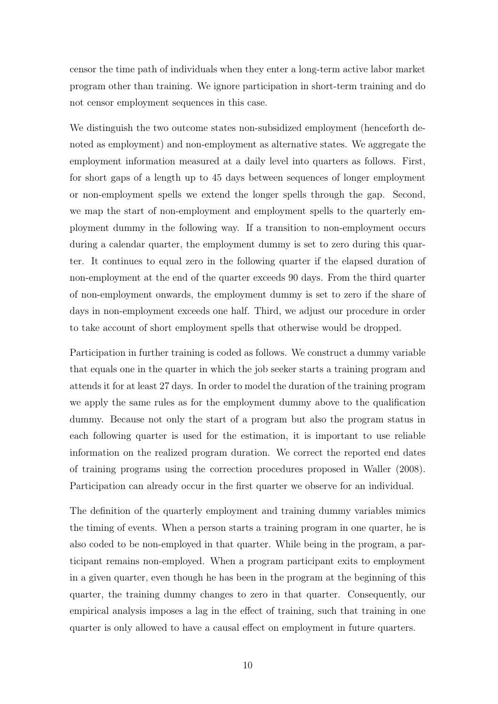censor the time path of individuals when they enter a long-term active labor market program other than training. We ignore participation in short-term training and do not censor employment sequences in this case.

We distinguish the two outcome states non-subsidized employment (henceforth denoted as employment) and non-employment as alternative states. We aggregate the employment information measured at a daily level into quarters as follows. First, for short gaps of a length up to 45 days between sequences of longer employment or non-employment spells we extend the longer spells through the gap. Second, we map the start of non-employment and employment spells to the quarterly employment dummy in the following way. If a transition to non-employment occurs during a calendar quarter, the employment dummy is set to zero during this quarter. It continues to equal zero in the following quarter if the elapsed duration of non-employment at the end of the quarter exceeds 90 days. From the third quarter of non-employment onwards, the employment dummy is set to zero if the share of days in non-employment exceeds one half. Third, we adjust our procedure in order to take account of short employment spells that otherwise would be dropped.

Participation in further training is coded as follows. We construct a dummy variable that equals one in the quarter in which the job seeker starts a training program and attends it for at least 27 days. In order to model the duration of the training program we apply the same rules as for the employment dummy above to the qualification dummy. Because not only the start of a program but also the program status in each following quarter is used for the estimation, it is important to use reliable information on the realized program duration. We correct the reported end dates of training programs using the correction procedures proposed in Waller (2008). Participation can already occur in the first quarter we observe for an individual.

The definition of the quarterly employment and training dummy variables mimics the timing of events. When a person starts a training program in one quarter, he is also coded to be non-employed in that quarter. While being in the program, a participant remains non-employed. When a program participant exits to employment in a given quarter, even though he has been in the program at the beginning of this quarter, the training dummy changes to zero in that quarter. Consequently, our empirical analysis imposes a lag in the effect of training, such that training in one quarter is only allowed to have a causal effect on employment in future quarters.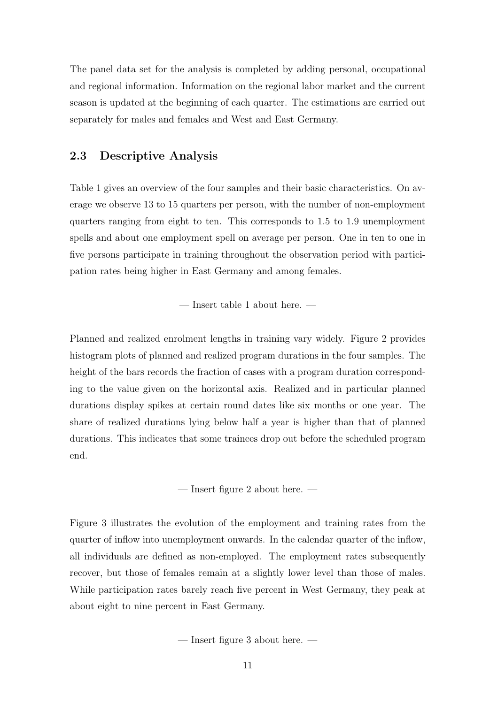The panel data set for the analysis is completed by adding personal, occupational and regional information. Information on the regional labor market and the current season is updated at the beginning of each quarter. The estimations are carried out separately for males and females and West and East Germany.

#### 2.3 Descriptive Analysis

Table 1 gives an overview of the four samples and their basic characteristics. On average we observe 13 to 15 quarters per person, with the number of non-employment quarters ranging from eight to ten. This corresponds to 1.5 to 1.9 unemployment spells and about one employment spell on average per person. One in ten to one in five persons participate in training throughout the observation period with participation rates being higher in East Germany and among females.

— Insert table 1 about here. —

Planned and realized enrolment lengths in training vary widely. Figure 2 provides histogram plots of planned and realized program durations in the four samples. The height of the bars records the fraction of cases with a program duration corresponding to the value given on the horizontal axis. Realized and in particular planned durations display spikes at certain round dates like six months or one year. The share of realized durations lying below half a year is higher than that of planned durations. This indicates that some trainees drop out before the scheduled program end.

— Insert figure 2 about here. —

Figure 3 illustrates the evolution of the employment and training rates from the quarter of inflow into unemployment onwards. In the calendar quarter of the inflow, all individuals are defined as non-employed. The employment rates subsequently recover, but those of females remain at a slightly lower level than those of males. While participation rates barely reach five percent in West Germany, they peak at about eight to nine percent in East Germany.

— Insert figure 3 about here. —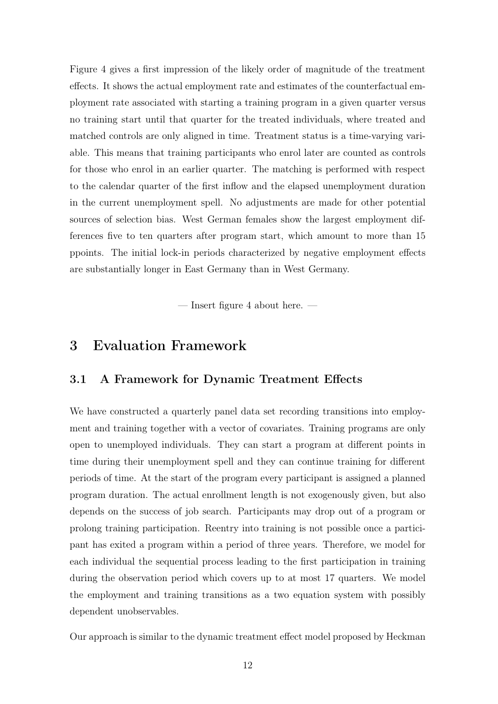Figure 4 gives a first impression of the likely order of magnitude of the treatment effects. It shows the actual employment rate and estimates of the counterfactual employment rate associated with starting a training program in a given quarter versus no training start until that quarter for the treated individuals, where treated and matched controls are only aligned in time. Treatment status is a time-varying variable. This means that training participants who enrol later are counted as controls for those who enrol in an earlier quarter. The matching is performed with respect to the calendar quarter of the first inflow and the elapsed unemployment duration in the current unemployment spell. No adjustments are made for other potential sources of selection bias. West German females show the largest employment differences five to ten quarters after program start, which amount to more than 15 ppoints. The initial lock-in periods characterized by negative employment effects are substantially longer in East Germany than in West Germany.

— Insert figure 4 about here. —

### 3 Evaluation Framework

#### 3.1 A Framework for Dynamic Treatment Effects

We have constructed a quarterly panel data set recording transitions into employment and training together with a vector of covariates. Training programs are only open to unemployed individuals. They can start a program at different points in time during their unemployment spell and they can continue training for different periods of time. At the start of the program every participant is assigned a planned program duration. The actual enrollment length is not exogenously given, but also depends on the success of job search. Participants may drop out of a program or prolong training participation. Reentry into training is not possible once a participant has exited a program within a period of three years. Therefore, we model for each individual the sequential process leading to the first participation in training during the observation period which covers up to at most 17 quarters. We model the employment and training transitions as a two equation system with possibly dependent unobservables.

Our approach is similar to the dynamic treatment effect model proposed by Heckman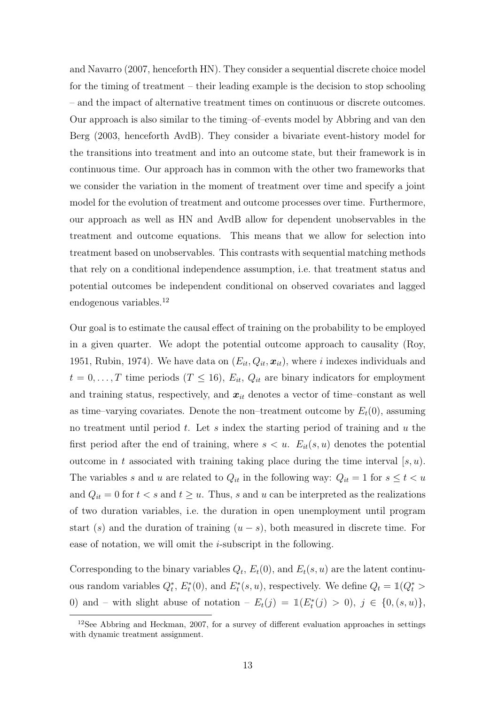and Navarro (2007, henceforth HN). They consider a sequential discrete choice model for the timing of treatment – their leading example is the decision to stop schooling – and the impact of alternative treatment times on continuous or discrete outcomes. Our approach is also similar to the timing–of–events model by Abbring and van den Berg (2003, henceforth AvdB). They consider a bivariate event-history model for the transitions into treatment and into an outcome state, but their framework is in continuous time. Our approach has in common with the other two frameworks that we consider the variation in the moment of treatment over time and specify a joint model for the evolution of treatment and outcome processes over time. Furthermore, our approach as well as HN and AvdB allow for dependent unobservables in the treatment and outcome equations. This means that we allow for selection into treatment based on unobservables. This contrasts with sequential matching methods that rely on a conditional independence assumption, i.e. that treatment status and potential outcomes be independent conditional on observed covariates and lagged endogenous variables.<sup>12</sup>

Our goal is to estimate the causal effect of training on the probability to be employed in a given quarter. We adopt the potential outcome approach to causality (Roy, 1951, Rubin, 1974). We have data on  $(E_{it}, Q_{it}, x_{it})$ , where i indexes individuals and  $t = 0, \ldots, T$  time periods  $(T \leq 16)$ ,  $E_{it}$ ,  $Q_{it}$  are binary indicators for employment and training status, respectively, and  $x_{it}$  denotes a vector of time–constant as well as time–varying covariates. Denote the non–treatment outcome by  $E_t(0)$ , assuming no treatment until period t. Let s index the starting period of training and u the first period after the end of training, where  $s < u$ .  $E_{it}(s, u)$  denotes the potential outcome in t associated with training taking place during the time interval  $[s, u)$ . The variables s and u are related to  $Q_{it}$  in the following way:  $Q_{it} = 1$  for  $s \leq t < u$ and  $Q_{it} = 0$  for  $t < s$  and  $t \ge u$ . Thus, s and u can be interpreted as the realizations of two duration variables, i.e. the duration in open unemployment until program start (s) and the duration of training  $(u - s)$ , both measured in discrete time. For ease of notation, we will omit the  $i$ -subscript in the following.

Corresponding to the binary variables  $Q_t$ ,  $E_t(0)$ , and  $E_t(s, u)$  are the latent continuous random variables  $Q_t^*$ ,  $E_t^*(0)$ , and  $E_t^*(s, u)$ , respectively. We define  $Q_t = \mathbb{1}(Q_t^*)$ 0) and – with slight abuse of notation –  $E_t(j) = \mathbb{1}(E_t^*(j) > 0), j \in \{0, (s, u)\},$ 

<sup>12</sup>See Abbring and Heckman, 2007, for a survey of different evaluation approaches in settings with dynamic treatment assignment.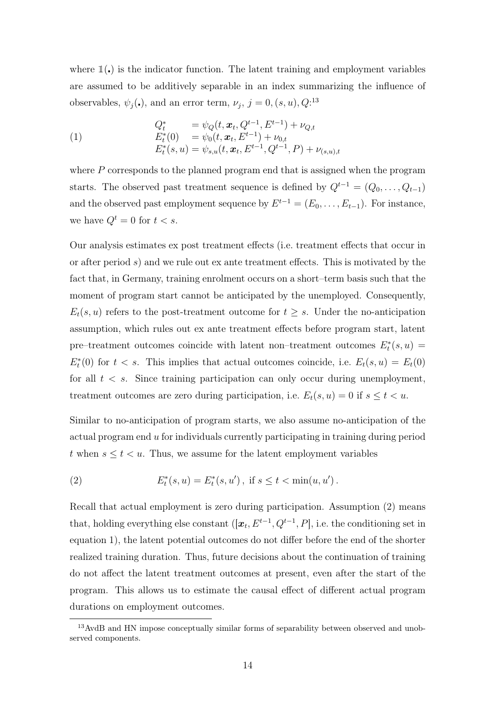where  $\mathbb{1}(.)$  is the indicator function. The latent training and employment variables are assumed to be additively separable in an index summarizing the influence of observables,  $\psi_j(\cdot)$ , and an error term,  $\nu_j$ ,  $j = 0$ ,  $(s, u)$ ,  $Q$ <sup>13</sup>

(1) 
$$
Q_t^* = \psi_Q(t, \mathbf{x}_t, Q^{t-1}, E^{t-1}) + \nu_{Q,t}
$$

$$
E_t^*(0) = \psi_0(t, \mathbf{x}_t, E^{t-1}) + \nu_{0,t}
$$

$$
E_t^*(s, u) = \psi_{s,u}(t, \mathbf{x}_t, E^{t-1}, Q^{t-1}, P) + \nu_{(s,u),t}
$$

where  $P$  corresponds to the planned program end that is assigned when the program starts. The observed past treatment sequence is defined by  $Q^{t-1} = (Q_0, \ldots, Q_{t-1})$ and the observed past employment sequence by  $E^{t-1} = (E_0, \ldots, E_{t-1})$ . For instance, we have  $Q^t = 0$  for  $t < s$ .

Our analysis estimates ex post treatment effects (i.e. treatment effects that occur in or after period  $s$ ) and we rule out ex ante treatment effects. This is motivated by the fact that, in Germany, training enrolment occurs on a short–term basis such that the moment of program start cannot be anticipated by the unemployed. Consequently,  $E_t(s, u)$  refers to the post-treatment outcome for  $t \geq s$ . Under the no-anticipation assumption, which rules out ex ante treatment effects before program start, latent pre–treatment outcomes coincide with latent non–treatment outcomes  $E_t^*(s, u) =$  $E_t^*(0)$  for  $t < s$ . This implies that actual outcomes coincide, i.e.  $E_t(s, u) = E_t(0)$ for all  $t < s$ . Since training participation can only occur during unemployment, treatment outcomes are zero during participation, i.e.  $E_t(s, u) = 0$  if  $s \le t < u$ .

Similar to no-anticipation of program starts, we also assume no-anticipation of the actual program end u for individuals currently participating in training during period t when  $s \le t < u$ . Thus, we assume for the latent employment variables

(2) 
$$
E_t^*(s, u) = E_t^*(s, u'), \text{ if } s \le t < \min(u, u').
$$

Recall that actual employment is zero during participation. Assumption (2) means that, holding everything else constant  $([\boldsymbol{x}_t, E^{t-1}, Q^{t-1}, P],$  i.e. the conditioning set in equation 1), the latent potential outcomes do not differ before the end of the shorter realized training duration. Thus, future decisions about the continuation of training do not affect the latent treatment outcomes at present, even after the start of the program. This allows us to estimate the causal effect of different actual program durations on employment outcomes.

<sup>&</sup>lt;sup>13</sup>AvdB and HN impose conceptually similar forms of separability between observed and unobserved components.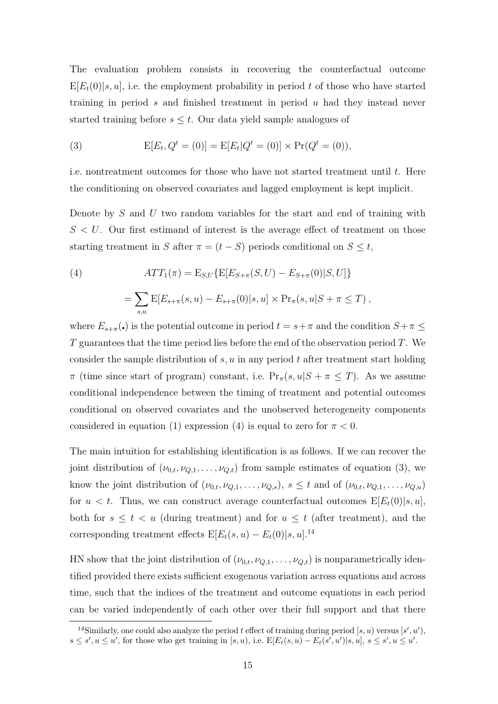The evaluation problem consists in recovering the counterfactual outcome  $E[E_t(0)|s, u]$ , i.e. the employment probability in period t of those who have started training in period s and finished treatment in period u had they instead never started training before  $s \leq t$ . Our data yield sample analogues of

(3) 
$$
E[E_t, Q^t = (0)] = E[E_t|Q^t = (0)] \times Pr(Q^t = (0)),
$$

i.e. nontreatment outcomes for those who have not started treatment until  $t$ . Here the conditioning on observed covariates and lagged employment is kept implicit.

Denote by  $S$  and  $U$  two random variables for the start and end of training with  $S < U$ . Our first estimand of interest is the average effect of treatment on those starting treatment in S after  $\pi = (t - S)$  periods conditional on  $S \leq t$ ,

(4) 
$$
ATT_{1}(\pi) = E_{S,U} \{ E[E_{S+\pi}(S, U) - E_{S+\pi}(0)|S, U] \}
$$

$$
= \sum_{s,u} E[E_{s+\pi}(s, u) - E_{s+\pi}(0)|s, u] \times Pr_{\pi}(s, u|S + \pi \leq T),
$$

where  $E_{s+\pi}(\cdot)$  is the potential outcome in period  $t = s+\pi$  and the condition  $S+\pi \leq$  $T$  guarantees that the time period lies before the end of the observation period  $T$ . We consider the sample distribution of  $s, u$  in any period t after treatment start holding  $\pi$  (time since start of program) constant, i.e.  $Pr_{\pi}(s, u | S + \pi \leq T)$ . As we assume conditional independence between the timing of treatment and potential outcomes conditional on observed covariates and the unobserved heterogeneity components considered in equation (1) expression (4) is equal to zero for  $\pi < 0$ .

The main intuition for establishing identification is as follows. If we can recover the joint distribution of  $(\nu_{0,t}, \nu_{Q,1}, \ldots, \nu_{Q,t})$  from sample estimates of equation (3), we know the joint distribution of  $(\nu_{0,t}, \nu_{Q,1}, \ldots, \nu_{Q,s}), s \leq t$  and of  $(\nu_{0,t}, \nu_{Q,1}, \ldots, \nu_{Q,u})$ for  $u < t$ . Thus, we can construct average counterfactual outcomes  $E[E_t(0)|s, u]$ , both for  $s \leq t < u$  (during treatment) and for  $u \leq t$  (after treatment), and the corresponding treatment effects  $E[E_t(s, u) - E_t(0)|s, u]$ .<sup>14</sup>

HN show that the joint distribution of  $(\nu_{0,t}, \nu_{Q,1}, \ldots, \nu_{Q,t})$  is nonparametrically identified provided there exists sufficient exogenous variation across equations and across time, such that the indices of the treatment and outcome equations in each period can be varied independently of each other over their full support and that there

<sup>&</sup>lt;sup>14</sup>Similarly, one could also analyze the period t effect of training during period [s, u) versus [s', u'),  $s \leq s', u \leq u'$ , for those who get training in  $[s, u)$ , i.e.  $E[E_t(s, u) - E_t(s', u') | s, u]$ ,  $s \leq s', u \leq u'$ .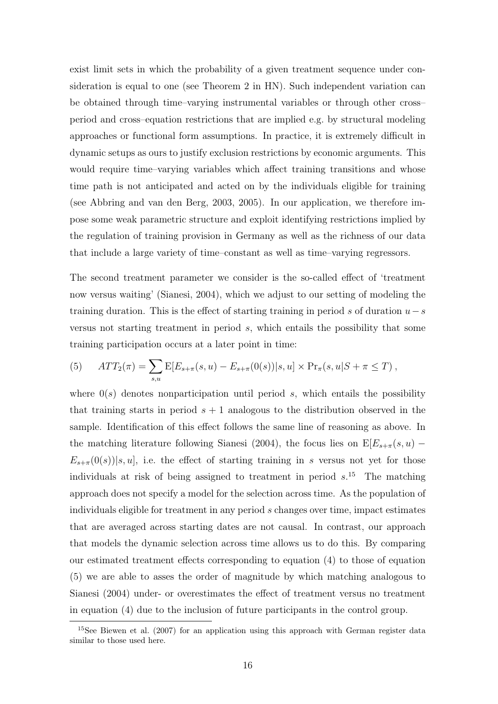exist limit sets in which the probability of a given treatment sequence under consideration is equal to one (see Theorem 2 in HN). Such independent variation can be obtained through time–varying instrumental variables or through other cross– period and cross–equation restrictions that are implied e.g. by structural modeling approaches or functional form assumptions. In practice, it is extremely difficult in dynamic setups as ours to justify exclusion restrictions by economic arguments. This would require time–varying variables which affect training transitions and whose time path is not anticipated and acted on by the individuals eligible for training (see Abbring and van den Berg, 2003, 2005). In our application, we therefore impose some weak parametric structure and exploit identifying restrictions implied by the regulation of training provision in Germany as well as the richness of our data that include a large variety of time–constant as well as time–varying regressors.

The second treatment parameter we consider is the so-called effect of 'treatment now versus waiting' (Sianesi, 2004), which we adjust to our setting of modeling the training duration. This is the effect of starting training in period s of duration  $u-s$ versus not starting treatment in period s, which entails the possibility that some training participation occurs at a later point in time:

(5) 
$$
ATT_2(\pi) = \sum_{s,u} E[E_{s+\pi}(s,u) - E_{s+\pi}(0(s))|s,u] \times Pr_{\pi}(s,u|S+\pi \leq T),
$$

where  $0(s)$  denotes nonparticipation until period s, which entails the possibility that training starts in period  $s + 1$  analogous to the distribution observed in the sample. Identification of this effect follows the same line of reasoning as above. In the matching literature following Sianesi (2004), the focus lies on  $E[E_{s+\pi}(s, u) E_{s+\pi}(0(s))|s, u|$ , i.e. the effect of starting training in s versus not yet for those individuals at risk of being assigned to treatment in period  $s$ .<sup>15</sup> The matching approach does not specify a model for the selection across time. As the population of individuals eligible for treatment in any period s changes over time, impact estimates that are averaged across starting dates are not causal. In contrast, our approach that models the dynamic selection across time allows us to do this. By comparing our estimated treatment effects corresponding to equation (4) to those of equation (5) we are able to asses the order of magnitude by which matching analogous to Sianesi (2004) under- or overestimates the effect of treatment versus no treatment in equation (4) due to the inclusion of future participants in the control group.

<sup>&</sup>lt;sup>15</sup>See Biewen et al. (2007) for an application using this approach with German register data similar to those used here.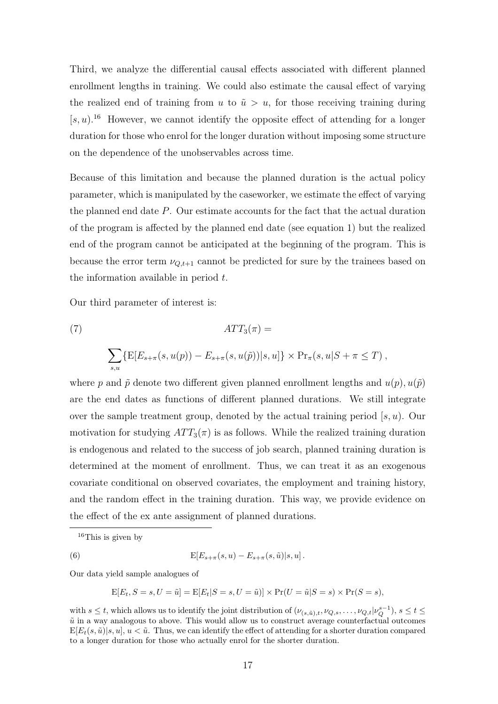Third, we analyze the differential causal effects associated with different planned enrollment lengths in training. We could also estimate the causal effect of varying the realized end of training from u to  $\tilde{u} > u$ , for those receiving training during  $[s, u]$ .<sup>16</sup> However, we cannot identify the opposite effect of attending for a longer duration for those who enrol for the longer duration without imposing some structure on the dependence of the unobservables across time.

Because of this limitation and because the planned duration is the actual policy parameter, which is manipulated by the caseworker, we estimate the effect of varying the planned end date P. Our estimate accounts for the fact that the actual duration of the program is affected by the planned end date (see equation 1) but the realized end of the program cannot be anticipated at the beginning of the program. This is because the error term  $\nu_{Q,t+1}$  cannot be predicted for sure by the trainees based on the information available in period  $t$ .

Our third parameter of interest is:

(7) 
$$
ATT_{3}(\pi) =
$$

$$
\sum_{s,u} \{E[E_{s+\pi}(s, u(p)) - E_{s+\pi}(s, u(\tilde{p}))|s, u]\} \times \Pr_{\pi}(s, u|S + \pi \leq T),
$$

where p and  $\tilde{p}$  denote two different given planned enrollment lengths and  $u(p), u(\tilde{p})$ are the end dates as functions of different planned durations. We still integrate over the sample treatment group, denoted by the actual training period  $[s, u)$ . Our motivation for studying  $ATT_3(\pi)$  is as follows. While the realized training duration is endogenous and related to the success of job search, planned training duration is determined at the moment of enrollment. Thus, we can treat it as an exogenous covariate conditional on observed covariates, the employment and training history, and the random effect in the training duration. This way, we provide evidence on the effect of the ex ante assignment of planned durations.

(6) 
$$
E[E_{s+\pi}(s, u) - E_{s+\pi}(s, \tilde{u})|s, u].
$$

Our data yield sample analogues of

$$
E[E_t, S=s, U=\tilde{u}] = E[E_t|S=s, U=\tilde{u}]] \times Pr(U=\tilde{u}|S=s) \times Pr(S=s),
$$

 $16$ This is given by

with  $s \leq t$ , which allows us to identify the joint distribution of  $(\nu_{(s,\tilde{u}),t}, \nu_{Q,s}, \ldots, \nu_{Q,t}|\nu_Q^{s-1}), s \leq t \leq$  $\tilde{u}$  in a way analogous to above. This would allow us to construct average counterfactual outcomes  $E[E_t(s, \tilde{u})|s, u], u < \tilde{u}$ . Thus, we can identify the effect of attending for a shorter duration compared to a longer duration for those who actually enrol for the shorter duration.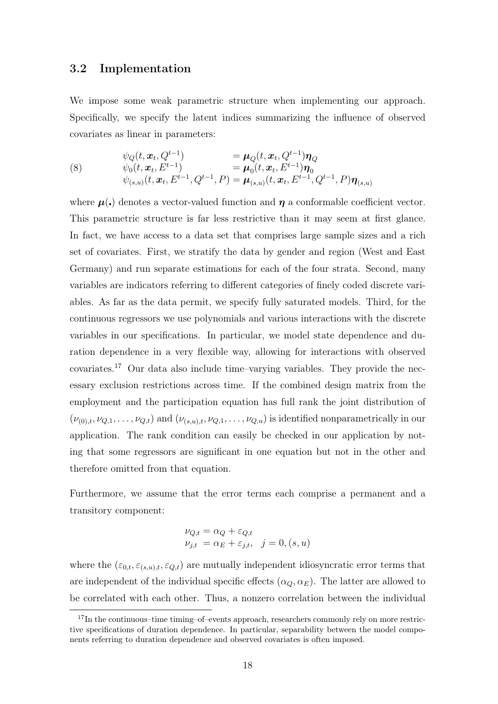#### 3.2 Implementation

We impose some weak parametric structure when implementing our approach. Specifically, we specify the latent indices summarizing the influence of observed covariates as linear in parameters:

(8) 
$$
\psi_Q(t, \mathbf{x}_t, Q^{t-1}) = \mu_Q(t, \mathbf{x}_t, Q^{t-1}) \eta_Q \n\psi_0(t, \mathbf{x}_t, E^{t-1}) = \mu_0(t, \mathbf{x}_t, E^{t-1}) \eta_0 \n\psi_{(s,u)}(t, \mathbf{x}_t, E^{t-1}, Q^{t-1}, P) = \mu_{(s,u)}(t, \mathbf{x}_t, E^{t-1}, Q^{t-1}, P) \eta_{(s,u)}
$$

where  $\mu(.)$  denotes a vector-valued function and  $\eta$  a conformable coefficient vector. This parametric structure is far less restrictive than it may seem at first glance. In fact, we have access to a data set that comprises large sample sizes and a rich set of covariates. First, we stratify the data by gender and region (West and East Germany) and run separate estimations for each of the four strata. Second, many variables are indicators referring to different categories of finely coded discrete variables. As far as the data permit, we specify fully saturated models. Third, for the continuous regressors we use polynomials and various interactions with the discrete variables in our specifications. In particular, we model state dependence and duration dependence in a very flexible way, allowing for interactions with observed covariates.<sup>17</sup> Our data also include time–varying variables. They provide the necessary exclusion restrictions across time. If the combined design matrix from the employment and the participation equation has full rank the joint distribution of  $(\nu_{(0),t}, \nu_{Q,1}, \ldots, \nu_{Q,t})$  and  $(\nu_{(s,u),t}, \nu_{Q,1}, \ldots, \nu_{Q,u})$  is identified nonparametrically in our application. The rank condition can easily be checked in our application by noting that some regressors are significant in one equation but not in the other and therefore omitted from that equation.

Furthermore, we assume that the error terms each comprise a permanent and a transitory component:

$$
\nu_{Q,t} = \alpha_Q + \varepsilon_{Q,t}
$$
  

$$
\nu_{j,t} = \alpha_E + \varepsilon_{j,t}, \quad j = 0, (s, u)
$$

where the  $(\varepsilon_{0,t}, \varepsilon_{(s,u),t}, \varepsilon_{Q,t})$  are mutually independent idiosyncratic error terms that are independent of the individual specific effects  $(\alpha_Q, \alpha_E)$ . The latter are allowed to be correlated with each other. Thus, a nonzero correlation between the individual

 $17$ In the continuous–time timing–of–events approach, researchers commonly rely on more restrictive specifications of duration dependence. In particular, separability between the model components referring to duration dependence and observed covariates is often imposed.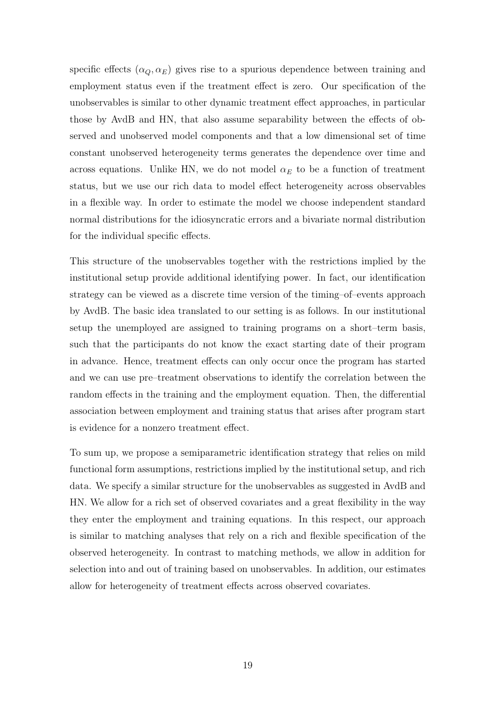specific effects  $(\alpha_Q, \alpha_E)$  gives rise to a spurious dependence between training and employment status even if the treatment effect is zero. Our specification of the unobservables is similar to other dynamic treatment effect approaches, in particular those by AvdB and HN, that also assume separability between the effects of observed and unobserved model components and that a low dimensional set of time constant unobserved heterogeneity terms generates the dependence over time and across equations. Unlike HN, we do not model  $\alpha_E$  to be a function of treatment status, but we use our rich data to model effect heterogeneity across observables in a flexible way. In order to estimate the model we choose independent standard normal distributions for the idiosyncratic errors and a bivariate normal distribution for the individual specific effects.

This structure of the unobservables together with the restrictions implied by the institutional setup provide additional identifying power. In fact, our identification strategy can be viewed as a discrete time version of the timing–of–events approach by AvdB. The basic idea translated to our setting is as follows. In our institutional setup the unemployed are assigned to training programs on a short–term basis, such that the participants do not know the exact starting date of their program in advance. Hence, treatment effects can only occur once the program has started and we can use pre–treatment observations to identify the correlation between the random effects in the training and the employment equation. Then, the differential association between employment and training status that arises after program start is evidence for a nonzero treatment effect.

To sum up, we propose a semiparametric identification strategy that relies on mild functional form assumptions, restrictions implied by the institutional setup, and rich data. We specify a similar structure for the unobservables as suggested in AvdB and HN. We allow for a rich set of observed covariates and a great flexibility in the way they enter the employment and training equations. In this respect, our approach is similar to matching analyses that rely on a rich and flexible specification of the observed heterogeneity. In contrast to matching methods, we allow in addition for selection into and out of training based on unobservables. In addition, our estimates allow for heterogeneity of treatment effects across observed covariates.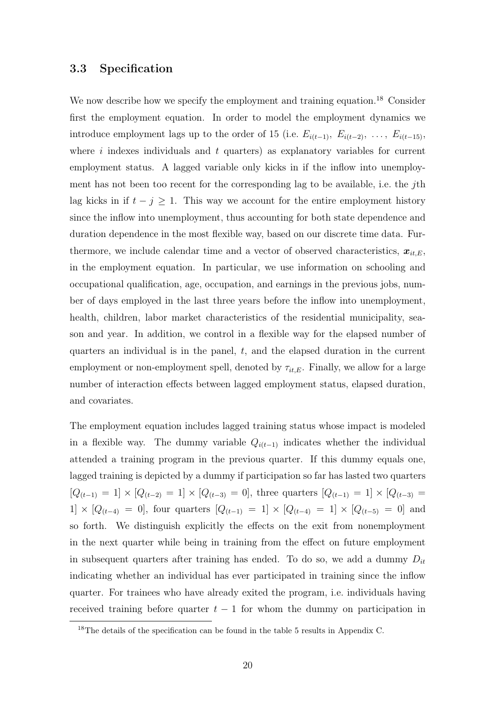#### 3.3 Specification

We now describe how we specify the employment and training equation.<sup>18</sup> Consider first the employment equation. In order to model the employment dynamics we introduce employment lags up to the order of 15 (i.e.  $E_{i(t-1)}, E_{i(t-2)}, \ldots, E_{i(t-15)}$ where  $i$  indexes individuals and  $t$  quarters) as explanatory variables for current employment status. A lagged variable only kicks in if the inflow into unemployment has not been too recent for the corresponding lag to be available, i.e. the *j*th lag kicks in if  $t - j \geq 1$ . This way we account for the entire employment history since the inflow into unemployment, thus accounting for both state dependence and duration dependence in the most flexible way, based on our discrete time data. Furthermore, we include calendar time and a vector of observed characteristics,  $x_{it,E}$ , in the employment equation. In particular, we use information on schooling and occupational qualification, age, occupation, and earnings in the previous jobs, number of days employed in the last three years before the inflow into unemployment, health, children, labor market characteristics of the residential municipality, season and year. In addition, we control in a flexible way for the elapsed number of quarters an individual is in the panel, t, and the elapsed duration in the current employment or non-employment spell, denoted by  $\tau_{it,E}$ . Finally, we allow for a large number of interaction effects between lagged employment status, elapsed duration, and covariates.

The employment equation includes lagged training status whose impact is modeled in a flexible way. The dummy variable  $Q_{i(t-1)}$  indicates whether the individual attended a training program in the previous quarter. If this dummy equals one, lagged training is depicted by a dummy if participation so far has lasted two quarters  $[Q_{(t-1)} = 1] \times [Q_{(t-2)} = 1] \times [Q_{(t-3)} = 0]$ , three quarters  $[Q_{(t-1)} = 1] \times [Q_{(t-3)} = 0]$ 1] × [ $Q_{(t-4)} = 0$ ], four quarters  $[Q_{(t-1)} = 1] \times [Q_{(t-4)} = 1] \times [Q_{(t-5)} = 0]$  and so forth. We distinguish explicitly the effects on the exit from nonemployment in the next quarter while being in training from the effect on future employment in subsequent quarters after training has ended. To do so, we add a dummy  $D_{it}$ indicating whether an individual has ever participated in training since the inflow quarter. For trainees who have already exited the program, i.e. individuals having received training before quarter  $t - 1$  for whom the dummy on participation in

<sup>18</sup>The details of the specification can be found in the table 5 results in Appendix C.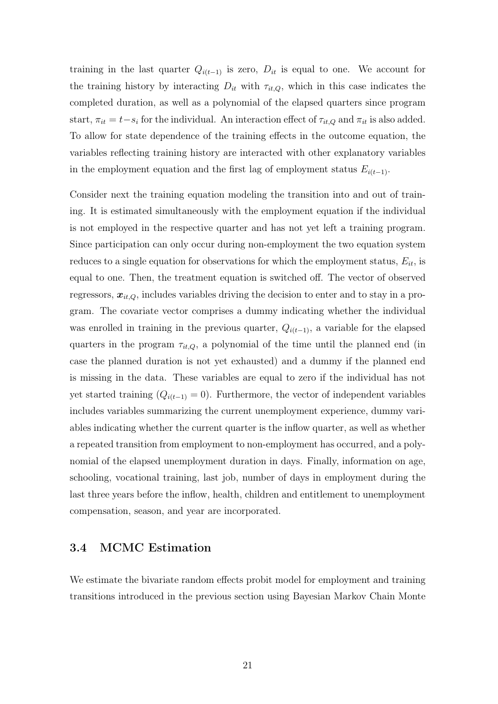training in the last quarter  $Q_{i(t-1)}$  is zero,  $D_{it}$  is equal to one. We account for the training history by interacting  $D_{it}$  with  $\tau_{it,Q}$ , which in this case indicates the completed duration, as well as a polynomial of the elapsed quarters since program start,  $\pi_{it} = t - s_i$  for the individual. An interaction effect of  $\tau_{it,Q}$  and  $\pi_{it}$  is also added. To allow for state dependence of the training effects in the outcome equation, the variables reflecting training history are interacted with other explanatory variables in the employment equation and the first lag of employment status  $E_{i(t-1)}$ .

Consider next the training equation modeling the transition into and out of training. It is estimated simultaneously with the employment equation if the individual is not employed in the respective quarter and has not yet left a training program. Since participation can only occur during non-employment the two equation system reduces to a single equation for observations for which the employment status,  $E_{it}$ , is equal to one. Then, the treatment equation is switched off. The vector of observed regressors,  $x_{it,Q}$ , includes variables driving the decision to enter and to stay in a program. The covariate vector comprises a dummy indicating whether the individual was enrolled in training in the previous quarter,  $Q_{i(t-1)}$ , a variable for the elapsed quarters in the program  $\tau_{it,Q}$ , a polynomial of the time until the planned end (in case the planned duration is not yet exhausted) and a dummy if the planned end is missing in the data. These variables are equal to zero if the individual has not yet started training  $(Q_{i(t-1)} = 0)$ . Furthermore, the vector of independent variables includes variables summarizing the current unemployment experience, dummy variables indicating whether the current quarter is the inflow quarter, as well as whether a repeated transition from employment to non-employment has occurred, and a polynomial of the elapsed unemployment duration in days. Finally, information on age, schooling, vocational training, last job, number of days in employment during the last three years before the inflow, health, children and entitlement to unemployment compensation, season, and year are incorporated.

#### 3.4 MCMC Estimation

We estimate the bivariate random effects probit model for employment and training transitions introduced in the previous section using Bayesian Markov Chain Monte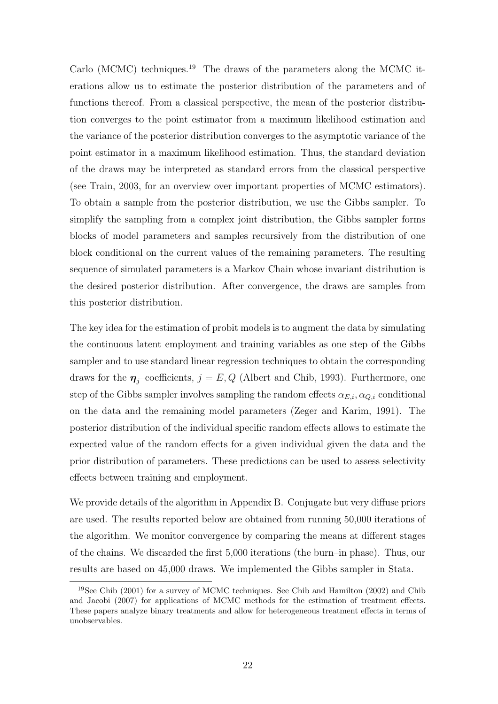Carlo (MCMC) techniques.<sup>19</sup> The draws of the parameters along the MCMC iterations allow us to estimate the posterior distribution of the parameters and of functions thereof. From a classical perspective, the mean of the posterior distribution converges to the point estimator from a maximum likelihood estimation and the variance of the posterior distribution converges to the asymptotic variance of the point estimator in a maximum likelihood estimation. Thus, the standard deviation of the draws may be interpreted as standard errors from the classical perspective (see Train, 2003, for an overview over important properties of MCMC estimators). To obtain a sample from the posterior distribution, we use the Gibbs sampler. To simplify the sampling from a complex joint distribution, the Gibbs sampler forms blocks of model parameters and samples recursively from the distribution of one block conditional on the current values of the remaining parameters. The resulting sequence of simulated parameters is a Markov Chain whose invariant distribution is the desired posterior distribution. After convergence, the draws are samples from this posterior distribution.

The key idea for the estimation of probit models is to augment the data by simulating the continuous latent employment and training variables as one step of the Gibbs sampler and to use standard linear regression techniques to obtain the corresponding draws for the  $\eta_j$ -coefficients,  $j = E, Q$  (Albert and Chib, 1993). Furthermore, one step of the Gibbs sampler involves sampling the random effects  $\alpha_{E,i}, \alpha_{Q,i}$  conditional on the data and the remaining model parameters (Zeger and Karim, 1991). The posterior distribution of the individual specific random effects allows to estimate the expected value of the random effects for a given individual given the data and the prior distribution of parameters. These predictions can be used to assess selectivity effects between training and employment.

We provide details of the algorithm in Appendix B. Conjugate but very diffuse priors are used. The results reported below are obtained from running 50,000 iterations of the algorithm. We monitor convergence by comparing the means at different stages of the chains. We discarded the first 5,000 iterations (the burn–in phase). Thus, our results are based on 45,000 draws. We implemented the Gibbs sampler in Stata.

<sup>19</sup>See Chib (2001) for a survey of MCMC techniques. See Chib and Hamilton (2002) and Chib and Jacobi (2007) for applications of MCMC methods for the estimation of treatment effects. These papers analyze binary treatments and allow for heterogeneous treatment effects in terms of unobservables.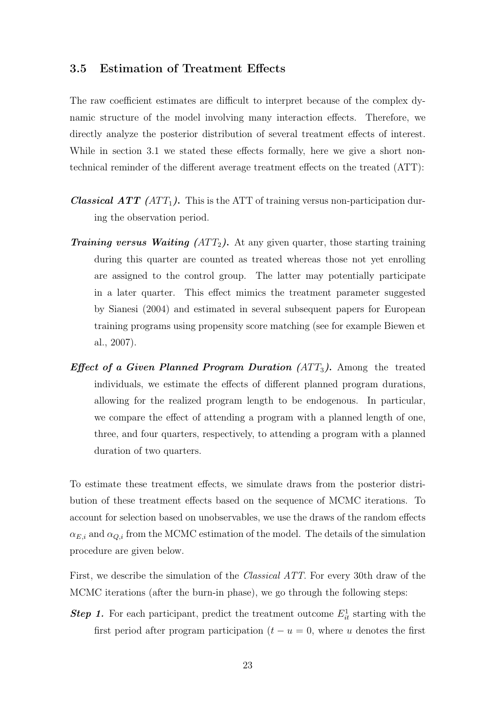#### 3.5 Estimation of Treatment Effects

The raw coefficient estimates are difficult to interpret because of the complex dynamic structure of the model involving many interaction effects. Therefore, we directly analyze the posterior distribution of several treatment effects of interest. While in section 3.1 we stated these effects formally, here we give a short nontechnical reminder of the different average treatment effects on the treated (ATT):

- **Classical ATT** (ATT<sub>1</sub>). This is the ATT of training versus non-participation during the observation period.
- **Training versus Waiting (ATT<sub>2</sub>).** At any given quarter, those starting training during this quarter are counted as treated whereas those not yet enrolling are assigned to the control group. The latter may potentially participate in a later quarter. This effect mimics the treatment parameter suggested by Sianesi (2004) and estimated in several subsequent papers for European training programs using propensity score matching (see for example Biewen et al., 2007).
- Effect of a Given Planned Program Duration  $(ATT<sub>3</sub>)$ . Among the treated individuals, we estimate the effects of different planned program durations, allowing for the realized program length to be endogenous. In particular, we compare the effect of attending a program with a planned length of one, three, and four quarters, respectively, to attending a program with a planned duration of two quarters.

To estimate these treatment effects, we simulate draws from the posterior distribution of these treatment effects based on the sequence of MCMC iterations. To account for selection based on unobservables, we use the draws of the random effects  $\alpha_{E,i}$  and  $\alpha_{Q,i}$  from the MCMC estimation of the model. The details of the simulation procedure are given below.

First, we describe the simulation of the Classical ATT. For every 30th draw of the MCMC iterations (after the burn-in phase), we go through the following steps:

**Step 1.** For each participant, predict the treatment outcome  $E_{it}^1$  starting with the first period after program participation  $(t - u = 0)$ , where u denotes the first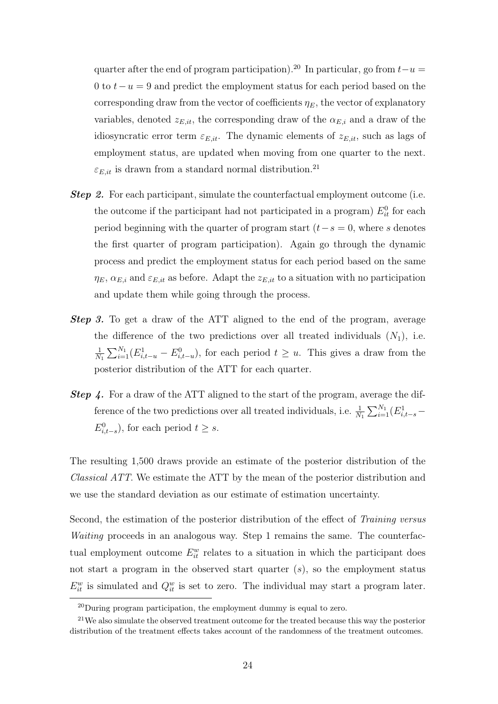quarter after the end of program participation).<sup>20</sup> In particular, go from  $t-u =$ 0 to  $t-u=9$  and predict the employment status for each period based on the corresponding draw from the vector of coefficients  $\eta_E$ , the vector of explanatory variables, denoted  $z_{E,it}$ , the corresponding draw of the  $\alpha_{E,i}$  and a draw of the idiosyncratic error term  $\varepsilon_{E,it}$ . The dynamic elements of  $z_{E,it}$ , such as lags of employment status, are updated when moving from one quarter to the next.  $\varepsilon_{E,it}$  is drawn from a standard normal distribution.<sup>21</sup>

- **Step 2.** For each participant, simulate the counterfactual employment outcome (i.e. the outcome if the participant had not participated in a program)  $E_{it}^0$  for each period beginning with the quarter of program start  $(t-s = 0)$ , where s denotes the first quarter of program participation). Again go through the dynamic process and predict the employment status for each period based on the same  $\eta_E$ ,  $\alpha_{E,i}$  and  $\varepsilon_{E,it}$  as before. Adapt the  $z_{E,it}$  to a situation with no participation and update them while going through the process.
- Step 3. To get a draw of the ATT aligned to the end of the program, average the difference of the two predictions over all treated individuals  $(N_1)$ , i.e. 1  $N_1$  $\sum_{1}^{N_1}$  $\sum_{i=1}^{N_1} (E_{i,t-u}^1 - E_{i,t-u}^0)$ , for each period  $t \geq u$ . This gives a draw from the posterior distribution of the ATT for each quarter.
- Step 4. For a draw of the ATT aligned to the start of the program, average the difference of the two predictions over all treated individuals, i.e.  $\frac{1}{N_1}$  $\sum_{N_1}$  $\frac{N_1}{i=1}(E^1_{i,t-s} E^0_{i,t-s}$ , for each period  $t \geq s$ .

The resulting 1,500 draws provide an estimate of the posterior distribution of the Classical ATT. We estimate the ATT by the mean of the posterior distribution and we use the standard deviation as our estimate of estimation uncertainty.

Second, the estimation of the posterior distribution of the effect of Training versus Waiting proceeds in an analogous way. Step 1 remains the same. The counterfactual employment outcome  $E_{it}^w$  relates to a situation in which the participant does not start a program in the observed start quarter  $(s)$ , so the employment status  $E_{it}^w$  is simulated and  $Q_{it}^w$  is set to zero. The individual may start a program later.

 $^{20}$ During program participation, the employment dummy is equal to zero.

<sup>&</sup>lt;sup>21</sup>We also simulate the observed treatment outcome for the treated because this way the posterior distribution of the treatment effects takes account of the randomness of the treatment outcomes.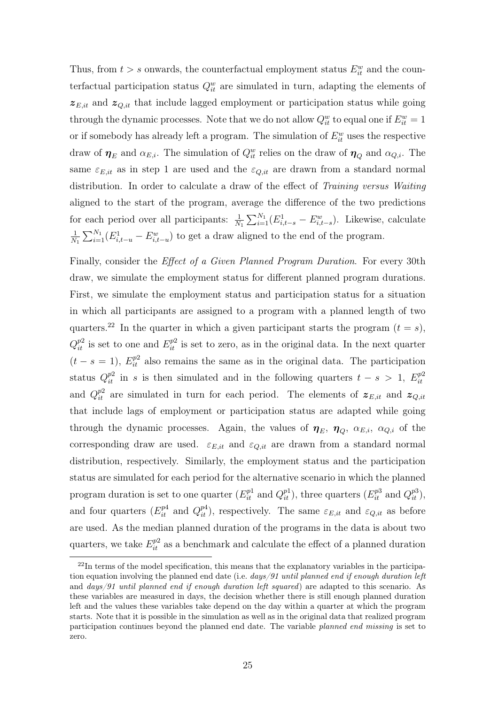Thus, from  $t > s$  onwards, the counterfactual employment status  $E_{it}^w$  and the counterfactual participation status  $Q_{it}^w$  are simulated in turn, adapting the elements of  $z_{E,it}$  and  $z_{Q,it}$  that include lagged employment or participation status while going through the dynamic processes. Note that we do not allow  $Q_{it}^w$  to equal one if  $E_{it}^w = 1$ or if somebody has already left a program. The simulation of  $E_{it}^w$  uses the respective draw of  $\eta_E$  and  $\alpha_{E,i}$ . The simulation of  $Q_{it}^w$  relies on the draw of  $\eta_Q$  and  $\alpha_{Q,i}$ . The same  $\varepsilon_{E,it}$  as in step 1 are used and the  $\varepsilon_{Q,it}$  are drawn from a standard normal distribution. In order to calculate a draw of the effect of Training versus Waiting aligned to the start of the program, average the difference of the two predictions for each period over all participants:  $\frac{1}{N_1}$  $\sum_{N_1}^N$  $\frac{N_1}{i=1}(E_{i,t-s}^1 - E_{i,t-s}^w)$ . Likewise, calculate 1  $N_1$  $\sum_{1}^{N_1}$  $\frac{N_1}{N_1}(E_{i,t-u}^1 - E_{i,t-u}^w)$  to get a draw aligned to the end of the program.

Finally, consider the *Effect of a Given Planned Program Duration*. For every 30th draw, we simulate the employment status for different planned program durations. First, we simulate the employment status and participation status for a situation in which all participants are assigned to a program with a planned length of two quarters.<sup>22</sup> In the quarter in which a given participant starts the program  $(t = s)$ ,  $Q_{it}^{p2}$  is set to one and  $E_{it}^{p2}$  is set to zero, as in the original data. In the next quarter  $(t - s = 1)$ ,  $E_{it}^{p2}$  also remains the same as in the original data. The participation status  $Q_{it}^{p2}$  in s is then simulated and in the following quarters  $t - s > 1$ ,  $E_{it}^{p2}$ it and  $Q_{it}^{p2}$  are simulated in turn for each period. The elements of  $\boldsymbol{z}_{E,it}$  and  $\boldsymbol{z}_{Q,it}$ that include lags of employment or participation status are adapted while going through the dynamic processes. Again, the values of  $\eta_E$ ,  $\eta_Q$ ,  $\alpha_{E,i}$ ,  $\alpha_{Q,i}$  of the corresponding draw are used.  $\varepsilon_{E,it}$  and  $\varepsilon_{Q,it}$  are drawn from a standard normal distribution, respectively. Similarly, the employment status and the participation status are simulated for each period for the alternative scenario in which the planned program duration is set to one quarter  $(E_{it}^{p1} \text{ and } Q_{it}^{p1})$ , three quarters  $(E_{it}^{p3} \text{ and } Q_{it}^{p3})$ , and four quarters  $(E_{it}^{p4}$  and  $Q_{it}^{p4})$ , respectively. The same  $\varepsilon_{E,it}$  and  $\varepsilon_{Q,it}$  as before are used. As the median planned duration of the programs in the data is about two quarters, we take  $E_{it}^{p2}$  as a benchmark and calculate the effect of a planned duration

 $^{22}$ In terms of the model specification, this means that the explanatory variables in the participation equation involving the planned end date (i.e.  $days/91$  until planned end if enough duration left and *days/91 until planned end if enough duration left squared*) are adapted to this scenario. As these variables are measured in days, the decision whether there is still enough planned duration left and the values these variables take depend on the day within a quarter at which the program starts. Note that it is possible in the simulation as well as in the original data that realized program participation continues beyond the planned end date. The variable planned end missing is set to zero.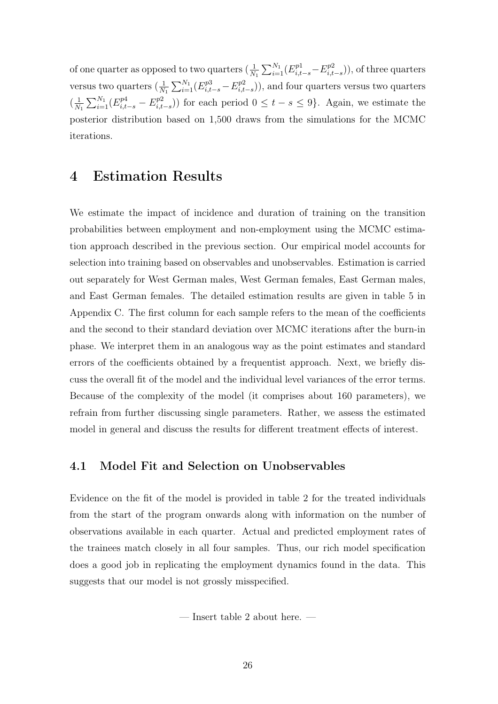of one quarter as opposed to two quarters  $(\frac{1}{N_1})$  $\sum_{1}^{N_1}$  $\frac{N_1}{i=1}(E^{p1}_{i,t-s}-E^{p2}_{i,t})$  $\binom{p}{i,t-s}$ , of three quarters versus two quarters  $(\frac{1}{N_1})$  $\sum_{1}^{N_1}$  $\sum_{i=1}^{N_1} (E^{p3}_{i,t-s} - E^{p2}_{i,t})$  $\binom{p2}{i,t-s}$ , and four quarters versus two quarters  $\left(\frac{1}{N}\right)$  $N_1$  $\sum_{1}^{N_1}$  $\frac{N_1}{i=1}(E^{p4}_{i,t-s}-E^{p2}_{i,t})$  $\binom{p_2}{i,t-s}$ ) for each period  $0 \le t - s \le 9$ . Again, we estimate the posterior distribution based on 1,500 draws from the simulations for the MCMC iterations.

### 4 Estimation Results

We estimate the impact of incidence and duration of training on the transition probabilities between employment and non-employment using the MCMC estimation approach described in the previous section. Our empirical model accounts for selection into training based on observables and unobservables. Estimation is carried out separately for West German males, West German females, East German males, and East German females. The detailed estimation results are given in table 5 in Appendix C. The first column for each sample refers to the mean of the coefficients and the second to their standard deviation over MCMC iterations after the burn-in phase. We interpret them in an analogous way as the point estimates and standard errors of the coefficients obtained by a frequentist approach. Next, we briefly discuss the overall fit of the model and the individual level variances of the error terms. Because of the complexity of the model (it comprises about 160 parameters), we refrain from further discussing single parameters. Rather, we assess the estimated model in general and discuss the results for different treatment effects of interest.

#### 4.1 Model Fit and Selection on Unobservables

Evidence on the fit of the model is provided in table 2 for the treated individuals from the start of the program onwards along with information on the number of observations available in each quarter. Actual and predicted employment rates of the trainees match closely in all four samples. Thus, our rich model specification does a good job in replicating the employment dynamics found in the data. This suggests that our model is not grossly misspecified.

— Insert table 2 about here. —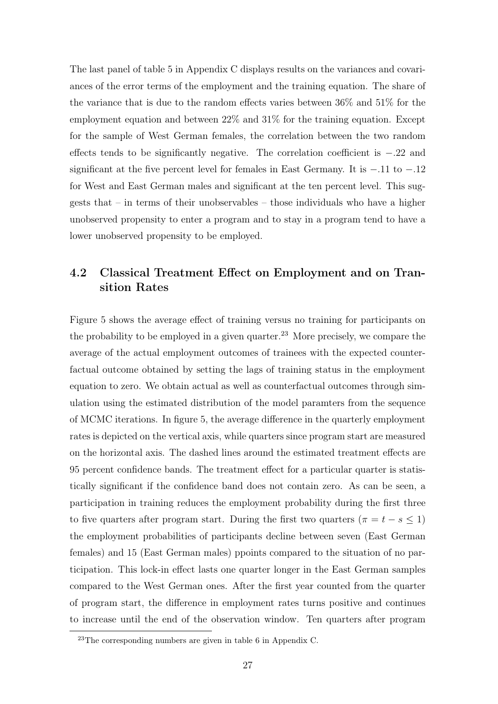The last panel of table 5 in Appendix C displays results on the variances and covariances of the error terms of the employment and the training equation. The share of the variance that is due to the random effects varies between 36% and 51% for the employment equation and between 22% and 31% for the training equation. Except for the sample of West German females, the correlation between the two random effects tends to be significantly negative. The correlation coefficient is −.22 and significant at the five percent level for females in East Germany. It is −.11 to −.12 for West and East German males and significant at the ten percent level. This suggests that – in terms of their unobservables – those individuals who have a higher unobserved propensity to enter a program and to stay in a program tend to have a lower unobserved propensity to be employed.

### 4.2 Classical Treatment Effect on Employment and on Transition Rates

Figure 5 shows the average effect of training versus no training for participants on the probability to be employed in a given quarter.<sup>23</sup> More precisely, we compare the average of the actual employment outcomes of trainees with the expected counterfactual outcome obtained by setting the lags of training status in the employment equation to zero. We obtain actual as well as counterfactual outcomes through simulation using the estimated distribution of the model paramters from the sequence of MCMC iterations. In figure 5, the average difference in the quarterly employment rates is depicted on the vertical axis, while quarters since program start are measured on the horizontal axis. The dashed lines around the estimated treatment effects are 95 percent confidence bands. The treatment effect for a particular quarter is statistically significant if the confidence band does not contain zero. As can be seen, a participation in training reduces the employment probability during the first three to five quarters after program start. During the first two quarters ( $\pi = t - s \leq 1$ ) the employment probabilities of participants decline between seven (East German females) and 15 (East German males) ppoints compared to the situation of no participation. This lock-in effect lasts one quarter longer in the East German samples compared to the West German ones. After the first year counted from the quarter of program start, the difference in employment rates turns positive and continues to increase until the end of the observation window. Ten quarters after program

 $^{23}$ The corresponding numbers are given in table 6 in Appendix C.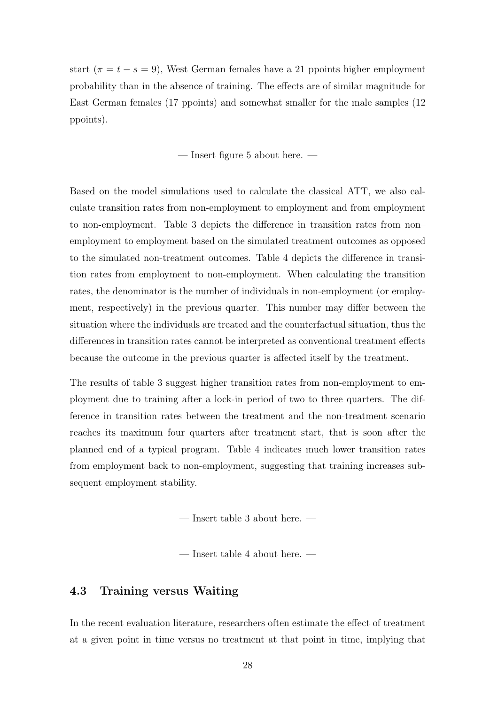start ( $\pi = t - s = 9$ ), West German females have a 21 ppoints higher employment probability than in the absence of training. The effects are of similar magnitude for East German females (17 ppoints) and somewhat smaller for the male samples (12 ppoints).

— Insert figure 5 about here. —

Based on the model simulations used to calculate the classical ATT, we also calculate transition rates from non-employment to employment and from employment to non-employment. Table 3 depicts the difference in transition rates from non– employment to employment based on the simulated treatment outcomes as opposed to the simulated non-treatment outcomes. Table 4 depicts the difference in transition rates from employment to non-employment. When calculating the transition rates, the denominator is the number of individuals in non-employment (or employment, respectively) in the previous quarter. This number may differ between the situation where the individuals are treated and the counterfactual situation, thus the differences in transition rates cannot be interpreted as conventional treatment effects because the outcome in the previous quarter is affected itself by the treatment.

The results of table 3 suggest higher transition rates from non-employment to employment due to training after a lock-in period of two to three quarters. The difference in transition rates between the treatment and the non-treatment scenario reaches its maximum four quarters after treatment start, that is soon after the planned end of a typical program. Table 4 indicates much lower transition rates from employment back to non-employment, suggesting that training increases subsequent employment stability.

— Insert table 3 about here. —

— Insert table 4 about here. —

#### 4.3 Training versus Waiting

In the recent evaluation literature, researchers often estimate the effect of treatment at a given point in time versus no treatment at that point in time, implying that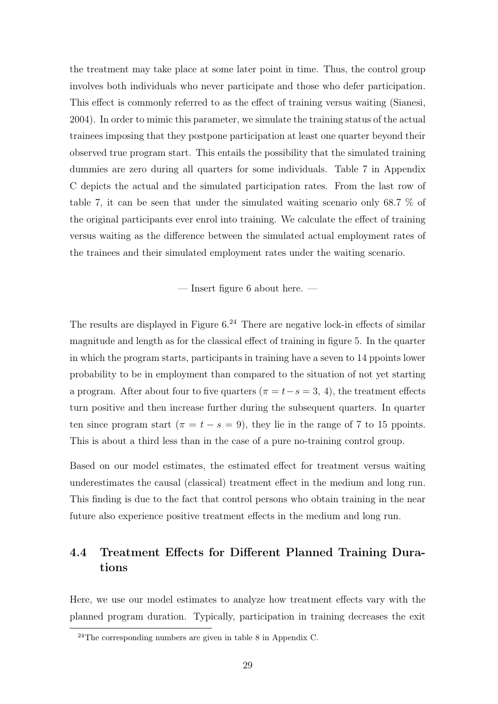the treatment may take place at some later point in time. Thus, the control group involves both individuals who never participate and those who defer participation. This effect is commonly referred to as the effect of training versus waiting (Sianesi, 2004). In order to mimic this parameter, we simulate the training status of the actual trainees imposing that they postpone participation at least one quarter beyond their observed true program start. This entails the possibility that the simulated training dummies are zero during all quarters for some individuals. Table 7 in Appendix C depicts the actual and the simulated participation rates. From the last row of table 7, it can be seen that under the simulated waiting scenario only 68.7 % of the original participants ever enrol into training. We calculate the effect of training versus waiting as the difference between the simulated actual employment rates of the trainees and their simulated employment rates under the waiting scenario.

— Insert figure 6 about here. —

The results are displayed in Figure  $6.^{24}$  There are negative lock-in effects of similar magnitude and length as for the classical effect of training in figure 5. In the quarter in which the program starts, participants in training have a seven to 14 ppoints lower probability to be in employment than compared to the situation of not yet starting a program. After about four to five quarters ( $\pi = t - s = 3, 4$ ), the treatment effects turn positive and then increase further during the subsequent quarters. In quarter ten since program start ( $\pi = t - s = 9$ ), they lie in the range of 7 to 15 ppoints. This is about a third less than in the case of a pure no-training control group.

Based on our model estimates, the estimated effect for treatment versus waiting underestimates the causal (classical) treatment effect in the medium and long run. This finding is due to the fact that control persons who obtain training in the near future also experience positive treatment effects in the medium and long run.

### 4.4 Treatment Effects for Different Planned Training Durations

Here, we use our model estimates to analyze how treatment effects vary with the planned program duration. Typically, participation in training decreases the exit

<sup>&</sup>lt;sup>24</sup>The corresponding numbers are given in table 8 in Appendix C.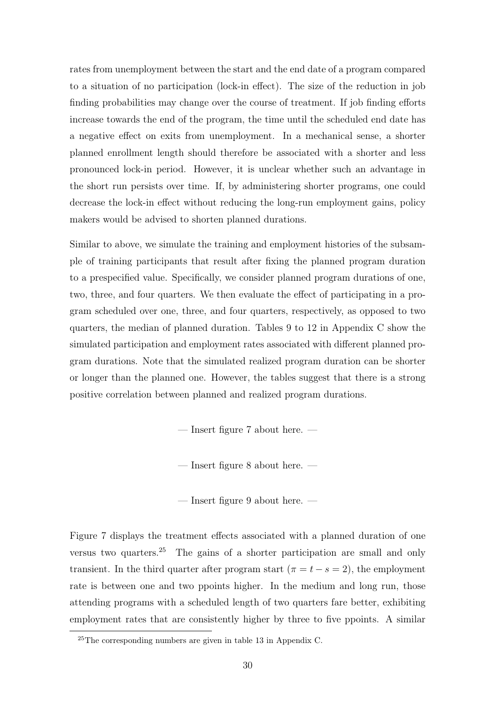rates from unemployment between the start and the end date of a program compared to a situation of no participation (lock-in effect). The size of the reduction in job finding probabilities may change over the course of treatment. If job finding efforts increase towards the end of the program, the time until the scheduled end date has a negative effect on exits from unemployment. In a mechanical sense, a shorter planned enrollment length should therefore be associated with a shorter and less pronounced lock-in period. However, it is unclear whether such an advantage in the short run persists over time. If, by administering shorter programs, one could decrease the lock-in effect without reducing the long-run employment gains, policy makers would be advised to shorten planned durations.

Similar to above, we simulate the training and employment histories of the subsample of training participants that result after fixing the planned program duration to a prespecified value. Specifically, we consider planned program durations of one, two, three, and four quarters. We then evaluate the effect of participating in a program scheduled over one, three, and four quarters, respectively, as opposed to two quarters, the median of planned duration. Tables 9 to 12 in Appendix C show the simulated participation and employment rates associated with different planned program durations. Note that the simulated realized program duration can be shorter or longer than the planned one. However, the tables suggest that there is a strong positive correlation between planned and realized program durations.

— Insert figure 7 about here. —

— Insert figure 8 about here. —

— Insert figure 9 about here. —

Figure 7 displays the treatment effects associated with a planned duration of one versus two quarters.<sup>25</sup> The gains of a shorter participation are small and only transient. In the third quarter after program start ( $\pi = t - s = 2$ ), the employment rate is between one and two ppoints higher. In the medium and long run, those attending programs with a scheduled length of two quarters fare better, exhibiting employment rates that are consistently higher by three to five ppoints. A similar

 $^{25}$ The corresponding numbers are given in table 13 in Appendix C.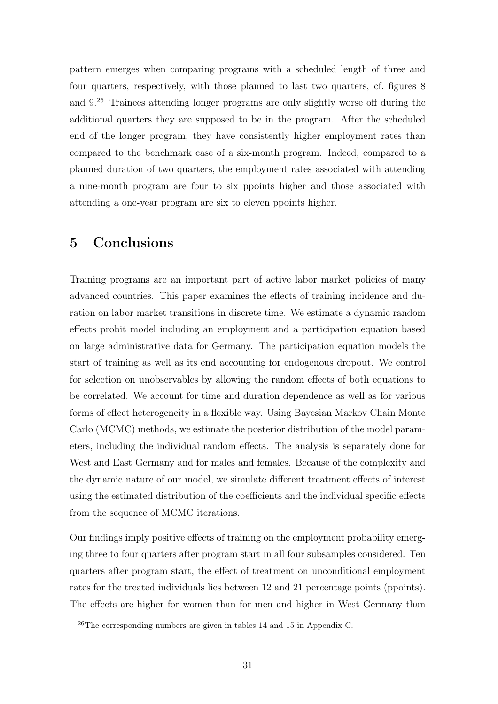pattern emerges when comparing programs with a scheduled length of three and four quarters, respectively, with those planned to last two quarters, cf. figures 8 and 9.<sup>26</sup> Trainees attending longer programs are only slightly worse off during the additional quarters they are supposed to be in the program. After the scheduled end of the longer program, they have consistently higher employment rates than compared to the benchmark case of a six-month program. Indeed, compared to a planned duration of two quarters, the employment rates associated with attending a nine-month program are four to six ppoints higher and those associated with attending a one-year program are six to eleven ppoints higher.

### 5 Conclusions

Training programs are an important part of active labor market policies of many advanced countries. This paper examines the effects of training incidence and duration on labor market transitions in discrete time. We estimate a dynamic random effects probit model including an employment and a participation equation based on large administrative data for Germany. The participation equation models the start of training as well as its end accounting for endogenous dropout. We control for selection on unobservables by allowing the random effects of both equations to be correlated. We account for time and duration dependence as well as for various forms of effect heterogeneity in a flexible way. Using Bayesian Markov Chain Monte Carlo (MCMC) methods, we estimate the posterior distribution of the model parameters, including the individual random effects. The analysis is separately done for West and East Germany and for males and females. Because of the complexity and the dynamic nature of our model, we simulate different treatment effects of interest using the estimated distribution of the coefficients and the individual specific effects from the sequence of MCMC iterations.

Our findings imply positive effects of training on the employment probability emerging three to four quarters after program start in all four subsamples considered. Ten quarters after program start, the effect of treatment on unconditional employment rates for the treated individuals lies between 12 and 21 percentage points (ppoints). The effects are higher for women than for men and higher in West Germany than

 $^{26}$ The corresponding numbers are given in tables 14 and 15 in Appendix C.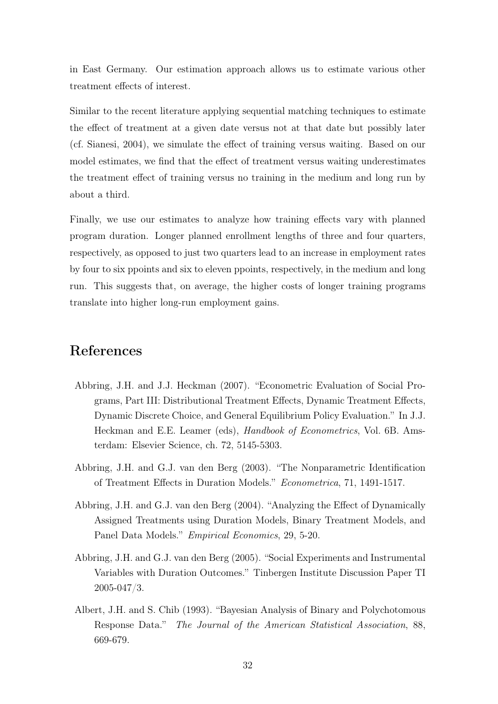in East Germany. Our estimation approach allows us to estimate various other treatment effects of interest.

Similar to the recent literature applying sequential matching techniques to estimate the effect of treatment at a given date versus not at that date but possibly later (cf. Sianesi, 2004), we simulate the effect of training versus waiting. Based on our model estimates, we find that the effect of treatment versus waiting underestimates the treatment effect of training versus no training in the medium and long run by about a third.

Finally, we use our estimates to analyze how training effects vary with planned program duration. Longer planned enrollment lengths of three and four quarters, respectively, as opposed to just two quarters lead to an increase in employment rates by four to six ppoints and six to eleven ppoints, respectively, in the medium and long run. This suggests that, on average, the higher costs of longer training programs translate into higher long-run employment gains.

# References

- Abbring, J.H. and J.J. Heckman (2007). "Econometric Evaluation of Social Programs, Part III: Distributional Treatment Effects, Dynamic Treatment Effects, Dynamic Discrete Choice, and General Equilibrium Policy Evaluation." In J.J. Heckman and E.E. Leamer (eds), Handbook of Econometrics, Vol. 6B. Amsterdam: Elsevier Science, ch. 72, 5145-5303.
- Abbring, J.H. and G.J. van den Berg (2003). "The Nonparametric Identification of Treatment Effects in Duration Models." Econometrica, 71, 1491-1517.
- Abbring, J.H. and G.J. van den Berg (2004). "Analyzing the Effect of Dynamically Assigned Treatments using Duration Models, Binary Treatment Models, and Panel Data Models." Empirical Economics, 29, 5-20.
- Abbring, J.H. and G.J. van den Berg (2005). "Social Experiments and Instrumental Variables with Duration Outcomes." Tinbergen Institute Discussion Paper TI 2005-047/3.
- Albert, J.H. and S. Chib (1993). "Bayesian Analysis of Binary and Polychotomous Response Data." The Journal of the American Statistical Association, 88, 669-679.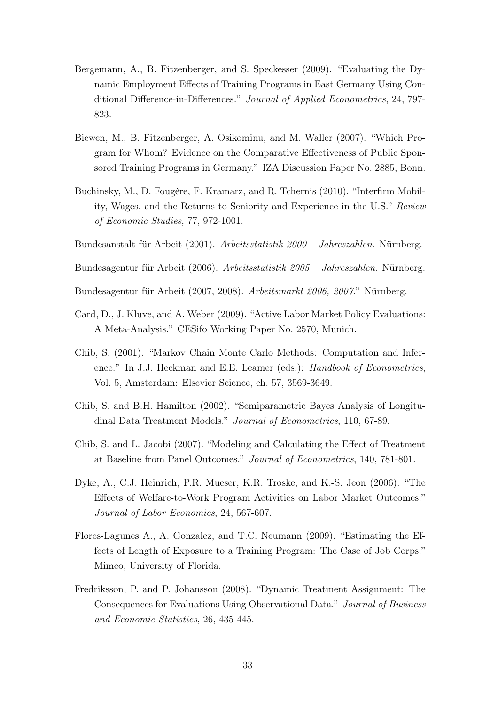- Bergemann, A., B. Fitzenberger, and S. Speckesser (2009). "Evaluating the Dynamic Employment Effects of Training Programs in East Germany Using Conditional Difference-in-Differences." Journal of Applied Econometrics, 24, 797- 823.
- Biewen, M., B. Fitzenberger, A. Osikominu, and M. Waller (2007). "Which Program for Whom? Evidence on the Comparative Effectiveness of Public Sponsored Training Programs in Germany." IZA Discussion Paper No. 2885, Bonn.
- Buchinsky, M., D. Fougère, F. Kramarz, and R. Tchernis (2010). "Interfirm Mobility, Wages, and the Returns to Seniority and Experience in the U.S." Review of Economic Studies, 77, 972-1001.
- Bundesanstalt für Arbeit (2001). Arbeitsstatistik 2000 Jahreszahlen. Nürnberg.
- Bundesagentur für Arbeit (2006). Arbeitsstatistik 2005 Jahreszahlen. Nürnberg.
- Bundesagentur für Arbeit (2007, 2008). Arbeitsmarkt 2006, 2007." Nürnberg.
- Card, D., J. Kluve, and A. Weber (2009). "Active Labor Market Policy Evaluations: A Meta-Analysis." CESifo Working Paper No. 2570, Munich.
- Chib, S. (2001). "Markov Chain Monte Carlo Methods: Computation and Inference." In J.J. Heckman and E.E. Leamer (eds.): Handbook of Econometrics, Vol. 5, Amsterdam: Elsevier Science, ch. 57, 3569-3649.
- Chib, S. and B.H. Hamilton (2002). "Semiparametric Bayes Analysis of Longitudinal Data Treatment Models." Journal of Econometrics, 110, 67-89.
- Chib, S. and L. Jacobi (2007). "Modeling and Calculating the Effect of Treatment at Baseline from Panel Outcomes." Journal of Econometrics, 140, 781-801.
- Dyke, A., C.J. Heinrich, P.R. Mueser, K.R. Troske, and K.-S. Jeon (2006). "The Effects of Welfare-to-Work Program Activities on Labor Market Outcomes." Journal of Labor Economics, 24, 567-607.
- Flores-Lagunes A., A. Gonzalez, and T.C. Neumann (2009). "Estimating the Effects of Length of Exposure to a Training Program: The Case of Job Corps." Mimeo, University of Florida.
- Fredriksson, P. and P. Johansson (2008). "Dynamic Treatment Assignment: The Consequences for Evaluations Using Observational Data." Journal of Business and Economic Statistics, 26, 435-445.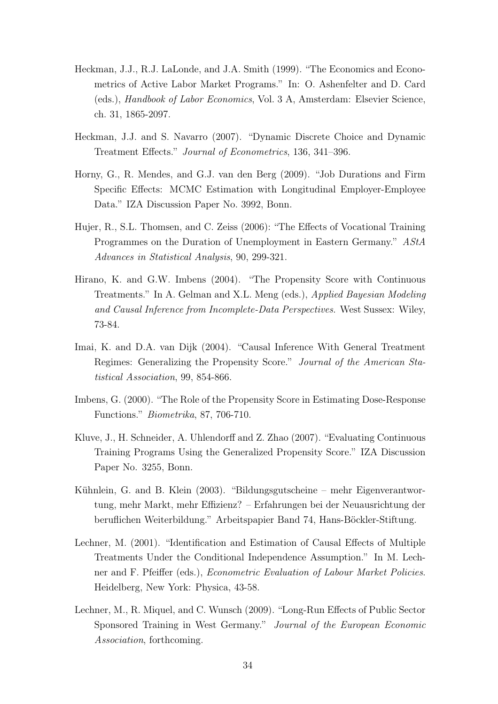- Heckman, J.J., R.J. LaLonde, and J.A. Smith (1999). "The Economics and Econometrics of Active Labor Market Programs." In: O. Ashenfelter and D. Card (eds.), Handbook of Labor Economics, Vol. 3 A, Amsterdam: Elsevier Science, ch. 31, 1865-2097.
- Heckman, J.J. and S. Navarro (2007). "Dynamic Discrete Choice and Dynamic Treatment Effects." Journal of Econometrics, 136, 341–396.
- Horny, G., R. Mendes, and G.J. van den Berg (2009). "Job Durations and Firm Specific Effects: MCMC Estimation with Longitudinal Employer-Employee Data." IZA Discussion Paper No. 3992, Bonn.
- Hujer, R., S.L. Thomsen, and C. Zeiss (2006): "The Effects of Vocational Training Programmes on the Duration of Unemployment in Eastern Germany." AStA Advances in Statistical Analysis, 90, 299-321.
- Hirano, K. and G.W. Imbens (2004). "The Propensity Score with Continuous Treatments." In A. Gelman and X.L. Meng (eds.), Applied Bayesian Modeling and Causal Inference from Incomplete-Data Perspectives. West Sussex: Wiley, 73-84.
- Imai, K. and D.A. van Dijk (2004). "Causal Inference With General Treatment Regimes: Generalizing the Propensity Score." Journal of the American Statistical Association, 99, 854-866.
- Imbens, G. (2000). "The Role of the Propensity Score in Estimating Dose-Response Functions." Biometrika, 87, 706-710.
- Kluve, J., H. Schneider, A. Uhlendorff and Z. Zhao (2007). "Evaluating Continuous Training Programs Using the Generalized Propensity Score." IZA Discussion Paper No. 3255, Bonn.
- Kühnlein, G. and B. Klein (2003). "Bildungsgutscheine mehr Eigenverantwortung, mehr Markt, mehr Effizienz? – Erfahrungen bei der Neuausrichtung der beruflichen Weiterbildung." Arbeitspapier Band 74, Hans-Böckler-Stiftung.
- Lechner, M. (2001). "Identification and Estimation of Causal Effects of Multiple Treatments Under the Conditional Independence Assumption." In M. Lechner and F. Pfeiffer (eds.), Econometric Evaluation of Labour Market Policies. Heidelberg, New York: Physica, 43-58.
- Lechner, M., R. Miquel, and C. Wunsch (2009). "Long-Run Effects of Public Sector Sponsored Training in West Germany." Journal of the European Economic Association, forthcoming.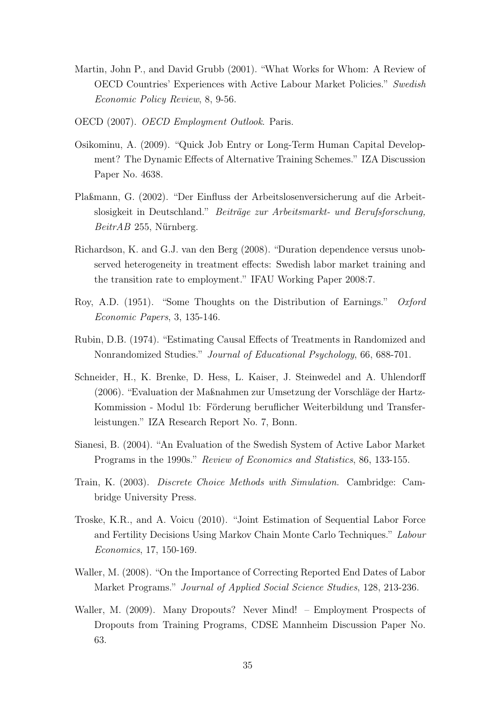- Martin, John P., and David Grubb (2001). "What Works for Whom: A Review of OECD Countries' Experiences with Active Labour Market Policies." Swedish Economic Policy Review, 8, 9-56.
- OECD (2007). OECD Employment Outlook. Paris.
- Osikominu, A. (2009). "Quick Job Entry or Long-Term Human Capital Development? The Dynamic Effects of Alternative Training Schemes." IZA Discussion Paper No. 4638.
- Plaßmann, G. (2002). "Der Einfluss der Arbeitslosenversicherung auf die Arbeitslosigkeit in Deutschland." Beiträge zur Arbeitsmarkt- und Berufsforschung, BeitrAB 255, Nürnberg.
- Richardson, K. and G.J. van den Berg (2008). "Duration dependence versus unobserved heterogeneity in treatment effects: Swedish labor market training and the transition rate to employment." IFAU Working Paper 2008:7.
- Roy, A.D. (1951). "Some Thoughts on the Distribution of Earnings." Oxford Economic Papers, 3, 135-146.
- Rubin, D.B. (1974). "Estimating Causal Effects of Treatments in Randomized and Nonrandomized Studies." Journal of Educational Psychology, 66, 688-701.
- Schneider, H., K. Brenke, D. Hess, L. Kaiser, J. Steinwedel and A. Uhlendorff (2006). "Evaluation der Maßnahmen zur Umsetzung der Vorschläge der Hartz-Kommission - Modul 1b: Förderung beruflicher Weiterbildung und Transferleistungen." IZA Research Report No. 7, Bonn.
- Sianesi, B. (2004). "An Evaluation of the Swedish System of Active Labor Market Programs in the 1990s." Review of Economics and Statistics, 86, 133-155.
- Train, K. (2003). Discrete Choice Methods with Simulation. Cambridge: Cambridge University Press.
- Troske, K.R., and A. Voicu (2010). "Joint Estimation of Sequential Labor Force and Fertility Decisions Using Markov Chain Monte Carlo Techniques." Labour Economics, 17, 150-169.
- Waller, M. (2008). "On the Importance of Correcting Reported End Dates of Labor Market Programs." Journal of Applied Social Science Studies, 128, 213-236.
- Waller, M. (2009). Many Dropouts? Never Mind! Employment Prospects of Dropouts from Training Programs, CDSE Mannheim Discussion Paper No. 63.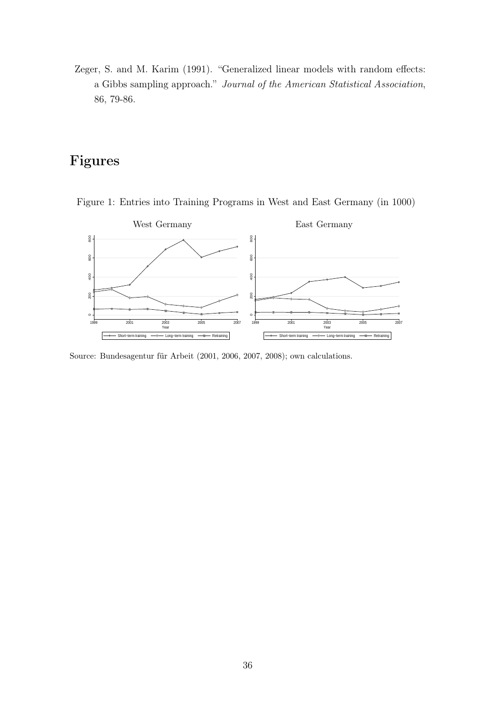Zeger, S. and M. Karim (1991). "Generalized linear models with random effects: a Gibbs sampling approach." Journal of the American Statistical Association, 86, 79-86.

# Figures



Figure 1: Entries into Training Programs in West and East Germany (in 1000)

Source: Bundesagentur für Arbeit (2001, 2006, 2007, 2008); own calculations.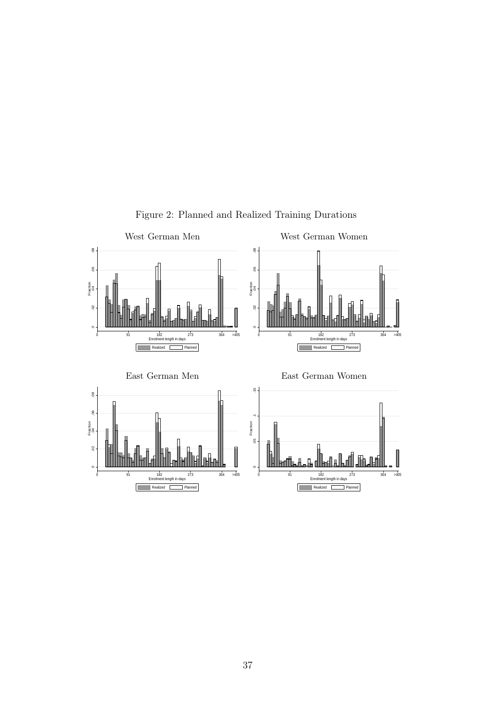

Figure 2: Planned and Realized Training Durations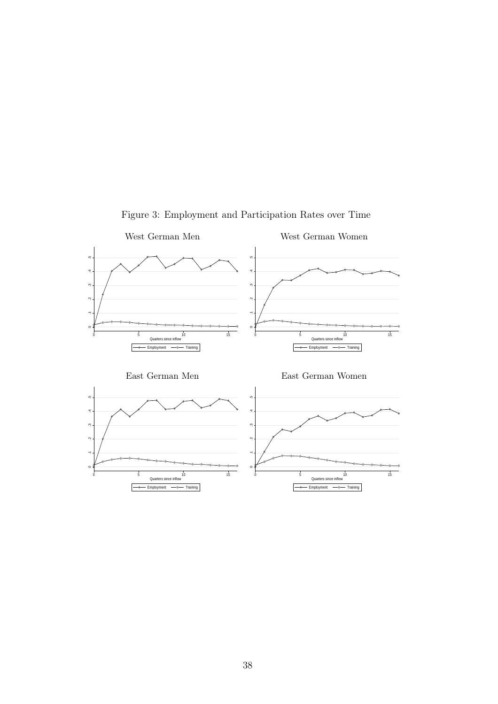

Figure 3: Employment and Participation Rates over Time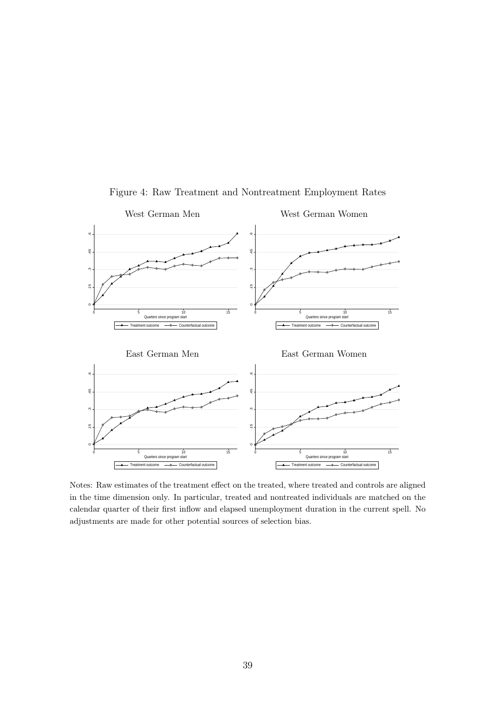

Figure 4: Raw Treatment and Nontreatment Employment Rates

Notes: Raw estimates of the treatment effect on the treated, where treated and controls are aligned in the time dimension only. In particular, treated and nontreated individuals are matched on the calendar quarter of their first inflow and elapsed unemployment duration in the current spell. No adjustments are made for other potential sources of selection bias.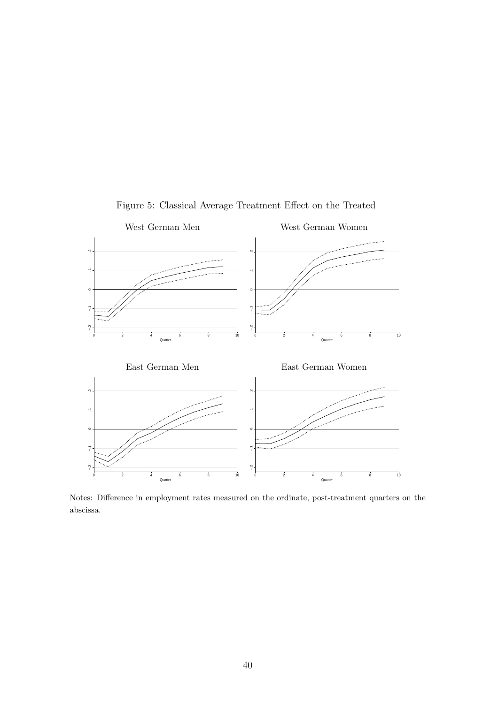

Figure 5: Classical Average Treatment Effect on the Treated

Notes: Difference in employment rates measured on the ordinate, post-treatment quarters on the abscissa.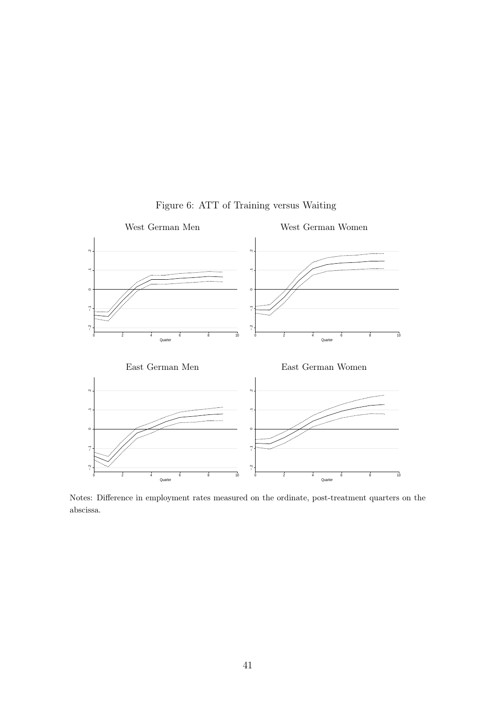

Figure 6: ATT of Training versus Waiting

Notes: Difference in employment rates measured on the ordinate, post-treatment quarters on the abscissa.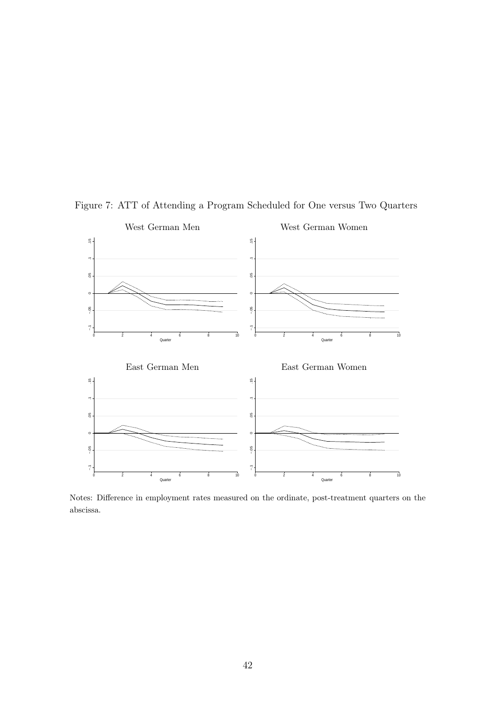

Figure 7: ATT of Attending a Program Scheduled for One versus Two Quarters

Notes: Difference in employment rates measured on the ordinate, post-treatment quarters on the abscissa.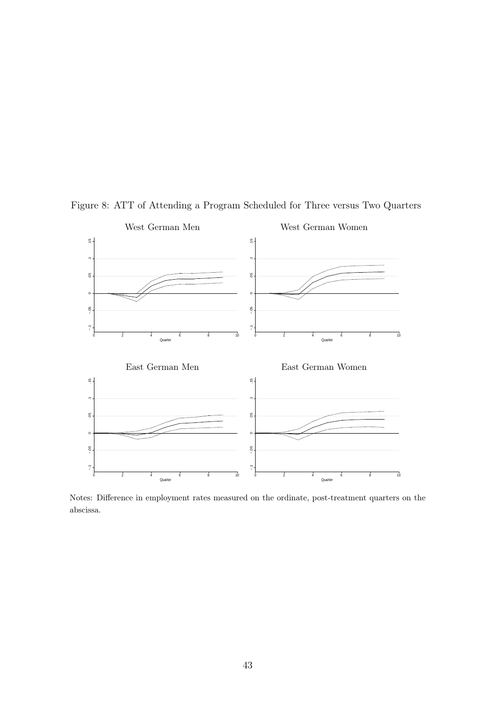

Figure 8: ATT of Attending a Program Scheduled for Three versus Two Quarters

Notes: Difference in employment rates measured on the ordinate, post-treatment quarters on the abscissa.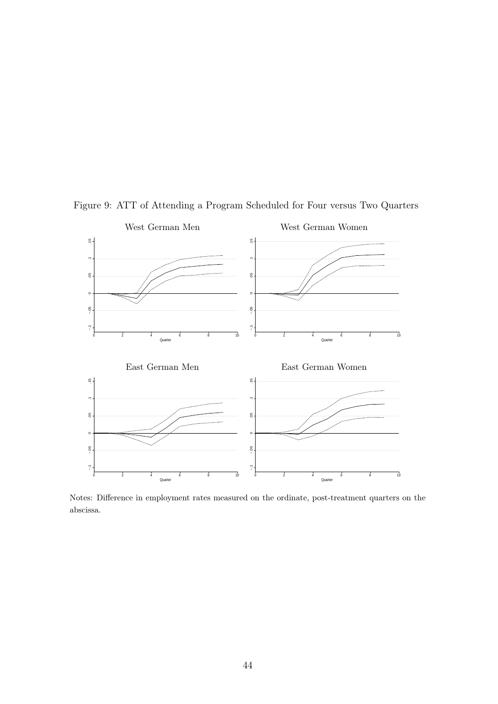

Figure 9: ATT of Attending a Program Scheduled for Four versus Two Quarters

Notes: Difference in employment rates measured on the ordinate, post-treatment quarters on the abscissa.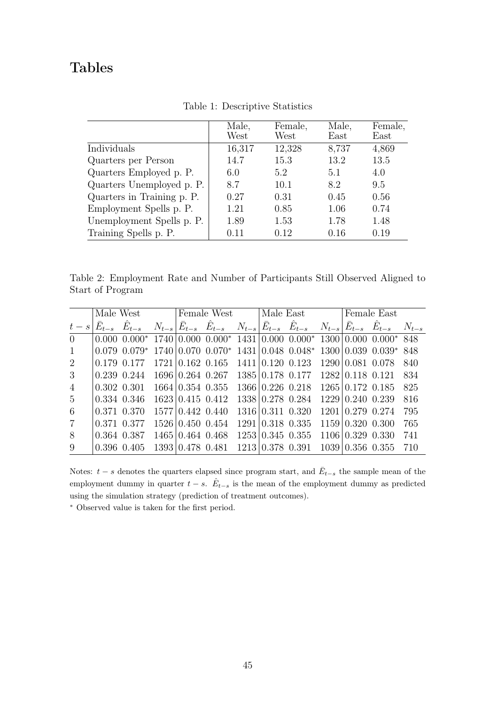# Tables

|                            | Male,<br>West | Female,<br>West | Male,<br>$\text{East}$ | Female,<br>$\text{East}$ |
|----------------------------|---------------|-----------------|------------------------|--------------------------|
| Individuals                | 16,317        | 12,328          | 8,737                  | 4,869                    |
| Quarters per Person        | 14.7          | 15.3            | 13.2                   | 13.5                     |
| Quarters Employed p. P.    | 6.0           | 5.2             | 5.1                    | 4.0                      |
| Quarters Unemployed p. P.  | 8.7           | 10.1            | 8.2                    | 9.5                      |
| Quarters in Training p. P. | 0.27          | 0.31            | 0.45                   | 0.56                     |
| Employment Spells p. P.    | 1.21          | 0.85            | 1.06                   | 0.74                     |
| Unemployment Spells p. P.  | 1.89          | 1.53            | 1.78                   | 1.48                     |
| Training Spells p. P.      | 0.11          | 0.12            | 0.16                   | 0.19                     |

Table 1: Descriptive Statistics

Table 2: Employment Rate and Number of Participants Still Observed Aligned to Start of Program

|                |             | Male West                                                                                                                                                                                             |                              | Female West                                                |                              | Male East |  | Female East                  |     |
|----------------|-------------|-------------------------------------------------------------------------------------------------------------------------------------------------------------------------------------------------------|------------------------------|------------------------------------------------------------|------------------------------|-----------|--|------------------------------|-----|
|                |             | $t - s \left  \bar{E}_{t-s} - \hat{E}_{t-s} - N_{t-s} \right  \bar{E}_{t-s} - \hat{E}_{t-s} - N_{t-s} \left  \bar{E}_{t-s} - \hat{E}_{t-s} - N_{t-s} \right  \bar{E}_{t-s} - \hat{E}_{t-s} - N_{t-s}$ |                              |                                                            |                              |           |  |                              |     |
| $\Omega$       |             | $0.000\ 0.000^*$ 1740 $\mid 0.000\ 0.000^*$ 1431 $\mid 0.000\ 0.000^*$ 1300 $\mid 0.000\ 0.000^*$ 848                                                                                                 |                              |                                                            |                              |           |  |                              |     |
| $\mathbf{1}$   |             | $0.079$ $0.079^*$ $1740$ $ 0.070$ $0.070^*$ $1431$ $ 0.048$ $0.048^*$ $1300$ $ 0.039$ $0.039^*$ 848                                                                                                   |                              |                                                            |                              |           |  |                              |     |
| $\overline{2}$ |             | 0.179 0.177                                                                                                                                                                                           |                              | $1721   0.162 0.165 1411   0.120 0.123 1290   0.081 0.078$ |                              |           |  |                              | 840 |
| 3 <sup>2</sup> |             | $0.239$ $0.244$ $1696$ $0.264$ $0.267$ $1385$ $0.178$ $0.177$ $1282$ $0.118$ $0.121$ $834$                                                                                                            |                              |                                                            |                              |           |  |                              |     |
| $\overline{4}$ |             | $0.302$ $0.301$ $1664 \mid 0.354$ $0.355$ $1366 \mid 0.226$ $0.218$ $1265 \mid 0.172$ $0.185$                                                                                                         |                              |                                                            |                              |           |  |                              | 825 |
| 5 <sup>5</sup> |             | 0.334 0.346                                                                                                                                                                                           |                              | $1623 \mid 0.415 \mid 0.412$                               | 1338 0.278 0.284             |           |  | $1229 \mid 0.240 \mid 0.239$ | 816 |
| 6              | 0.371 0.370 |                                                                                                                                                                                                       | 1577 0.442 0.440             |                                                            | 1316 0.311 0.320             |           |  | 1201 0.279 0.274             | 795 |
| $\overline{7}$ | 0.371 0.377 |                                                                                                                                                                                                       | $1526 \mid 0.450 \mid 0.454$ |                                                            | $1291 \mid 0.318 \mid 0.335$ |           |  | $1159 \mid 0.320 \mid 0.300$ | 765 |
| 8              |             | 0.364 0.387                                                                                                                                                                                           |                              | 1465 0.464 0.468 1253 0.345 0.355                          |                              |           |  | 1106 0.329 0.330             | 741 |
| 9              |             | $0.396$ $0.405$ $1393 \mid 0.478$ $0.481$ $1213 \mid 0.378$ $0.391$                                                                                                                                   |                              |                                                            |                              |           |  | $1039 \mid 0.356$ 0.355 710  |     |

Notes:  $t - s$  denotes the quarters elapsed since program start, and  $\overline{E}_{t-s}$  the sample mean of the employment dummy in quarter  $t - s$ .  $\hat{E}_{t-s}$  is the mean of the employment dummy as predicted using the simulation strategy (prediction of treatment outcomes).

<sup>∗</sup> Observed value is taken for the first period.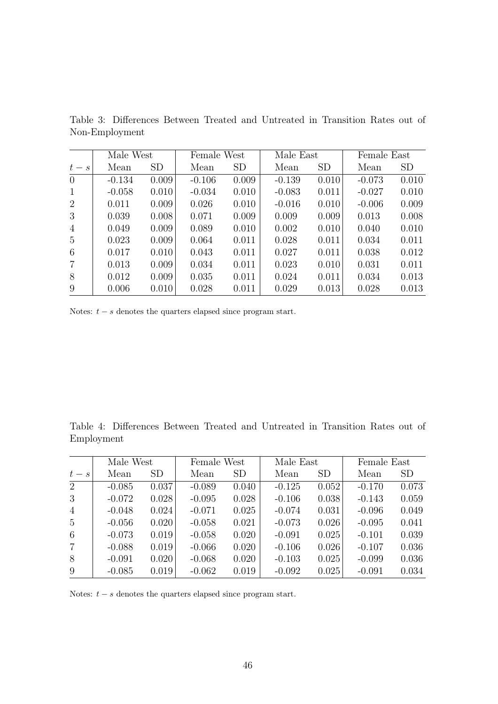|                 | Male West |           | Female West |           | Male East |           | Female East |           |
|-----------------|-----------|-----------|-------------|-----------|-----------|-----------|-------------|-----------|
| $t-s$           | Mean      | <b>SD</b> | Mean        | <b>SD</b> | Mean      | <b>SD</b> | Mean        | <b>SD</b> |
| $\overline{0}$  | $-0.134$  | 0.009     | $-0.106$    | 0.009     | $-0.139$  | 0.010     | $-0.073$    | 0.010     |
| $\mathbf{1}$    | $-0.058$  | 0.010     | $-0.034$    | 0.010     | $-0.083$  | 0.011     | $-0.027$    | 0.010     |
| $\overline{2}$  | 0.011     | 0.009     | 0.026       | 0.010     | $-0.016$  | 0.010     | $-0.006$    | 0.009     |
| 3               | 0.039     | 0.008     | 0.071       | 0.009     | 0.009     | 0.009     | 0.013       | 0.008     |
| $\overline{4}$  | 0.049     | 0.009     | 0.089       | 0.010     | 0.002     | 0.010     | 0.040       | 0.010     |
| $5\overline{)}$ | 0.023     | 0.009     | 0.064       | 0.011     | 0.028     | 0.011     | 0.034       | 0.011     |
| 6               | 0.017     | 0.010     | 0.043       | 0.011     | 0.027     | 0.011     | 0.038       | 0.012     |
| 7               | 0.013     | 0.009     | 0.034       | 0.011     | 0.023     | 0.010     | 0.031       | 0.011     |
| 8               | 0.012     | 0.009     | 0.035       | 0.011     | 0.024     | 0.011     | 0.034       | 0.013     |
| 9               | 0.006     | 0.010     | 0.028       | 0.011     | 0.029     | 0.013     | 0.028       | 0.013     |

Table 3: Differences Between Treated and Untreated in Transition Rates out of Non-Employment

Notes:  $t - s$  denotes the quarters elapsed since program start.

Table 4: Differences Between Treated and Untreated in Transition Rates out of Employment

|                 | Male West |           | Female West |                 | Male East |                 | Female East |           |
|-----------------|-----------|-----------|-------------|-----------------|-----------|-----------------|-------------|-----------|
| $t-s$           | Mean      | <b>SD</b> | Mean        | SD <sub>1</sub> | Mean      | SD <sub>1</sub> | Mean        | <b>SD</b> |
| 2               | $-0.085$  | 0.037     | $-0.089$    | 0.040           | $-0.125$  | 0.052           | $-0.170$    | 0.073     |
| 3               | $-0.072$  | 0.028     | $-0.095$    | 0.028           | $-0.106$  | 0.038           | $-0.143$    | 0.059     |
| $\overline{4}$  | $-0.048$  | 0.024     | $-0.071$    | 0.025           | $-0.074$  | 0.031           | $-0.096$    | 0.049     |
| $5\overline{)}$ | $-0.056$  | 0.020     | $-0.058$    | 0.021           | $-0.073$  | 0.026           | $-0.095$    | 0.041     |
| 6               | $-0.073$  | 0.019     | $-0.058$    | 0.020           | $-0.091$  | 0.025           | $-0.101$    | 0.039     |
| $\overline{7}$  | $-0.088$  | 0.019     | $-0.066$    | 0.020           | $-0.106$  | 0.026           | $-0.107$    | 0.036     |
| 8               | $-0.091$  | 0.020     | $-0.068$    | 0.020           | $-0.103$  | 0.025           | $-0.099$    | 0.036     |
| 9               | $-0.085$  | 0.019     | $-0.062$    | 0.019           | $-0.092$  | 0.025           | $-0.091$    | 0.034     |

Notes:  $t - s$  denotes the quarters elapsed since program start.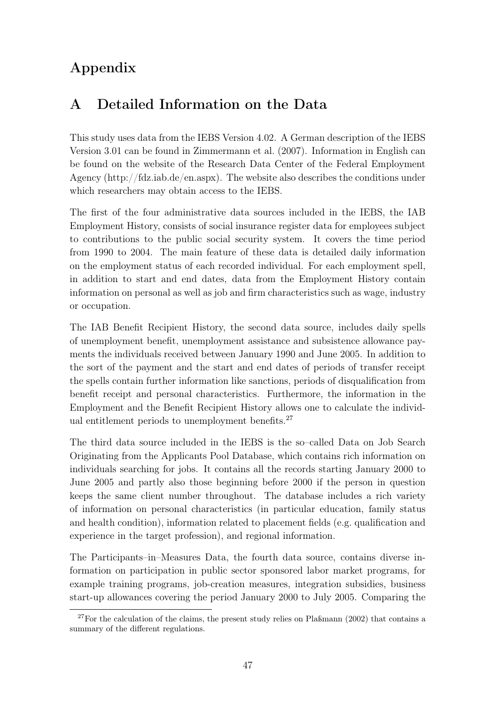# Appendix

# A Detailed Information on the Data

This study uses data from the IEBS Version 4.02. A German description of the IEBS Version 3.01 can be found in Zimmermann et al. (2007). Information in English can be found on the website of the Research Data Center of the Federal Employment Agency (http://fdz.iab.de/en.aspx). The website also describes the conditions under which researchers may obtain access to the IEBS.

The first of the four administrative data sources included in the IEBS, the IAB Employment History, consists of social insurance register data for employees subject to contributions to the public social security system. It covers the time period from 1990 to 2004. The main feature of these data is detailed daily information on the employment status of each recorded individual. For each employment spell, in addition to start and end dates, data from the Employment History contain information on personal as well as job and firm characteristics such as wage, industry or occupation.

The IAB Benefit Recipient History, the second data source, includes daily spells of unemployment benefit, unemployment assistance and subsistence allowance payments the individuals received between January 1990 and June 2005. In addition to the sort of the payment and the start and end dates of periods of transfer receipt the spells contain further information like sanctions, periods of disqualification from benefit receipt and personal characteristics. Furthermore, the information in the Employment and the Benefit Recipient History allows one to calculate the individual entitlement periods to unemployment benefits.<sup>27</sup>

The third data source included in the IEBS is the so–called Data on Job Search Originating from the Applicants Pool Database, which contains rich information on individuals searching for jobs. It contains all the records starting January 2000 to June 2005 and partly also those beginning before 2000 if the person in question keeps the same client number throughout. The database includes a rich variety of information on personal characteristics (in particular education, family status and health condition), information related to placement fields (e.g. qualification and experience in the target profession), and regional information.

The Participants–in–Measures Data, the fourth data source, contains diverse information on participation in public sector sponsored labor market programs, for example training programs, job-creation measures, integration subsidies, business start-up allowances covering the period January 2000 to July 2005. Comparing the

 $27$  For the calculation of the claims, the present study relies on Plaßmann (2002) that contains a summary of the different regulations.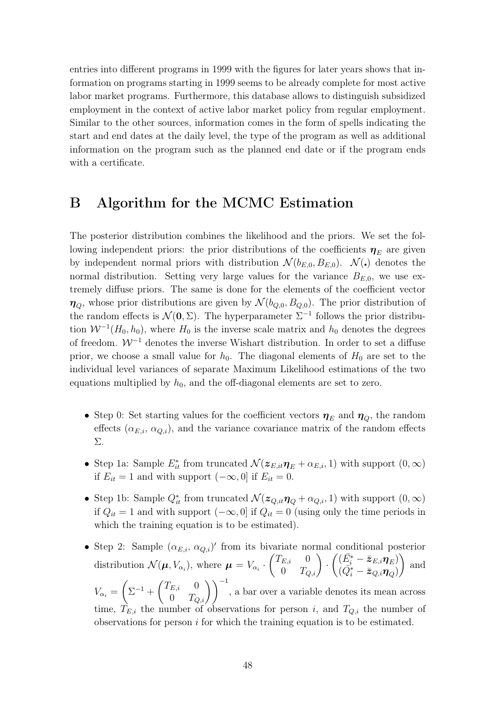entries into different programs in 1999 with the figures for later years shows that information on programs starting in 1999 seems to be already complete for most active labor market programs. Furthermore, this database allows to distinguish subsidized employment in the context of active labor market policy from regular employment. Similar to the other sources, information comes in the form of spells indicating the start and end dates at the daily level, the type of the program as well as additional information on the program such as the planned end date or if the program ends with a certificate.

# B Algorithm for the MCMC Estimation

The posterior distribution combines the likelihood and the priors. We set the following independent priors: the prior distributions of the coefficients  $\eta_E$  are given by independent normal priors with distribution  $\mathcal{N}(b_{E,0}, B_{E,0})$ .  $\mathcal{N}(\cdot)$  denotes the normal distribution. Setting very large values for the variance  $B_{E,0}$ , we use extremely diffuse priors. The same is done for the elements of the coefficient vector  $\eta_{\scriptscriptstyle\rm O}$ , whose prior distributions are given by  $\mathcal{N}(b_{\scriptscriptstyle\rm Q,0},B_{\scriptscriptstyle\rm Q,0})$ . The prior distribution of the random effects is  $\mathcal{N}(0, \Sigma)$ . The hyperparameter  $\Sigma^{-1}$  follows the prior distribution  $W^{-1}(H_0, h_0)$ , where  $H_0$  is the inverse scale matrix and  $h_0$  denotes the degrees of freedom.  $\mathcal{W}^{-1}$  denotes the inverse Wishart distribution. In order to set a diffuse prior, we choose a small value for  $h_0$ . The diagonal elements of  $H_0$  are set to the individual level variances of separate Maximum Likelihood estimations of the two equations multiplied by  $h_0$ , and the off-diagonal elements are set to zero.

- Step 0: Set starting values for the coefficient vectors  $\eta_E$  and  $\eta_Q$ , the random effects  $(\alpha_{E,i}, \alpha_{Q,i})$ , and the variance covariance matrix of the random effects Σ.
- Step 1a: Sample  $E_{it}^*$  from truncated  $\mathcal{N}(z_{E,it}\eta_E + \alpha_{E,i}, 1)$  with support  $(0, \infty)$ if  $E_{it} = 1$  and with support  $(-\infty, 0]$  if  $E_{it} = 0$ .
- Step 1b: Sample  $Q_{it}^*$  from truncated  $\mathcal{N}(z_{Q,it}\eta_Q + \alpha_{Q,i}, 1)$  with support  $(0, \infty)$ if  $Q_{it} = 1$  and with support  $(-\infty, 0]$  if  $Q_{it} = 0$  (using only the time periods in which the training equation is to be estimated).
- Step 2: Sample  $(\alpha_{E,i}, \alpha_{Q,i})'$  from its bivariate normal conditional posterior distribution  $\mathcal{N}(\boldsymbol{\mu}, V_{\alpha_i})$ , where  $\boldsymbol{\mu} = V_{\alpha_i} \cdot \begin{pmatrix} T_{E,i} & 0 \\ 0 & T_{-i} \end{pmatrix}$ Tate norm<br>  $\begin{pmatrix} E, i & 0 \ 0 & T_{Q,i} \end{pmatrix}$  $\cdot \left( (\bar{E}^*_i - \bar{z}_{E,i} \eta_E) \right)$  $\begin{pmatrix} (\overline{Q}_i^* - \overline{\overline{z}}_{Q,i} \boldsymbol{\eta}_Q) \\ (\overline{Q}_i^* - \overline{\overline{z}}_{Q,i} \boldsymbol{\eta}_Q) \end{pmatrix}$  and  $V_{\alpha_i} = \begin{pmatrix} \sum^{-1} + \begin{pmatrix} T_{E,i} & 0 \\ 0 & T_{-} \end{pmatrix} \end{pmatrix}$ µ µ  $\begin{pmatrix} C_{E,i} & 0 \ 0 & T_{Q,i} \end{pmatrix}$ , a bar over a variable denotes its mean across time,  $T_{E,i}$  the number of observations for person i, and  $T_{Q,i}$  the number of observations for person  $i$  for which the training equation is to be estimated.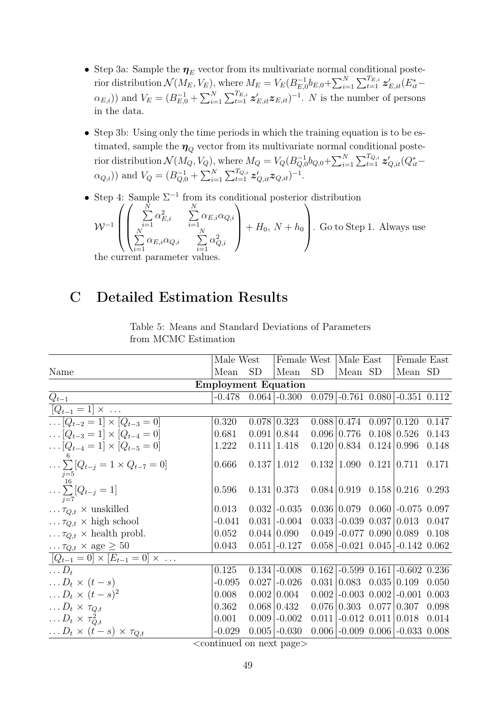- Step 3a: Sample the  $\eta_E$  vector from its multivariate normal conditional posterior distribution  $\mathcal{N}(M_E, V_E)$ , where  $M_E = V_E(B_{E,G}^{-1})$  $\bar{b}^{-1}_{E,0}b_{E,0}+\sum_{i=1}^{N}$  $i=1$ лиции $\bigtriangledown^{T_{E,i}}$  $\frac{T_{E,i}}{t=1}$   $\boldsymbol{z}'_{E,it}(E^*_{it} (\alpha_{E,i})$ ) and  $V_E = (B_{E,0}^{-1} +$  $\sum_{N=1}^{N}$  $i=1$  $\sum_{i} T_{E,i}$  $\sum_{t=1}^{T_{E,i}} z'_{E,it} z_{E,it}$  = 1. N is the number of persons in the data.
- Step 3b: Using only the time periods in which the training equation is to be estimated, sample the  $\eta_{\scriptscriptstyle O}$  vector from its multivariate normal conditional posterior distribution  $\mathcal{N}(M_Q, V_Q)$ , where  $M_Q = V_Q(B_{Q,Q}^{-1})$  $\bar{Q}_{Q,0}^{-1}b_{Q,0}+\sum_{i=1}^{N}$  $i=1$  $\sum_{i}^{T_{Q,i}}$  $_{t=1}^{T_{Q,i}}$   $\boldsymbol{z}^{\prime}_{Q,it}(Q_{it}^* (\alpha_{Q,i})$  and  $V_Q = (B_{Q,0}^{-1} +$  $\mathcal{L}^{N}$  $i=1$  $\overline{\Gamma_{Q,i}}$  $_{t=1}^{T_{Q,i}}\bm{z}_{Q,it}^{\prime}\bm{z}_{Q,it})^{-1}.$
- Step 4: Sample  $\Sigma^{-1}$  from its conditional posterior distribution

$$
\mathcal{W}^{-1}\left(\begin{pmatrix} \sum_{i=1}^{N} \alpha_{E,i}^{2} & \sum_{i=1}^{N} \alpha_{E,i} \alpha_{Q,i} \\ \sum_{i=1}^{N} \alpha_{E,i} \alpha_{Q,i} & \sum_{i=1}^{N} \alpha_{Q,i}^{2} \\ \sum_{i=1}^{N} \alpha_{E,i} \alpha_{Q,i} & \sum_{i=1}^{N} \alpha_{Q,i}^{2} \end{pmatrix} + H_{0}, N + h_{0}\right).
$$
 Go to Step 1. Always use

the current parameter values.

# C Detailed Estimation Results

|                                                           | Male West                      |       | Female West         |       | Male East                                     |                    | Female East                       |       |
|-----------------------------------------------------------|--------------------------------|-------|---------------------|-------|-----------------------------------------------|--------------------|-----------------------------------|-------|
| Name                                                      | Mean                           | SD    | Mean                | SD    | Mean SD                                       |                    | Mean SD                           |       |
|                                                           | <b>Employment Equation</b>     |       |                     |       |                                               |                    |                                   |       |
| $Q_{t-1}$                                                 | $-0.478$                       |       | $0.064$ -0.300      |       |                                               |                    | $0.079$ -0.761 0.080 -0.351 0.112 |       |
| $[Q_{t-1} = 1] \times $                                   |                                |       |                     |       |                                               |                    |                                   |       |
| $\overline{\ldots [Q_{t-2} = 1] \times [Q_{t-3} = 0]}$    | 0.320                          |       | $0.078 \mid 0.323$  |       | 0.088 0.474                                   | 0.097 0.120        |                                   | 0.147 |
| $\ldots [Q_{t-3} = 1] \times [Q_{t-4} = 0]$               | 0.681                          |       | 0.091 0.844         |       | $0.096 \mid 0.776$                            |                    | $0.108 \mid 0.526$                | 0.143 |
| $[Q_{t-4} = 1] \times [Q_{t-5} = 0]$                      | 1.222                          |       | 0.111 1.418         |       | 0.120   0.834                                 | $0.124 \mid 0.996$ |                                   | 0.148 |
| $\ldots \sum [Q_{t-j} = 1 \times Q_{t-7} = 0]$            | 0.666                          |       | 0.137 1.012         |       | $0.132 1.090 \quad 0.121 0.711$               |                    |                                   | 0.171 |
| $\ldots \sum_{j=7}^{16} [Q_{t-j} = 1]$                    | 0.596                          |       | 0.131   0.373       |       | $0.084 \mid 0.919 \quad 0.158 \mid 0.216$     |                    |                                   | 0.293 |
| $\ldots \tau_{Q,t} \times \text{unskilled}$               | 0.013                          |       | $0.032$ -0.035      |       |                                               |                    | $0.036   0.079   0.060   -0.075$  | 0.097 |
| $\ldots \tau_{Q,t} \times$ high school                    | $-0.041$                       |       | $0.031$ -0.004      |       | $0.033$ -0.039 0.037 0.013                    |                    |                                   | 0.047 |
| $\ldots \tau_{Q,t} \times$ health probl.                  | 0.052                          |       | $0.044 \, \, 0.090$ |       | $0.049$ -0.077 0.090 0.089                    |                    |                                   | 0.108 |
| $\ldots \tau_{Q,t} \times \text{age} \geq 50$             | 0.043                          |       | $0.051$ -0.127      |       |                                               |                    | $0.058$ -0.021 0.045 -0.142 0.062 |       |
| $\boxed{[Q_{t-1} = 0] \times [E_{t-1} = 0] \times \dots}$ |                                |       |                     |       |                                               |                    |                                   |       |
| $\ldots D_t$                                              | 0.125                          | 0.134 | $-0.008$            | 0.162 |                                               |                    | $-0.599$ 0.161 $-0.602$ 0.236     |       |
| $\ldots D_t \times (t-s)$                                 | $-0.095$                       | 0.027 | $-0.026$            | 0.031 | $\begin{array}{ l} 0.083 & 0.035 \end{array}$ |                    | 0.109                             | 0.050 |
| $\ldots D_t \times (t-s)^2$                               | 0.008                          |       | $0.002 \mid 0.004$  | 0.002 | $\vert$ -0.003 0.002 $\vert$                  |                    | $-0.001$                          | 0.003 |
| $\ldots D_t \times \tau_{Q,t}$                            | 0.362                          |       | $0.068 \mid 0.432$  |       | $0.076 \mid 0.303 \quad 0.077 \mid 0.307$     |                    |                                   | 0.098 |
| $\ldots D_t \times \tau_{Q,t}^2$                          | 0.001                          |       | $0.009$ -0.002      |       | $0.011$ -0.012 0.011 0.018                    |                    |                                   | 0.014 |
| $\ldots D_t \times (t-s) \times \tau_{Q,t}$               | $-0.029$<br>المستنبذ والمستحدث |       | $0.005$ -0.030      |       |                                               |                    | $0.006$ -0.009 0.006 -0.033       | 0.008 |

Table 5: Means and Standard Deviations of Parameters from MCMC Estimation

<continued on next page>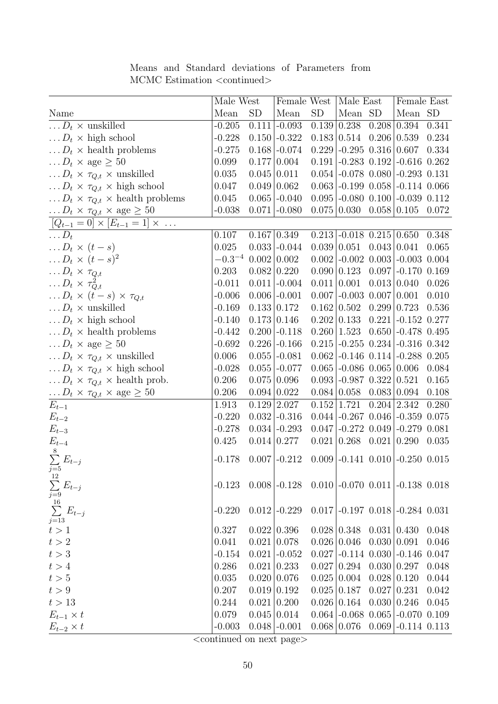|                                                              | Male West   |                | Female West   Male East |                 |                                           |                    | Female East                                            |       |
|--------------------------------------------------------------|-------------|----------------|-------------------------|-----------------|-------------------------------------------|--------------------|--------------------------------------------------------|-------|
| Name                                                         | Mean        | SD <sub></sub> | Mean                    | SD <sub>.</sub> | Mean SD                                   |                    | Mean SD                                                |       |
| $\ldots D_t \times$ unskilled                                | $-0.205$    |                | $0.111$ -0.093          |                 | $0.139 \mid 0.238$                        |                    | $0.208 \,   \, 0.394$                                  | 0.341 |
| $\ldots D_t \times$ high school                              | $-0.228$    |                | $0.150$ -0.322          |                 | $0.183 \mid 0.514$                        | $0.206 \mid 0.539$ |                                                        | 0.234 |
| $\ldots D_t \times$ health problems                          | $-0.275$    |                | $0.168$ -0.074          |                 | $0.229$ -0.295 0.316 0.607                |                    |                                                        | 0.334 |
| $\ldots D_t \times \text{age} \geq 50$                       | 0.099       |                | 0.177 0.004             |                 | $0.191$ -0.283 0.192                      |                    | $-0.616$ $0.262$                                       |       |
| $\ldots D_t \times \tau_{Q,t} \times$ unskilled              | 0.035       |                | $0.045 \mid 0.011$      |                 |                                           |                    | $0.054$ $-0.078$ $0.080$ $-0.293$ $0.131$              |       |
| $\ldots D_t \times \tau_{Q,t} \times$ high school            | 0.047       |                | 0.049 0.062             |                 |                                           |                    | $0.063$ -0.199 0.058 -0.114 0.066                      |       |
| $\ldots D_t \times \tau_{Q,t} \times \text{health problems}$ | 0.045       |                | $0.065$ -0.040          |                 |                                           |                    | $0.095$ -0.080 0.100 -0.039 0.112                      |       |
| $\ldots D_t \times \tau_{Q,t} \times \text{age} \geq 50$     | $-0.038$    |                | $0.071$ -0.080          |                 | $0.075 \mid 0.030 \quad 0.058 \mid 0.105$ |                    |                                                        | 0.072 |
| $[Q_{t-1} = 0] \times [E_{t-1} = 1] \times \dots$            |             |                |                         |                 |                                           |                    |                                                        |       |
| $\ldots D_t$                                                 | 0.107       |                | $0.167 \mid 0.349$      |                 | $0.213$ -0.018 $0.215$ 0.650              |                    |                                                        | 0.348 |
| $\ldots D_t \times (t-s)$                                    | 0.025       |                | $0.033$ -0.044          |                 | 0.039 0.051                               | $0.043 \mid 0.041$ |                                                        | 0.065 |
| $\ldots D_t \times (t-s)^2$                                  | $-0.3^{-4}$ |                | 0.002   0.002           |                 |                                           |                    | $0.002$ -0.002 0.003 -0.003 0.004                      |       |
| $\ldots D_t \times \tau_{Q,t}$                               | 0.203       |                | $0.082 \mid 0.220$      |                 | $0.090 \mid 0.123$                        |                    | $0.097$ -0.170 0.169                                   |       |
| $\ldots D_t \times \tau_{Q,t}^2$                             | $-0.011$    |                | $0.011$ -0.004          |                 | 0.011 0.001                               | 0.013   0.040      |                                                        | 0.026 |
| $\ldots D_t \times (t-s) \times \tau_{Q,t}$                  | $-0.006$    |                | $0.006$ -0.001          |                 | $0.007$ -0.003 $0.007$ 0.001              |                    |                                                        | 0.010 |
| $\ldots D_t \times$ unskilled                                | $-0.169$    |                | 0.133   0.172           |                 | $0.162 \mid 0.502$                        | 0.299              | 0.723                                                  | 0.536 |
| $\ldots D_t \times$ high school                              | $-0.140$    |                | $0.173 \mid 0.146$      |                 | $0.202 \mid 0.133$                        | 0.221              | $-0.152$ 0.277                                         |       |
| $\ldots D_t \times$ health problems                          | $-0.442$    |                | $0.200$ -0.118          |                 | $0.260\, \,1.523$                         |                    | $0.650$ -0.478 0.495                                   |       |
| $\ldots D_t \times \text{age} \geq 50$                       | $-0.692$    |                | $0.226$ -0.166          |                 |                                           |                    | $0.215$ -0.255 0.234 -0.316 0.342                      |       |
| $\ldots D_t \times \tau_{Q,t} \times$ unskilled              | 0.006       |                | $0.055$ -0.081          |                 |                                           |                    | $0.062$ -0.146 0.114 -0.288 0.205                      |       |
| $\ldots D_t \times \tau_{Q,t} \times$ high school            | $-0.028$    |                | $0.055$ -0.077          |                 | $0.065$ -0.086 $0.065$  0.006             |                    |                                                        | 0.084 |
| $\ldots D_t \times \tau_{Q,t} \times \text{health prob.}$    | 0.206       |                | $0.075 \, \, 0.096$     |                 | $0.093$ -0.987 0.322 0.521                |                    |                                                        | 0.165 |
| $\ldots D_t \times \tau_{Q,t} \times \text{age} \geq 50$     | 0.206       |                | $0.094 \mid 0.022$      |                 | $0.084 \mid 0.058$                        | 0.083 0.094        |                                                        | 0.108 |
| $\overline{E_{t-1}}$                                         | 1.913       |                | $0.129 \mid 2.027$      |                 | 0.152 1.721                               | $0.204 \mid 2.342$ |                                                        | 0.280 |
| $E_{t-2}$                                                    | $-0.220$    |                | $0.032$ -0.316          |                 |                                           |                    | $0.044$ -0.267 0.046 -0.359 0.075                      |       |
| $E_{t-3}$                                                    | $-0.278$    |                | $0.034$ -0.293          | 0.047           | $-0.272$ 0.049                            |                    | $-0.279$                                               | 0.081 |
| $\frac{E_{t-4}}{8}$                                          | 0.425       |                | $0.014 \mid 0.277$      |                 | $0.021   0.268 \quad 0.021   0.290$       |                    |                                                        | 0.035 |
|                                                              |             |                |                         |                 |                                           |                    |                                                        |       |
| $\sum_{j=5}^{8} E_{t-j}$                                     | $-0.178$    |                | $0.007$ -0.212          |                 |                                           |                    | $0.009$ -0.141 0.010 -0.250 0.015                      |       |
| 12                                                           |             |                |                         |                 |                                           |                    |                                                        |       |
|                                                              | $-0.123$    |                | $0.008$ -0.128          |                 |                                           |                    | $0.010$ -0.070 0.011 -0.138 0.018                      |       |
|                                                              |             |                |                         |                 |                                           |                    |                                                        |       |
| $\sum_{j=9}^{12} E_{t-j}$ $\sum_{j=13}^{16} E_{t-j}$         | $-0.220$    |                | $0.012$ -0.229          |                 |                                           |                    | $0.017$ -0.197 0.018 -0.284 0.031                      |       |
| t > 1                                                        | 0.327       |                | 0.022   0.396           |                 |                                           |                    | $0.028 \mid 0.348$ $0.031 \mid 0.430$ $0.048$          |       |
| $t>2\,$                                                      | 0.041       |                | 0.021 0.078             |                 | $0.026 \mid 0.046$                        | 0.030   0.091      |                                                        | 0.046 |
| t > 3                                                        | $-0.154$    |                | $0.021$ -0.052          |                 |                                           |                    | $0.027$ -0.114 $0.030$ -0.146 0.047                    |       |
| t > 4                                                        | 0.286       |                | 0.021   0.233           |                 | 0.027 0.294                               |                    | 0.030   0.297                                          | 0.048 |
| t > 5                                                        | 0.035       |                | 0.020   0.076           |                 | 0.025 0.004                               | $0.028 \mid 0.120$ |                                                        | 0.044 |
| t > 9                                                        | 0.207       |                | 0.019 0.192             |                 | $0.025 \mid 0.187$                        | $0.027 \mid 0.231$ |                                                        | 0.042 |
| t > 13                                                       | 0.244       |                | 0.021 0.200             |                 | 0.026 0.164                               | 0.030   0.246      |                                                        | 0.045 |
| $E_{t-1} \times t$                                           | 0.079       |                | $0.045 \mid 0.014$      |                 | $0.064$   -0.068 0.065                    |                    | $-0.070$ 0.109                                         |       |
| $E_{t-2} \times t$                                           | $-0.003$    |                | $0.048$ -0.001          |                 |                                           |                    | $0.068 \mid 0.076 \quad 0.069 \mid -0.114 \quad 0.113$ |       |
|                                                              |             |                |                         |                 |                                           |                    |                                                        |       |

Means and Standard deviations of Parameters from MCMC Estimation  $<$ continued $>$ 

<continued on next page>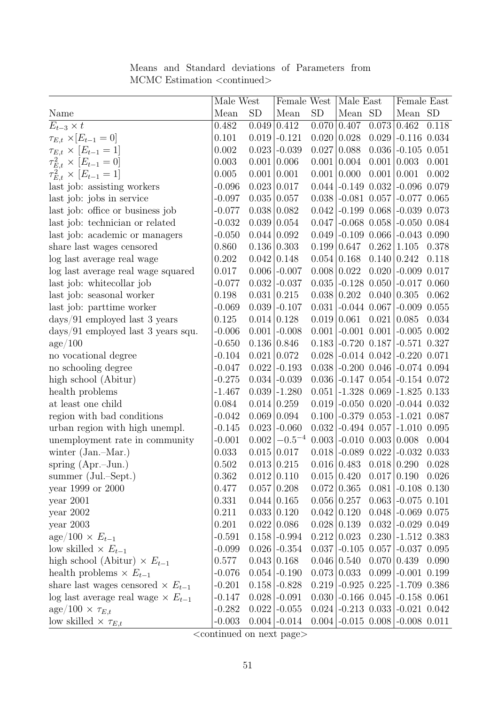|                                              | Male West<br>Female West<br>Male East |                    | Female East        |                    |                      |                    |                                                   |       |
|----------------------------------------------|---------------------------------------|--------------------|--------------------|--------------------|----------------------|--------------------|---------------------------------------------------|-------|
| Name                                         | Mean                                  | <b>SD</b>          | Mean               | <b>SD</b>          | Mean SD              |                    | Mean SD                                           |       |
| $E_{t-3} \times t$                           | 0.482                                 |                    | $0.049 \mid 0.412$ | 0.070              | 0.407                | 0.073              | 0.462                                             | 0.118 |
| $\tau_{E,t} \times [E_{t-1} = 0]$            | 0.101                                 | 0.019              | $-0.121$           | 0.020              | 0.028                |                    | $0.029$ -0.116 0.034                              |       |
| $\tau_{E,t} \times [E_{t-1} = 1]$            | 0.002                                 |                    | $0.023$ -0.039     | 0.027              | 0.088                |                    | $0.036$ -0.105 0.051                              |       |
| $\tau_{E,t}^2 \times [E_{t-1} = 0]$          | 0.003                                 |                    | 0.001   0.006      | 0.001              | 0.004                | 0.001   0.003      |                                                   | 0.001 |
| $\tau_{E,t}^2 \times [E_{t-1} = 1]$          | 0.005                                 |                    | 0.001   0.001      | 0.001              | 0.000                | 0.001 0.001        |                                                   | 0.002 |
| last job: assisting workers                  | $-0.096$                              | 0.023   0.017      |                    | 0.044              | $-0.149$ $0.032$     |                    | $-0.096$ $0.079$                                  |       |
| last job: jobs in service                    | $-0.097$                              |                    | 0.035   0.057      | 0.038              |                      |                    | $-0.081$ $0.057$ $-0.077$ $0.065$                 |       |
| last job: office or business job             | $-0.077$                              |                    | $0.038 \mid 0.082$ | 0.042              |                      |                    | $-0.199$ $0.068$ $-0.039$ $0.073$                 |       |
| last job: technician or related              | $-0.032$                              |                    | $0.039 \mid 0.054$ | 0.047              |                      |                    | $-0.068$ $0.058$ $-0.050$ $0.084$                 |       |
| last job: academic or managers               | $-0.050$                              | $0.044 \mid 0.092$ |                    | 0.049              |                      |                    | $-0.109$ $0.066$ $-0.043$ $0.090$                 |       |
| share last wages censored                    | 0.860                                 |                    | 0.136 0.303        | 0.199              | 0.647                | 0.262              | 1.105                                             | 0.378 |
| log last average real wage                   | 0.202                                 |                    | $0.042 \mid 0.148$ |                    | $0.054 \mid 0.168$   | 0.140 0.242        |                                                   | 0.118 |
| log last average real wage squared           | 0.017                                 |                    | $0.006$ -0.007     |                    | $0.008 \mid 0.022$   |                    | $0.020$ -0.009 0.017                              |       |
| last job: whitecollar job                    | $-0.077$                              |                    | $0.032$ -0.037     | 0.035              |                      |                    | $-0.128$ $0.050$ $-0.017$ $0.060$                 |       |
| last job: seasonal worker                    | 0.198                                 |                    | 0.031   0.215      | 0.038              | 0.202                | $0.040\, \,0.305$  |                                                   | 0.062 |
| last job: parttime worker                    | $-0.069$                              |                    | $0.039$ -0.107     | 0.031              | $-0.044$ 0.067       |                    | $-0.009$                                          | 0.055 |
| $\frac{days}{91}$ employed last 3 years      | 0.125                                 |                    | $0.014 \mid 0.128$ | 0.019              | 0.061                | $0.021 \mid 0.085$ |                                                   | 0.034 |
| $\frac{days}{91}$ employed last 3 years squ. | $-0.006$                              |                    | $0.001$ -0.008     | 0.001              | $-0.001$ 0.001       |                    | $-0.005$ $0.002$                                  |       |
| $\rm age/100$                                | $-0.650$                              |                    | 0.136 0.846        | 0.183              |                      |                    | $-0.720$ $0.187$ $-0.571$ $0.327$                 |       |
| no vocational degree                         | $-0.104$                              |                    | 0.021   0.072      | 0.028              |                      |                    | $-0.014$ $0.042$ $-0.220$ $0.071$                 |       |
| no schooling degree                          | $-0.047$                              | 0.022              | $-0.193$           | 0.038              |                      |                    | $-0.200$ $0.046$ $-0.074$ $0.094$                 |       |
| high school (Abitur)                         | $-0.275$                              |                    | $0.034$ -0.039     | 0.036              |                      |                    | $-0.147$ $0.054$ $-0.154$ $0.072$                 |       |
| health problems                              | $-1.467$                              |                    | $0.039$ -1.280     | 0.051              |                      |                    | $-1.328$ 0.069 $-1.825$ 0.133                     |       |
| at least one child                           | 0.084                                 |                    | $0.014 \mid 0.259$ | 0.019              |                      |                    | $\left[-0.050\ 0.020\right]\right[-0.044\ 0.032]$ |       |
| region with bad conditions                   | $-0.042$                              | 0.069 0.094        |                    | 0.100              |                      |                    | $-0.379$ $0.053$ $-1.021$ $0.087$                 |       |
| urban region with high unempl.               | $-0.145$                              | 0.023              | $-0.060$           | 0.032              |                      |                    | $-0.494$ $0.057$ $-1.010$ $0.095$                 |       |
| unemployment rate in community               | $-0.001$                              | 0.002              | $-0.5^{-4}$        | 0.003              | $-0.010$ 0.003 0.008 |                    |                                                   | 0.004 |
| winter (Jan.-Mar.)                           | 0.033                                 |                    | $0.015 \mid 0.017$ | 0.018              | $-0.089$ 0.022       |                    | $-0.032$ $0.033$                                  |       |
| spring $(Apr.-Jun.)$                         | 0.502                                 |                    | $0.013 \mid 0.215$ |                    | $0.016 \, \, 0.483$  | $0.018 \mid 0.290$ |                                                   | 0.028 |
| summer (Jul.–Sept.)                          | 0.362                                 |                    | $0.012 \mid 0.110$ |                    | $0.015 \mid 0.420$   |                    | 0.017 0.190 0.026                                 |       |
| year 1999 or 2000                            | 0.477                                 |                    | 0.057 0.208        | $0.072 \mid 0.365$ |                      |                    | $0.081$ $-0.108$ 0.130                            |       |
| year 2001                                    | 0.331                                 |                    | $0.044 \mid 0.165$ | $0.056 \mid 0.257$ |                      |                    | $0.063$ -0.075 0.101                              |       |
| year $2002$                                  | 0.211                                 |                    | 0.033   0.120      | $0.042 \mid 0.120$ |                      |                    | $0.048$ $-0.069$ 0.075                            |       |
| year 2003                                    | 0.201                                 |                    | $0.022 \mid 0.086$ |                    | $0.028 \mid 0.139$   |                    | $0.032$ $-0.029$ 0.049                            |       |
| $\text{age}/100 \times E_{t-1}$              | $-0.591$                              |                    | $0.158$ -0.994     |                    | $0.212 \mid 0.023$   |                    | $0.230$ -1.512 0.383                              |       |
| low skilled $\times E_{t-1}$                 | $-0.099$                              |                    | $0.026$ -0.354     | 0.037              |                      |                    | $-0.105$ 0.057 $-0.037$ 0.095                     |       |
| high school (Abitur) $\times E_{t-1}$        | 0.577                                 |                    | 0.043   0.168      |                    | $0.046 \mid 0.540$   |                    | $0.070\, 0.439$                                   | 0.090 |
| health problems $\times E_{t-1}$             | $-0.076$                              |                    | $0.054$ -0.190     |                    | $0.073 \mid 0.033$   |                    | $0.099$ -0.001 0.199                              |       |
| share last wages censored $\times E_{t-1}$   | $-0.201$                              |                    | $0.158$ -0.828     |                    |                      |                    | $0.219$ -0.925 0.225 -1.709 0.386                 |       |
| log last average real wage $\times E_{t-1}$  | $-0.147$                              |                    | $0.028$ -0.091     |                    |                      |                    | $0.030$ -0.166 $0.045$ -0.158 0.061               |       |
| $\text{age}/100 \times \tau_{E,t}$           | $-0.282$                              |                    | $0.022$ -0.055     |                    |                      |                    | $0.024$ -0.213 0.033 -0.021 0.042                 |       |
| low skilled $\times \tau_{E,t}$              | $-0.003$                              |                    | $0.004$ -0.014     |                    |                      |                    | $0.004$ -0.015 0.008 -0.008 0.011                 |       |

Means and Standard deviations of Parameters from MCMC Estimation  $<$ continued $>$ 

 $\overline{\left\langle\text{continued on next page}\right\rangle}$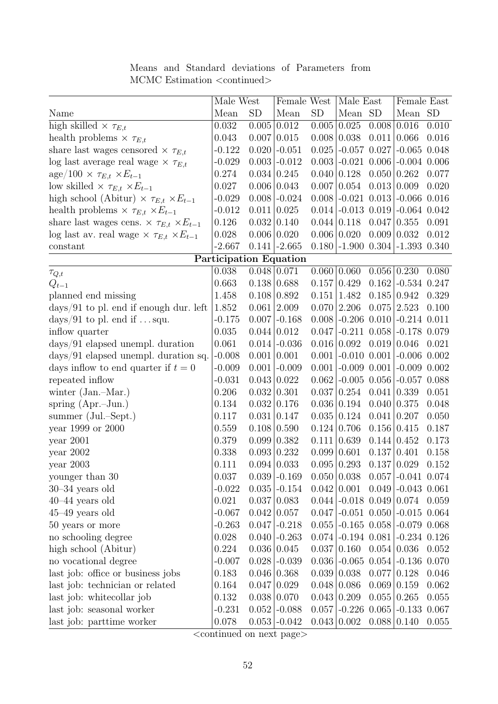|                                                           | Male West              |               | Female West           |                    | Male East              |                    | Female East                               |       |
|-----------------------------------------------------------|------------------------|---------------|-----------------------|--------------------|------------------------|--------------------|-------------------------------------------|-------|
| Name                                                      | Mean                   | <b>SD</b>     | Mean                  | <b>SD</b>          | Mean SD                |                    | Mean SD                                   |       |
| high skilled $\times \tau_{E,t}$                          | 0.032                  |               | $0.005 \,   \, 0.012$ | 0.005              | 0.025                  | 0.008              | 0.016                                     | 0.010 |
| health problems $\times \tau_{E,t}$                       | 0.043                  |               | 0.007 0.015           | 0.008              | $\vert 0.038 \vert$    | 0.011              | 0.066                                     | 0.016 |
| share last wages censored $\times \tau_{E,t}$             | $-0.122$               |               | $0.020$ -0.051        | 0.025              | $-0.057$ 0.027         |                    | $-0.065$ $0.048$                          |       |
| log last average real wage $\times \tau_{E,t}$            | $-0.029$               |               | $0.003$ -0.012        | 0.003              | $-0.021$ 0.006         |                    | $-0.004$ $0.006$                          |       |
| $\text{age}/100 \times \tau_{E,t} \times E_{t-1}$         | 0.274                  |               | $0.034 \mid 0.245$    |                    | $0.040 \mid 0.128$     | 0.050              | 0.262                                     | 0.077 |
| low skilled $\times \tau_{E,t} \times E_{t-1}$            | 0.027                  |               | $0.006 \mid 0.043$    | 0.007              | 0.054                  | 0.013              | 0.009                                     | 0.020 |
| high school (Abitur) $\times \tau_{E,t} \times E_{t-1}$   | $-0.029$               |               | $0.008$ -0.024        | 0.008              | $-0.021$ $0.013$       |                    | $-0.066$ $0.016$                          |       |
| health problems $\times \tau_{E,t} \times E_{t-1}$        | $-0.012$               |               | 0.011 0.025           |                    | $0.014$ -0.013 0.019   |                    | $-0.064$ $0.042$                          |       |
| share last wages cens. $\times \tau_{E,t} \times E_{t-1}$ | 0.126                  |               | 0.032   0.140         |                    | $0.044 \mid 0.118$     | 0.047              | 0.355                                     | 0.091 |
| log last av. real wage $\times \tau_{E,t} \times E_{t-1}$ | 0.028                  |               | 0.006 0.020           |                    | $0.006 \mid 0.020$     | 0.009              | 0.032                                     | 0.012 |
| constant                                                  | $-2.667$               |               | $0.141$ -2.665        |                    | $0.180$ -1.900 $0.304$ |                    | $-1.393$ $0.340$                          |       |
|                                                           | Participation Equation |               |                       |                    |                        |                    |                                           |       |
| $\tau_{Q,t}$                                              | 0.038                  |               | $0.048 \mid 0.071$    | 0.060   0.060      |                        | 0.056              | 0.230                                     | 0.080 |
| $Q_{t-1}$                                                 | 0.663                  |               | $0.138 \mid 0.688$    |                    | $0.157 \mid 0.429$     | 0.162              | $-0.534$ $0.247$                          |       |
| planned end missing                                       | 1.458                  |               | $0.108 \mid 0.892$    | 0.151              | 1.482                  | 0.185              | 0.942                                     | 0.329 |
| $\frac{days}{91}$ to pl. end if enough dur. left          | 1.852                  |               | $0.061$   2.009       |                    | $0.070$  2.206         | 0.075              | 2.523                                     | 0.100 |
| days/91 to pl. end if $\dots$ squ.                        | $-0.175$               |               | $0.007$ -0.168        |                    | $0.008$ -0.206 0.010   |                    | $-0.214$ $0.011$                          |       |
| inflow quarter                                            | 0.035                  |               | $0.044 \mid 0.012$    | 0.047              | $-0.211$ $0.058$       |                    | $-0.178$ 0.079                            |       |
| $\frac{days}{91}$ elapsed unempl. duration                | 0.061                  |               | $0.014$ -0.036        |                    | 0.016 0.092            | 0.019              | 0.046                                     | 0.021 |
| $\frac{days}{91}$ elapsed unempl. duration sq.            | $-0.008$               |               | 0.001   0.001         | 0.001              | $-0.010$ $0.001$       |                    | $-0.006$ $0.002$                          |       |
| days inflow to end quarter if $t=0$                       | $-0.009$               |               | $0.001$ -0.009        | 0.001              | $-0.009$ $0.001$       |                    | $-0.009$ $0.002$                          |       |
| repeated inflow                                           | $-0.031$               |               | $0.043 \mid 0.022$    | 0.062              | $-0.005$ 0.056         |                    | $-0.057$ $0.088$                          |       |
| winter $(Jan.-Mar.)$                                      | 0.206                  | 0.032   0.301 |                       | 0.037              | 0.254                  | 0.041              | 0.339                                     | 0.051 |
| spring $(Apr.-Jun.)$                                      | 0.134                  |               | 0.032   0.176         |                    | $0.036 \mid 0.194$     | 0.040              | 0.375                                     | 0.048 |
| summer (Jul.–Sept.)                                       | 0.117                  |               | 0.031   0.147         | 0.035              | 0.124                  | 0.041              | 0.207                                     | 0.050 |
| year 1999 or 2000                                         | 0.559                  |               | $0.108 \mid 0.590$    |                    | $0.124 \mid 0.706$     | 0.156              | 0.415                                     | 0.187 |
| year 2001                                                 | 0.379                  |               | $0.099 \mid 0.382$    | 0.111 0.639        |                        | $0.144 \mid 0.452$ |                                           | 0.173 |
| year $2002$                                               | 0.338                  |               | $0.093 \mid 0.232$    | 0.099 0.601        |                        | 0.137              | 0.401                                     | 0.158 |
| year 2003                                                 | 0.111                  |               | $0.094 \,   \, 0.033$ |                    | $0.095 \mid 0.293$     | 0.137 0.029        |                                           | 0.152 |
| younger than 30                                           | 0.037                  |               | $0.039$ -0.169        |                    | 0.050   0.038          | 0.057              | $-0.041$ $0.074$                          |       |
| $30-34$ years old                                         | $-0.022$               |               | $0.035$ -0.154        | $0.042 \mid 0.001$ |                        | 0.049              | $-0.043$ $0.061$                          |       |
| $40-44$ years old                                         | 0.021                  |               | 0.037 0.083           |                    | $0.044$ -0.018 0.049   |                    | 0.074                                     | 0.059 |
| $45-49$ years old                                         | $-0.067$               |               | $0.042 \mid 0.057$    |                    | $0.047$ -0.051 0.050   |                    | $-0.015$ $0.064$                          |       |
| 50 years or more                                          | $-0.263$               |               | $0.047$ -0.218        |                    | $0.055$ -0.165 0.058   |                    | $-0.079$ $0.068$                          |       |
| no schooling degree                                       | 0.028                  |               | $0.040$ -0.263        |                    | $0.074$ -0.194 0.081   |                    | $-0.234$ $0.126$                          |       |
| high school (Abitur)                                      | 0.224                  |               | 0.036 0.045           |                    | 0.037 0.160            | $0.054 \mid 0.036$ |                                           | 0.052 |
| no vocational degree                                      | $-0.007$               |               | $0.028$ -0.039        |                    |                        |                    | $0.036$ $-0.065$ $0.054$ $-0.136$ $0.070$ |       |
| last job: office or business jobs                         | 0.183                  |               | $0.046 \mid 0.368$    |                    | 0.039 0.038            | 0.077              | 0.128                                     | 0.046 |
| last job: technician or related                           | 0.164                  |               | 0.047 0.029           |                    | $0.048 \mid 0.086$     | 0.069              | 0.159                                     | 0.062 |
| last job: whitecollar job                                 | 0.132                  |               | 0.038   0.070         | $0.043 \mid 0.209$ |                        | 0.055              | 0.265                                     | 0.055 |
| last job: seasonal worker                                 | $-0.231$               |               | $0.052$ -0.088        |                    | $0.057$ -0.226 0.065   |                    | $-0.133$ 0.067                            |       |
| last job: parttime worker                                 | 0.078                  |               | $0.053$ -0.042        |                    | $0.043 \mid 0.002$     | $0.088 \mid 0.140$ |                                           | 0.055 |

Means and Standard deviations of Parameters from MCMC Estimation  $<$ continued $>$ 

 $\overline{\left\langle\text{continued on next page}\right\rangle}$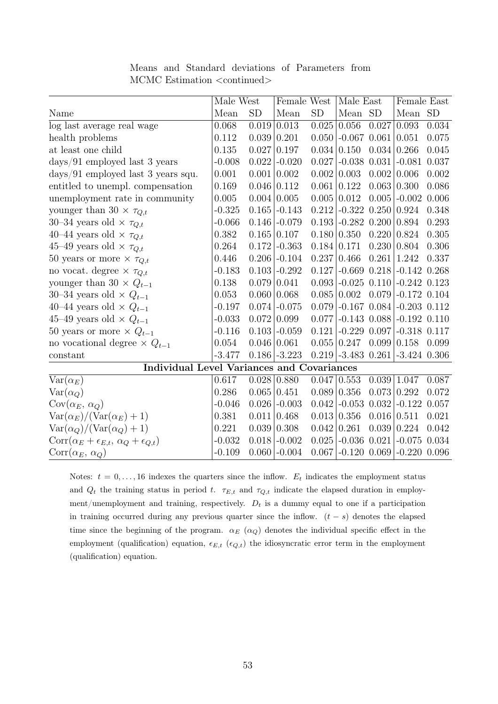|                                                              | Male West |                    | Female West         |                    | Male East              |       | Female East                         |           |
|--------------------------------------------------------------|-----------|--------------------|---------------------|--------------------|------------------------|-------|-------------------------------------|-----------|
| Name                                                         | Mean      | SD                 | Mean                | SD                 | Mean SD                |       | Mean                                | <b>SD</b> |
| log last average real wage                                   | 0.068     | 0.019              | $\vert 0.013 \vert$ | 0.025              | 0.056                  | 0.027 | 0.093                               | 0.034     |
| health problems                                              | 0.112     | 0.039              | 0.201               | 0.050              | $-0.067$ 0.061         |       | 0.051                               | 0.075     |
| at least one child                                           | 0.135     | 0.027              | 0.197               | 0.034              | 0.150                  | 0.034 | 0.266                               | 0.045     |
| $\frac{days}{91}$ employed last 3 years                      | $-0.008$  | 0.022              | $-0.020$            | 0.027              | $-0.038$ $0.031$       |       | $-0.081$                            | 0.037     |
| $\frac{days}{91}$ employed last 3 years squ.                 | 0.001     | 0.001              | 0.002               | 0.002              | 0.003                  | 0.002 | 0.006                               | 0.002     |
| entitled to unempl. compensation                             | 0.169     |                    | $0.046 \mid 0.112$  | 0.061              | 0.122                  | 0.063 | 0.300                               | 0.086     |
| unemployment rate in community                               | 0.005     |                    | $0.004 \mid 0.005$  | $0.005 \mid 0.012$ |                        | 0.005 | $-0.002$                            | 0.006     |
| younger than 30 $\times \tau_{Q,t}$                          | $-0.325$  |                    | $0.165$ -0.143      | 0.212              | $-0.322$ $0.250$ 0.924 |       |                                     | 0.348     |
| 30–34 years old $\times \tau_{Q,t}$                          | $-0.066$  | 0.146              | $-0.079$            | 0.193              | $-0.282$ 0.200         |       | 0.894                               | 0.293     |
| 40–44 years old $\times \tau_{Q,t}$                          | 0.382     |                    | $0.165 \mid 0.107$  |                    | 0.180   0.350          | 0.220 | 0.824                               | 0.305     |
| 45–49 years old $\times \tau_{Q,t}$                          | 0.264     | 0.172              | $-0.363$            | $0.184 \mid 0.171$ |                        | 0.230 | 0.804                               | 0.306     |
| 50 years or more $\times \tau_{Q,t}$                         | 0.446     |                    | $0.206$ -0.104      |                    | 0.237   0.466          | 0.261 | 1.242                               | 0.337     |
| no vocat. degree $\times \tau_{Q,t}$                         | $-0.183$  | 0.103              | $-0.292$            | 0.127              | $-0.669$ $0.218$       |       | $-0.142$ 0.268                      |           |
| younger than 30 $\times$ $Q_{t-1}$                           | 0.138     |                    | $0.079 \mid 0.041$  |                    |                        |       | $0.093$ -0.025 0.110 -0.242 0.123   |           |
| 30–34 years old $\times Q_{t-1}$                             | 0.053     |                    | 0.060   0.068       |                    | $0.085 \mid 0.002$     | 0.079 | $-0.172$ 0.104                      |           |
| 40–44 years old $\times Q_{t-1}$                             | $-0.197$  |                    | $0.074$ -0.075      | 0.079              | $-0.167$ 0.084         |       | $-0.203$ 0.112                      |           |
| 45–49 years old $\times$ $Q_{t-1}$                           | $-0.033$  | $0.072 \mid 0.099$ |                     | 0.077              | $-0.143$ 0.088         |       | $-0.192$ $0.110$                    |           |
| 50 years or more $\times Q_{t-1}$                            | $-0.116$  | 0.103              | $-0.059$            | 0.121              | $-0.229$ 0.097         |       | $-0.318$ $0.117$                    |           |
| no vocational degree $\times Q_{t-1}$                        | 0.054     | $0.046 \mid 0.061$ |                     |                    | 0.055   0.247          | 0.099 | 0.158                               | 0.099     |
| constant                                                     | $-3.477$  |                    | $0.186$ -3.223      |                    | $0.219$ -3.483 0.261   |       | $-3.424$ 0.306                      |           |
| <b>Individual Level Variances and Covariances</b>            |           |                    |                     |                    |                        |       |                                     |           |
| $\text{Var}(\alpha_E)$                                       | 0.617     | $0.028 \mid 0.880$ |                     | $0.047 \mid 0.553$ |                        | 0.039 | 1.047                               | 0.087     |
| $Var(\alpha_Q)$                                              | 0.286     | $0.065 \mid 0.451$ |                     | $0.089 \mid 0.356$ |                        | 0.073 | 0.292                               | 0.072     |
| $Cov(\alpha_E, \alpha_Q)$                                    | $-0.046$  |                    | $0.026$ -0.003      | 0.042              | $-0.053$ 0.032         |       | $-0.122$                            | 0.057     |
| $Var(\alpha_E)/(Var(\alpha_E)+1)$                            | 0.381     |                    | 0.011 0.468         | $0.013 \mid 0.356$ |                        | 0.016 | 0.511                               | 0.021     |
| $\text{Var}(\alpha_Q)/(\text{Var}(\alpha_Q)+1)$              | 0.221     | 0.039              | 0.308               | 0.042              | 0.261                  | 0.039 | 0.224                               | 0.042     |
| $Corr(\alpha_E + \epsilon_{E,t}, \alpha_Q + \epsilon_{Q,t})$ | $-0.032$  |                    | $0.018$ -0.002      |                    | $0.025$ -0.036 0.021   |       | $-0.075$                            | 0.034     |
| $Corr(\alpha_E, \alpha_Q)$                                   | $-0.109$  |                    | $0.060$ -0.004      |                    |                        |       | $0.067$ -0.120 $0.069$ -0.220 0.096 |           |

Means and Standard deviations of Parameters from MCMC Estimation <continued>

Notes:  $t = 0, \ldots, 16$  indexes the quarters since the inflow.  $E_t$  indicates the employment status and  $Q_t$  the training status in period t.  $\tau_{E,t}$  and  $\tau_{Q,t}$  indicate the elapsed duration in employment/unemployment and training, respectively.  $D_t$  is a dummy equal to one if a participation in training occurred during any previous quarter since the inflow.  $(t - s)$  denotes the elapsed time since the beginning of the program.  $\alpha_E$  ( $\alpha_Q$ ) denotes the individual specific effect in the employment (qualification) equation,  $\epsilon_{E,t}$  ( $\epsilon_{Q,t}$ ) the idiosyncratic error term in the employment (qualification) equation.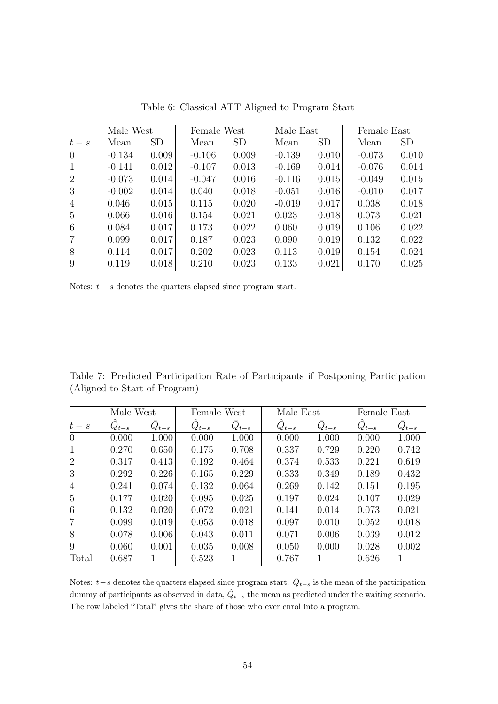|                 | Male West |       | Female West |           | Male East |           | Female East |           |
|-----------------|-----------|-------|-------------|-----------|-----------|-----------|-------------|-----------|
| $t-s$           | Mean      | SD    | Mean        | <b>SD</b> | Mean      | <b>SD</b> | Mean        | <b>SD</b> |
| $\overline{0}$  | $-0.134$  | 0.009 | $-0.106$    | 0.009     | $-0.139$  | 0.010     | $-0.073$    | 0.010     |
| -1              | $-0.141$  | 0.012 | $-0.107$    | 0.013     | $-0.169$  | 0.014     | $-0.076$    | 0.014     |
| 2               | $-0.073$  | 0.014 | $-0.047$    | 0.016     | $-0.116$  | 0.015     | $-0.049$    | 0.015     |
| 3               | $-0.002$  | 0.014 | 0.040       | 0.018     | $-0.051$  | 0.016     | $-0.010$    | 0.017     |
| $\overline{4}$  | 0.046     | 0.015 | 0.115       | 0.020     | $-0.019$  | 0.017     | 0.038       | 0.018     |
| $5\overline{)}$ | 0.066     | 0.016 | 0.154       | 0.021     | 0.023     | 0.018     | 0.073       | 0.021     |
| 6               | 0.084     | 0.017 | 0.173       | 0.022     | 0.060     | 0.019     | 0.106       | 0.022     |
| 7               | 0.099     | 0.017 | 0.187       | 0.023     | 0.090     | 0.019     | 0.132       | 0.022     |
| 8               | 0.114     | 0.017 | 0.202       | 0.023     | 0.113     | 0.019     | 0.154       | 0.024     |
| 9               | 0.119     | 0.018 | 0.210       | 0.023     | 0.133     | 0.021     | 0.170       | 0.025     |

Table 6: Classical ATT Aligned to Program Start

Notes:  $t - s$  denotes the quarters elapsed since program start.

Table 7: Predicted Participation Rate of Participants if Postponing Participation (Aligned to Start of Program)

|                | Male West |           | Female West |           | Male East |           | Female East |           |
|----------------|-----------|-----------|-------------|-----------|-----------|-----------|-------------|-----------|
| $t-s$          | $Q_{t-s}$ | $Q_{t-s}$ | $Q_{t-s}$   | $Q_{t-s}$ | $Q_{t-s}$ | $Q_{t-s}$ | $Q_{t-s}$   | $Q_{t-s}$ |
| $\overline{0}$ | 0.000     | 1.000     | 0.000       | 1.000     | 0.000     | 1.000     | 0.000       | 1.000     |
| 1              | 0.270     | 0.650     | 0.175       | 0.708     | 0.337     | 0.729     | 0.220       | 0.742     |
| $\overline{2}$ | 0.317     | 0.413     | 0.192       | 0.464     | 0.374     | 0.533     | 0.221       | 0.619     |
| 3              | 0.292     | 0.226     | 0.165       | 0.229     | 0.333     | 0.349     | 0.189       | 0.432     |
| $\overline{4}$ | 0.241     | 0.074     | 0.132       | 0.064     | 0.269     | 0.142     | 0.151       | 0.195     |
| $\overline{5}$ | 0.177     | 0.020     | 0.095       | 0.025     | 0.197     | 0.024     | 0.107       | 0.029     |
| 6              | 0.132     | 0.020     | 0.072       | 0.021     | 0.141     | 0.014     | 0.073       | 0.021     |
| $\overline{7}$ | 0.099     | 0.019     | 0.053       | 0.018     | 0.097     | 0.010     | 0.052       | 0.018     |
| 8              | 0.078     | 0.006     | 0.043       | 0.011     | 0.071     | 0.006     | 0.039       | 0.012     |
| 9              | 0.060     | 0.001     | 0.035       | 0.008     | 0.050     | 0.000     | 0.028       | 0.002     |
| Total          | 0.687     |           | 0.523       |           | 0.767     | 1         | 0.626       | 1         |

Notes:  $t-s$  denotes the quarters elapsed since program start.  $\overline{Q}_{t-s}$  is the mean of the participation dummy of participants as observed in data,  $\hat{Q}_{t-s}$  the mean as predicted under the waiting scenario. The row labeled "Total" gives the share of those who ever enrol into a program.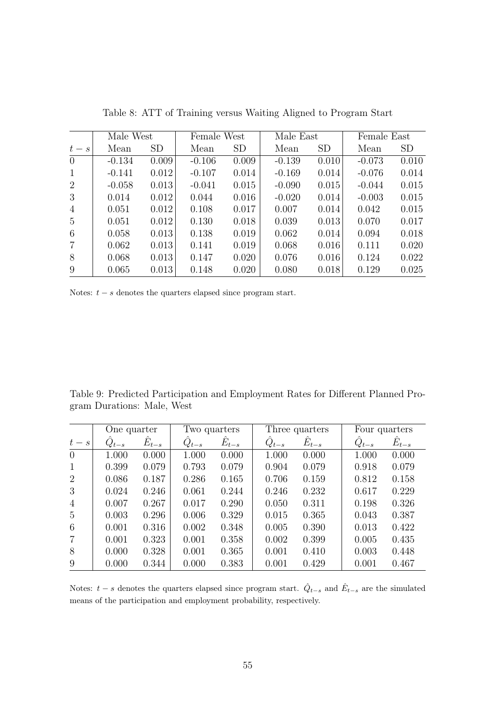|                 | Male West |           | Female West |           | Male East<br>Female East |           |          |           |
|-----------------|-----------|-----------|-------------|-----------|--------------------------|-----------|----------|-----------|
| $t-s$           | Mean      | <b>SD</b> | Mean        | <b>SD</b> | Mean                     | <b>SD</b> | Mean     | <b>SD</b> |
| $\overline{0}$  | $-0.134$  | 0.009     | $-0.106$    | 0.009     | $-0.139$                 | 0.010     | $-0.073$ | 0.010     |
| -1              | $-0.141$  | 0.012     | $-0.107$    | 0.014     | $-0.169$                 | 0.014     | $-0.076$ | 0.014     |
| 2               | $-0.058$  | 0.013     | $-0.041$    | 0.015     | $-0.090$                 | 0.015     | $-0.044$ | 0.015     |
| 3               | 0.014     | 0.012     | 0.044       | 0.016     | $-0.020$                 | 0.014     | $-0.003$ | 0.015     |
| $\overline{4}$  | 0.051     | 0.012     | 0.108       | 0.017     | 0.007                    | 0.014     | 0.042    | 0.015     |
| $5\overline{)}$ | 0.051     | 0.012     | 0.130       | 0.018     | 0.039                    | 0.013     | 0.070    | 0.017     |
| 6               | 0.058     | 0.013     | 0.138       | 0.019     | 0.062                    | 0.014     | 0.094    | 0.018     |
| $\overline{7}$  | 0.062     | 0.013     | 0.141       | 0.019     | 0.068                    | 0.016     | 0.111    | 0.020     |
| 8               | 0.068     | 0.013     | 0.147       | 0.020     | 0.076                    | 0.016     | 0.124    | 0.022     |
| 9               | 0.065     | 0.013     | 0.148       | 0.020     | 0.080                    | 0.018     | 0.129    | 0.025     |

Table 8: ATT of Training versus Waiting Aligned to Program Start

Notes:  $t - s$  denotes the quarters elapsed since program start.

Table 9: Predicted Participation and Employment Rates for Different Planned Program Durations: Male, West

|                | One quarter |           | Two quarters |           |           | Three quarters |           | Four quarters |  |
|----------------|-------------|-----------|--------------|-----------|-----------|----------------|-----------|---------------|--|
| $t-s$          | $Q_{t-s}$   | $E_{t-s}$ | $Q_{t-s}$    | $E_{t-s}$ | $Q_{t-s}$ | $E_{t-s}$      | $Q_{t-s}$ | $E_{t-s}$     |  |
| $\overline{0}$ | 1.000       | 0.000     | 1.000        | 0.000     | 1.000     | 0.000          | 1.000     | 0.000         |  |
| $\mathbf{1}$   | 0.399       | 0.079     | 0.793        | 0.079     | 0.904     | 0.079          | 0.918     | 0.079         |  |
| 2              | 0.086       | 0.187     | 0.286        | 0.165     | 0.706     | 0.159          | 0.812     | 0.158         |  |
| 3              | 0.024       | 0.246     | 0.061        | 0.244     | 0.246     | 0.232          | 0.617     | 0.229         |  |
| $\overline{4}$ | 0.007       | 0.267     | 0.017        | 0.290     | 0.050     | 0.311          | 0.198     | 0.326         |  |
| $\overline{5}$ | 0.003       | 0.296     | 0.006        | 0.329     | 0.015     | 0.365          | 0.043     | 0.387         |  |
| 6              | 0.001       | 0.316     | 0.002        | 0.348     | 0.005     | 0.390          | 0.013     | 0.422         |  |
| $\overline{7}$ | 0.001       | 0.323     | 0.001        | 0.358     | 0.002     | 0.399          | 0.005     | 0.435         |  |
| 8              | 0.000       | 0.328     | 0.001        | 0.365     | 0.001     | 0.410          | 0.003     | 0.448         |  |
| 9              | 0.000       | 0.344     | 0.000        | 0.383     | 0.001     | 0.429          | 0.001     | 0.467         |  |

Notes:  $t - s$  denotes the quarters elapsed since program start.  $\hat{Q}_{t-s}$  and  $\hat{E}_{t-s}$  are the simulated means of the participation and employment probability, respectively.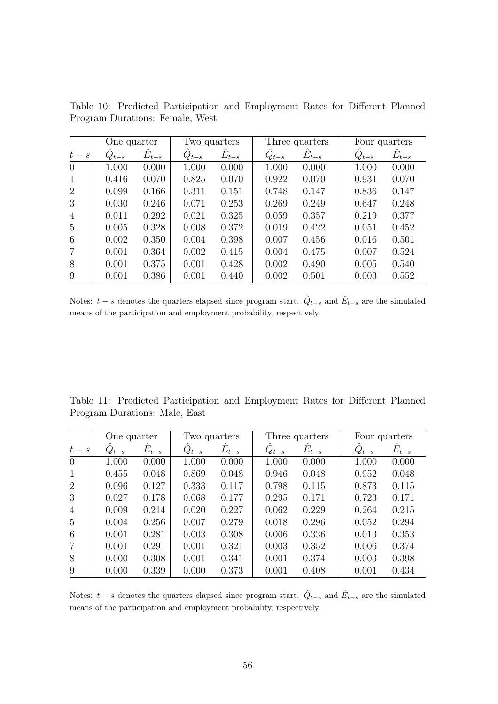|                | One quarter |           | Two quarters |           |           | Three quarters |           | Four quarters |  |
|----------------|-------------|-----------|--------------|-----------|-----------|----------------|-----------|---------------|--|
| $t-s$          | $Q_{t-s}$   | $E_{t-s}$ | $Q_{t-s}$    | $E_{t-s}$ | $Q_{t-s}$ | $E_{t-s}$      | $Q_{t-s}$ | $E_{t-s}$     |  |
| $\overline{0}$ | 1.000       | 0.000     | 1.000        | 0.000     | 1.000     | 0.000          | 1.000     | 0.000         |  |
| 1              | 0.416       | 0.070     | 0.825        | 0.070     | 0.922     | 0.070          | 0.931     | 0.070         |  |
| 2              | 0.099       | 0.166     | 0.311        | 0.151     | 0.748     | 0.147          | 0.836     | 0.147         |  |
| 3              | 0.030       | 0.246     | 0.071        | 0.253     | 0.269     | 0.249          | 0.647     | 0.248         |  |
| $\overline{4}$ | 0.011       | 0.292     | 0.021        | 0.325     | 0.059     | 0.357          | 0.219     | 0.377         |  |
| 5              | 0.005       | 0.328     | 0.008        | 0.372     | 0.019     | 0.422          | 0.051     | 0.452         |  |
| 6              | 0.002       | 0.350     | 0.004        | 0.398     | 0.007     | 0.456          | 0.016     | 0.501         |  |
| $\overline{7}$ | 0.001       | 0.364     | 0.002        | 0.415     | 0.004     | 0.475          | 0.007     | 0.524         |  |
| 8              | 0.001       | 0.375     | 0.001        | 0.428     | 0.002     | 0.490          | 0.005     | 0.540         |  |
| 9              | 0.001       | 0.386     | 0.001        | 0.440     | 0.002     | 0.501          | 0.003     | 0.552         |  |

Table 10: Predicted Participation and Employment Rates for Different Planned Program Durations: Female, West

Notes:  $t - s$  denotes the quarters elapsed since program start.  $\hat{Q}_{t-s}$  and  $\hat{E}_{t-s}$  are the simulated means of the participation and employment probability, respectively.

Table 11: Predicted Participation and Employment Rates for Different Planned Program Durations: Male, East

|                | One quarter |                 | Two quarters |           |           | Three quarters  |           | Four quarters |  |
|----------------|-------------|-----------------|--------------|-----------|-----------|-----------------|-----------|---------------|--|
| $t-s$          | $Q_{t-s}$   | $\hat{E}_{t-s}$ | $Q_{t-s}$    | $E_{t-s}$ | $Q_{t-s}$ | $\hat{E}_{t-s}$ | $Q_{t-s}$ | $E_{t-s}$     |  |
| $\overline{0}$ | 1.000       | 0.000           | 1.000        | 0.000     | 1.000     | 0.000           | 1.000     | 0.000         |  |
| 1              | 0.455       | 0.048           | 0.869        | 0.048     | 0.946     | 0.048           | 0.952     | 0.048         |  |
| 2              | 0.096       | 0.127           | 0.333        | 0.117     | 0.798     | 0.115           | 0.873     | 0.115         |  |
| 3              | 0.027       | 0.178           | 0.068        | 0.177     | 0.295     | 0.171           | 0.723     | 0.171         |  |
| $\overline{4}$ | 0.009       | 0.214           | 0.020        | 0.227     | 0.062     | 0.229           | 0.264     | 0.215         |  |
| 5              | 0.004       | 0.256           | 0.007        | 0.279     | 0.018     | 0.296           | 0.052     | 0.294         |  |
| 6              | 0.001       | 0.281           | 0.003        | 0.308     | 0.006     | 0.336           | 0.013     | 0.353         |  |
| $\overline{7}$ | 0.001       | 0.291           | 0.001        | 0.321     | 0.003     | 0.352           | 0.006     | 0.374         |  |
| 8              | 0.000       | 0.308           | 0.001        | 0.341     | 0.001     | 0.374           | 0.003     | 0.398         |  |
| 9              | 0.000       | 0.339           | 0.000        | 0.373     | 0.001     | 0.408           | 0.001     | 0.434         |  |

Notes:  $t - s$  denotes the quarters elapsed since program start.  $\hat{Q}_{t-s}$  and  $\hat{E}_{t-s}$  are the simulated means of the participation and employment probability, respectively.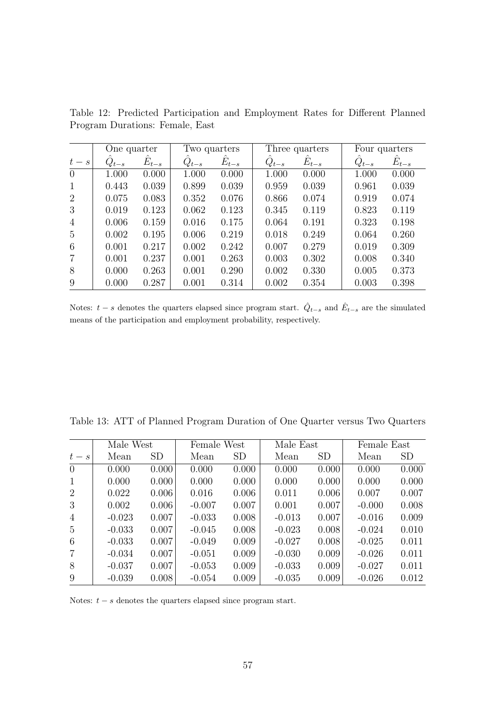|                | One quarter |           | Two quarters |           |           | Three quarters |           | Four quarters |  |
|----------------|-------------|-----------|--------------|-----------|-----------|----------------|-----------|---------------|--|
| $t-s$          | $Q_{t-s}$   | $E_{t-s}$ | $Q_{t-s}$    | $E_{t-s}$ | $Q_{t-s}$ | $E_{t-s}$      | $Q_{t-s}$ | $E_{t-s}$     |  |
| $\overline{0}$ | 1.000       | 0.000     | 1.000        | 0.000     | 1.000     | 0.000          | 1.000     | 0.000         |  |
| 1              | 0.443       | 0.039     | 0.899        | 0.039     | 0.959     | 0.039          | 0.961     | 0.039         |  |
| 2              | 0.075       | 0.083     | 0.352        | 0.076     | 0.866     | 0.074          | 0.919     | 0.074         |  |
| 3              | 0.019       | 0.123     | 0.062        | 0.123     | 0.345     | 0.119          | 0.823     | 0.119         |  |
| $\overline{4}$ | 0.006       | 0.159     | 0.016        | 0.175     | 0.064     | 0.191          | 0.323     | 0.198         |  |
| 5              | 0.002       | 0.195     | 0.006        | 0.219     | 0.018     | 0.249          | 0.064     | 0.260         |  |
| 6              | 0.001       | 0.217     | 0.002        | 0.242     | 0.007     | 0.279          | 0.019     | 0.309         |  |
| $\overline{7}$ | 0.001       | 0.237     | 0.001        | 0.263     | 0.003     | 0.302          | 0.008     | 0.340         |  |
| 8              | 0.000       | 0.263     | 0.001        | 0.290     | 0.002     | 0.330          | 0.005     | 0.373         |  |
| 9              | 0.000       | 0.287     | 0.001        | 0.314     | 0.002     | 0.354          | 0.003     | 0.398         |  |

Table 12: Predicted Participation and Employment Rates for Different Planned Program Durations: Female, East

Notes:  $t - s$  denotes the quarters elapsed since program start.  $\hat{Q}_{t-s}$  and  $\hat{E}_{t-s}$  are the simulated means of the participation and employment probability, respectively.

| Table 13: ATT of Planned Program Duration of One Quarter versus Two Quarters |  |
|------------------------------------------------------------------------------|--|
|------------------------------------------------------------------------------|--|

|                | Male West |           | Female West |       | Male East |           | Female East |           |
|----------------|-----------|-----------|-------------|-------|-----------|-----------|-------------|-----------|
| $t-s$          | Mean      | <b>SD</b> | Mean        | SD    | Mean      | <b>SD</b> | Mean        | <b>SD</b> |
| $\overline{0}$ | 0.000     | 0.000     | 0.000       | 0.000 | 0.000     | 0.000     | 0.000       | 0.000     |
| 1              | 0.000     | 0.000     | 0.000       | 0.000 | 0.000     | 0.000     | 0.000       | 0.000     |
| 2              | 0.022     | 0.006     | 0.016       | 0.006 | 0.011     | 0.006     | 0.007       | 0.007     |
| 3              | 0.002     | 0.006     | $-0.007$    | 0.007 | 0.001     | 0.007     | $-0.000$    | 0.008     |
| $\overline{4}$ | $-0.023$  | 0.007     | $-0.033$    | 0.008 | $-0.013$  | 0.007     | $-0.016$    | 0.009     |
| 5              | $-0.033$  | 0.007     | $-0.045$    | 0.008 | $-0.023$  | 0.008     | $-0.024$    | 0.010     |
| 6              | $-0.033$  | 0.007     | $-0.049$    | 0.009 | $-0.027$  | 0.008     | $-0.025$    | 0.011     |
| $\overline{7}$ | $-0.034$  | 0.007     | $-0.051$    | 0.009 | $-0.030$  | 0.009     | $-0.026$    | 0.011     |
| 8              | $-0.037$  | 0.007     | $-0.053$    | 0.009 | $-0.033$  | 0.009     | $-0.027$    | 0.011     |
| 9              | $-0.039$  | 0.008     | $-0.054$    | 0.009 | $-0.035$  | 0.009     | $-0.026$    | 0.012     |

Notes:  $t - s$  denotes the quarters elapsed since program start.